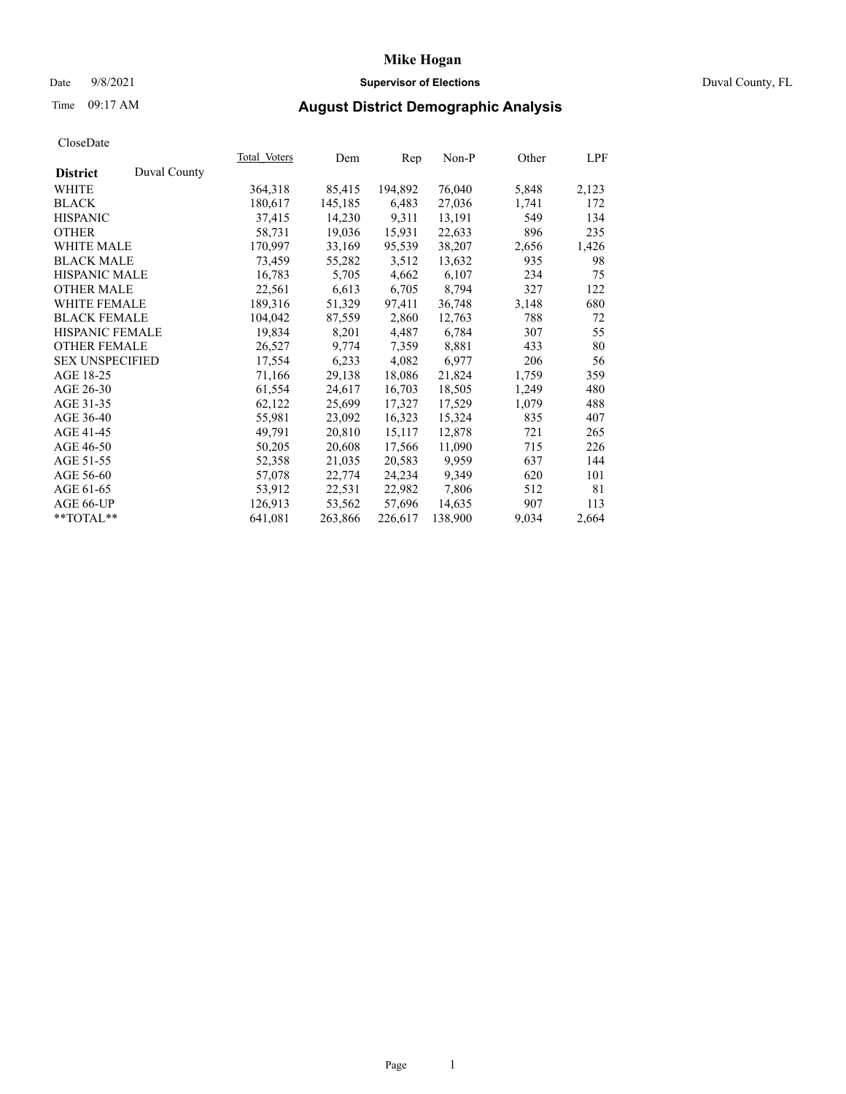## Date 9/8/2021 **Supervisor of Elections** Duval County, FL

# Time 09:17 AM **August District Demographic Analysis**

| Total Voters | Dem     | Rep     | Non-P   |       | LPF   |
|--------------|---------|---------|---------|-------|-------|
|              |         |         |         |       |       |
| 364,318      | 85,415  | 194,892 | 76,040  | 5,848 | 2,123 |
| 180,617      | 145,185 | 6,483   | 27,036  | 1,741 | 172   |
| 37,415       | 14,230  | 9,311   | 13,191  | 549   | 134   |
| 58,731       | 19,036  | 15,931  | 22,633  | 896   | 235   |
| 170,997      | 33,169  | 95,539  | 38,207  | 2,656 | 1,426 |
| 73,459       | 55,282  | 3,512   | 13,632  | 935   | 98    |
| 16,783       | 5,705   | 4,662   | 6,107   | 234   | 75    |
| 22,561       | 6,613   | 6,705   | 8,794   | 327   | 122   |
| 189,316      | 51,329  | 97,411  | 36,748  | 3,148 | 680   |
| 104,042      | 87,559  | 2,860   | 12,763  | 788   | 72    |
| 19,834       | 8,201   | 4,487   | 6,784   | 307   | 55    |
| 26,527       | 9,774   | 7,359   | 8,881   | 433   | 80    |
| 17,554       | 6,233   | 4,082   | 6,977   | 206   | 56    |
| 71,166       | 29,138  | 18,086  | 21,824  | 1,759 | 359   |
| 61,554       | 24,617  | 16,703  | 18,505  | 1,249 | 480   |
| 62,122       | 25,699  | 17,327  | 17,529  | 1,079 | 488   |
| 55,981       | 23,092  | 16,323  | 15,324  | 835   | 407   |
| 49,791       | 20,810  | 15,117  | 12,878  | 721   | 265   |
| 50,205       | 20,608  | 17,566  | 11,090  | 715   | 226   |
| 52,358       | 21,035  | 20,583  | 9,959   | 637   | 144   |
| 57,078       | 22,774  | 24,234  | 9,349   | 620   | 101   |
| 53,912       | 22,531  | 22,982  | 7,806   | 512   | 81    |
| 126,913      | 53,562  | 57,696  | 14,635  | 907   | 113   |
| 641,081      | 263,866 | 226,617 | 138,900 | 9,034 | 2,664 |
|              |         |         |         |       | Other |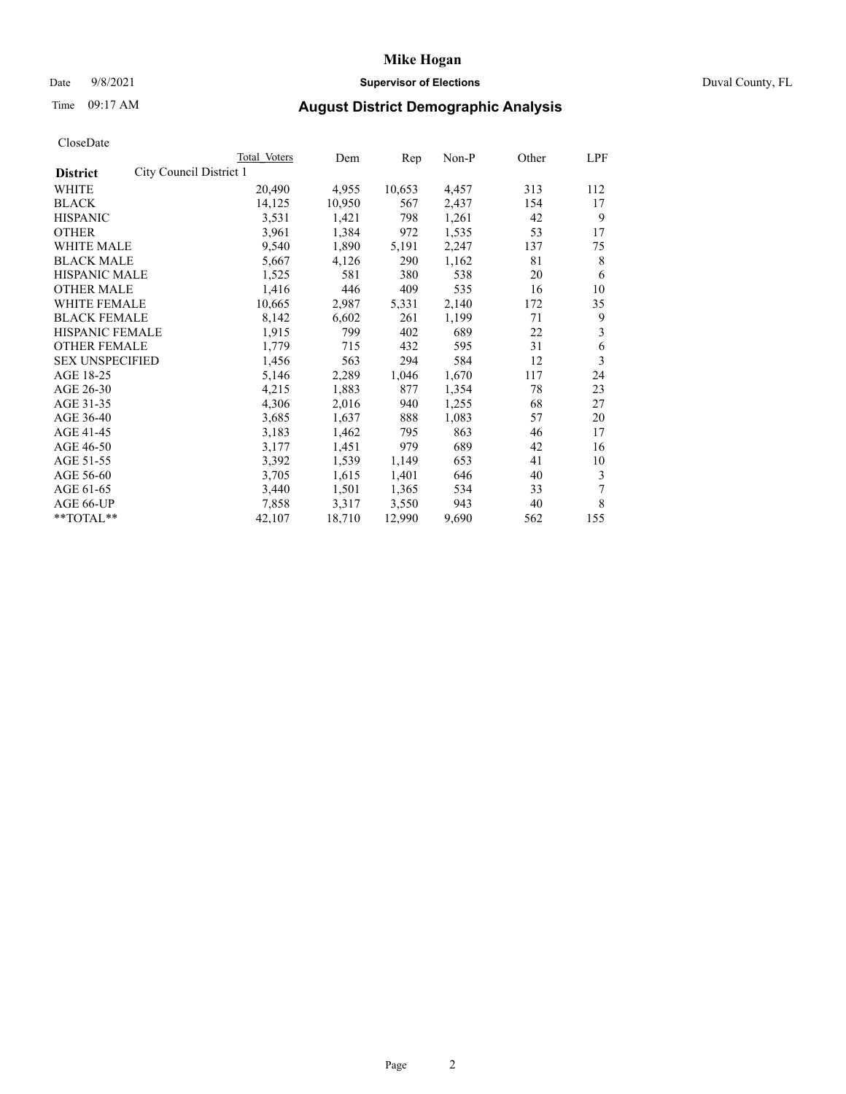## Date 9/8/2021 **Supervisor of Elections** Duval County, FL

# Time 09:17 AM **August District Demographic Analysis**

| <b>Total Voters</b> | Dem                     |        |       | Other | LPF   |
|---------------------|-------------------------|--------|-------|-------|-------|
|                     |                         |        |       |       |       |
| 20,490              | 4,955                   | 10,653 | 4,457 | 313   | 112   |
| 14,125              | 10,950                  | 567    | 2,437 | 154   | 17    |
| 3,531               | 1,421                   | 798    | 1,261 | 42    | 9     |
| 3,961               | 1,384                   | 972    | 1,535 | 53    | 17    |
| 9,540               | 1,890                   | 5,191  | 2,247 | 137   | 75    |
| 5,667               | 4,126                   | 290    | 1,162 | 81    | 8     |
| 1,525               | 581                     | 380    | 538   | 20    | 6     |
| 1,416               | 446                     | 409    | 535   | 16    | 10    |
| 10,665              | 2,987                   | 5,331  | 2,140 | 172   | 35    |
| 8,142               | 6,602                   | 261    | 1,199 | 71    | 9     |
| 1,915               | 799                     | 402    | 689   | 22    | 3     |
| 1,779               | 715                     | 432    | 595   | 31    | 6     |
| 1,456               | 563                     | 294    | 584   | 12    | 3     |
| 5,146               | 2,289                   | 1,046  | 1,670 | 117   | 24    |
| 4,215               | 1,883                   | 877    | 1,354 | 78    | 23    |
| 4,306               | 2,016                   | 940    | 1,255 | 68    | 27    |
| 3,685               | 1,637                   | 888    | 1,083 | 57    | 20    |
| 3,183               | 1,462                   | 795    | 863   | 46    | 17    |
| 3,177               | 1,451                   | 979    | 689   | 42    | 16    |
| 3,392               | 1,539                   | 1,149  | 653   | 41    | 10    |
| 3,705               | 1,615                   | 1,401  | 646   | 40    | 3     |
| 3,440               | 1,501                   | 1,365  | 534   | 33    | 7     |
| 7,858               | 3,317                   | 3,550  | 943   | 40    | 8     |
| 42,107              | 18,710                  | 12,990 | 9,690 | 562   | 155   |
|                     | City Council District 1 |        |       | Rep   | Non-P |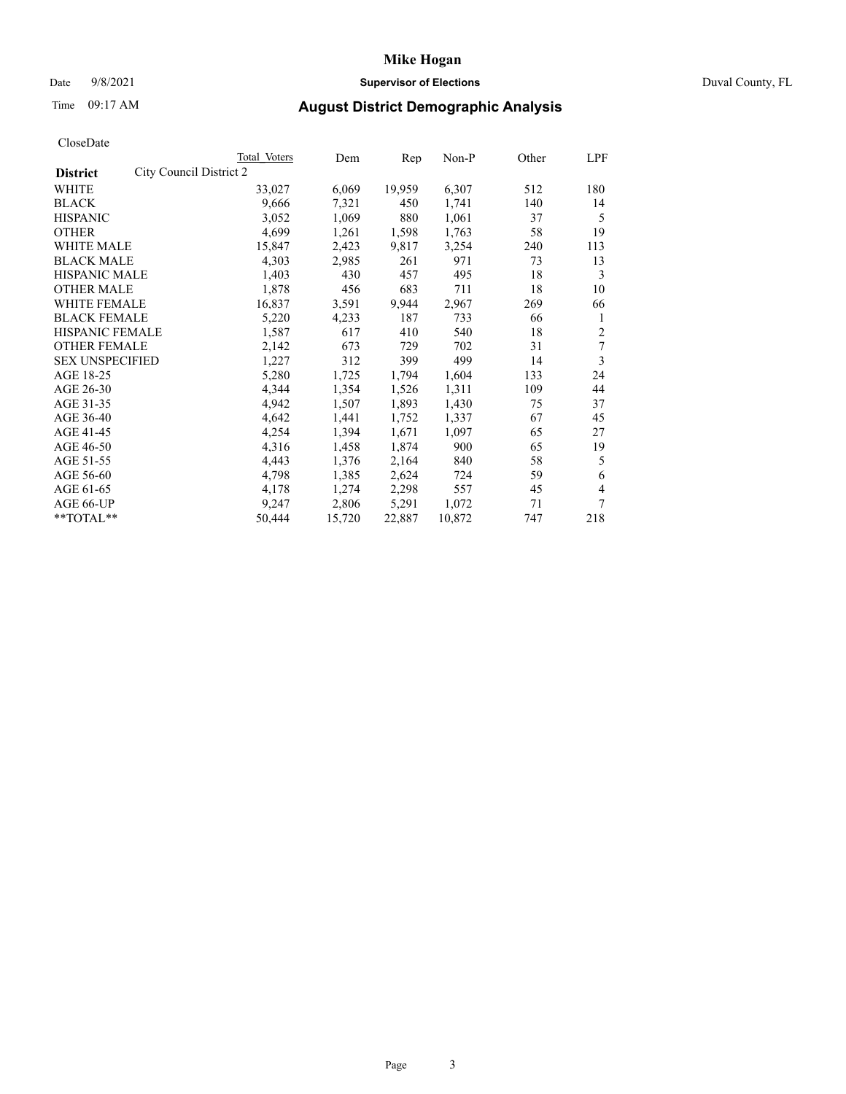## Date 9/8/2021 **Supervisor of Elections** Duval County, FL

# Time 09:17 AM **August District Demographic Analysis**

|                                            | Total Voters | Dem    | Rep    | Non-P  | Other | LPF |
|--------------------------------------------|--------------|--------|--------|--------|-------|-----|
| City Council District 2<br><b>District</b> |              |        |        |        |       |     |
| WHITE                                      | 33,027       | 6,069  | 19,959 | 6,307  | 512   | 180 |
| <b>BLACK</b>                               | 9,666        | 7,321  | 450    | 1,741  | 140   | 14  |
| <b>HISPANIC</b>                            | 3,052        | 1,069  | 880    | 1,061  | 37    | 5   |
| <b>OTHER</b>                               | 4,699        | 1,261  | 1,598  | 1,763  | 58    | 19  |
| WHITE MALE                                 | 15,847       | 2,423  | 9,817  | 3,254  | 240   | 113 |
| <b>BLACK MALE</b>                          | 4,303        | 2,985  | 261    | 971    | 73    | 13  |
| <b>HISPANIC MALE</b>                       | 1,403        | 430    | 457    | 495    | 18    | 3   |
| <b>OTHER MALE</b>                          | 1,878        | 456    | 683    | 711    | 18    | 10  |
| WHITE FEMALE                               | 16,837       | 3,591  | 9,944  | 2,967  | 269   | 66  |
| <b>BLACK FEMALE</b>                        | 5,220        | 4,233  | 187    | 733    | 66    | 1   |
| HISPANIC FEMALE                            | 1,587        | 617    | 410    | 540    | 18    | 2   |
| <b>OTHER FEMALE</b>                        | 2,142        | 673    | 729    | 702    | 31    | 7   |
| <b>SEX UNSPECIFIED</b>                     | 1,227        | 312    | 399    | 499    | 14    | 3   |
| AGE 18-25                                  | 5,280        | 1,725  | 1,794  | 1,604  | 133   | 24  |
| AGE 26-30                                  | 4,344        | 1,354  | 1,526  | 1,311  | 109   | 44  |
| AGE 31-35                                  | 4,942        | 1,507  | 1,893  | 1,430  | 75    | 37  |
| AGE 36-40                                  | 4,642        | 1,441  | 1,752  | 1,337  | 67    | 45  |
| AGE 41-45                                  | 4,254        | 1,394  | 1,671  | 1,097  | 65    | 27  |
| AGE 46-50                                  | 4,316        | 1,458  | 1,874  | 900    | 65    | 19  |
| AGE 51-55                                  | 4,443        | 1,376  | 2,164  | 840    | 58    | 5   |
| AGE 56-60                                  | 4,798        | 1,385  | 2,624  | 724    | 59    | 6   |
| AGE 61-65                                  | 4,178        | 1,274  | 2,298  | 557    | 45    | 4   |
| AGE 66-UP                                  | 9,247        | 2,806  | 5,291  | 1,072  | 71    | 7   |
| **TOTAL**                                  | 50,444       | 15,720 | 22,887 | 10,872 | 747   | 218 |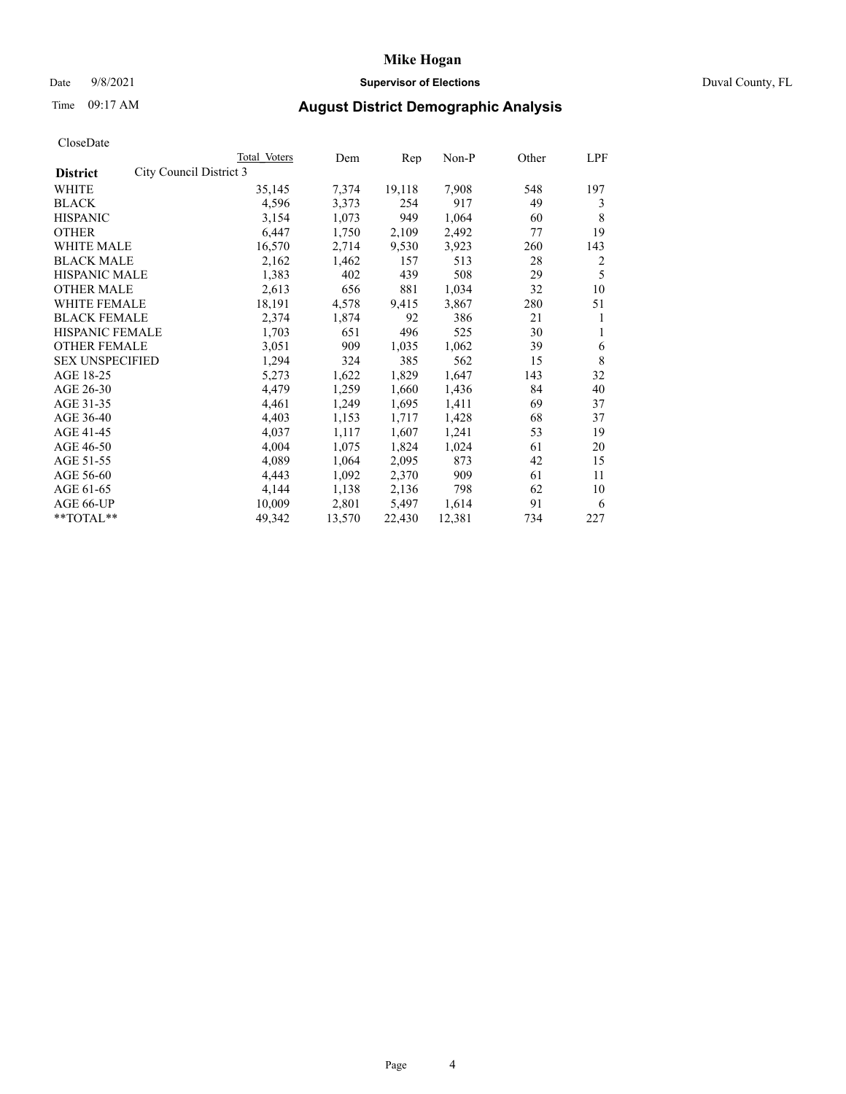## **Mike Hogan** Date 9/8/2021 **Supervisor of Elections** Duval County, FL

# Time 09:17 AM **August District Demographic Analysis**

|                                            | Total Voters | Dem    | Rep    | $Non-P$ | Other | LPF |
|--------------------------------------------|--------------|--------|--------|---------|-------|-----|
| City Council District 3<br><b>District</b> |              |        |        |         |       |     |
| WHITE                                      | 35,145       | 7,374  | 19,118 | 7,908   | 548   | 197 |
| <b>BLACK</b>                               | 4,596        | 3,373  | 254    | 917     | 49    | 3   |
| <b>HISPANIC</b>                            | 3,154        | 1,073  | 949    | 1,064   | 60    | 8   |
| <b>OTHER</b>                               | 6,447        | 1,750  | 2,109  | 2,492   | 77    | 19  |
| WHITE MALE                                 | 16,570       | 2,714  | 9,530  | 3,923   | 260   | 143 |
| <b>BLACK MALE</b>                          | 2,162        | 1,462  | 157    | 513     | 28    | 2   |
| <b>HISPANIC MALE</b>                       | 1,383        | 402    | 439    | 508     | 29    | 5   |
| <b>OTHER MALE</b>                          | 2,613        | 656    | 881    | 1,034   | 32    | 10  |
| WHITE FEMALE                               | 18,191       | 4,578  | 9,415  | 3,867   | 280   | 51  |
| <b>BLACK FEMALE</b>                        | 2,374        | 1,874  | 92     | 386     | 21    | 1   |
| HISPANIC FEMALE                            | 1,703        | 651    | 496    | 525     | 30    | 1   |
| <b>OTHER FEMALE</b>                        | 3,051        | 909    | 1,035  | 1,062   | 39    | 6   |
| <b>SEX UNSPECIFIED</b>                     | 1,294        | 324    | 385    | 562     | 15    | 8   |
| AGE 18-25                                  | 5,273        | 1,622  | 1,829  | 1,647   | 143   | 32  |
| AGE 26-30                                  | 4,479        | 1,259  | 1,660  | 1,436   | 84    | 40  |
| AGE 31-35                                  | 4,461        | 1,249  | 1,695  | 1,411   | 69    | 37  |
| AGE 36-40                                  | 4,403        | 1,153  | 1,717  | 1,428   | 68    | 37  |
| AGE 41-45                                  | 4,037        | 1,117  | 1,607  | 1,241   | 53    | 19  |
| AGE 46-50                                  | 4,004        | 1,075  | 1,824  | 1,024   | 61    | 20  |
| AGE 51-55                                  | 4,089        | 1,064  | 2,095  | 873     | 42    | 15  |
| AGE 56-60                                  | 4,443        | 1,092  | 2,370  | 909     | 61    | 11  |
| AGE 61-65                                  | 4,144        | 1,138  | 2,136  | 798     | 62    | 10  |
| AGE 66-UP                                  | 10,009       | 2,801  | 5,497  | 1,614   | 91    | 6   |
| **TOTAL**                                  | 49,342       | 13,570 | 22,430 | 12,381  | 734   | 227 |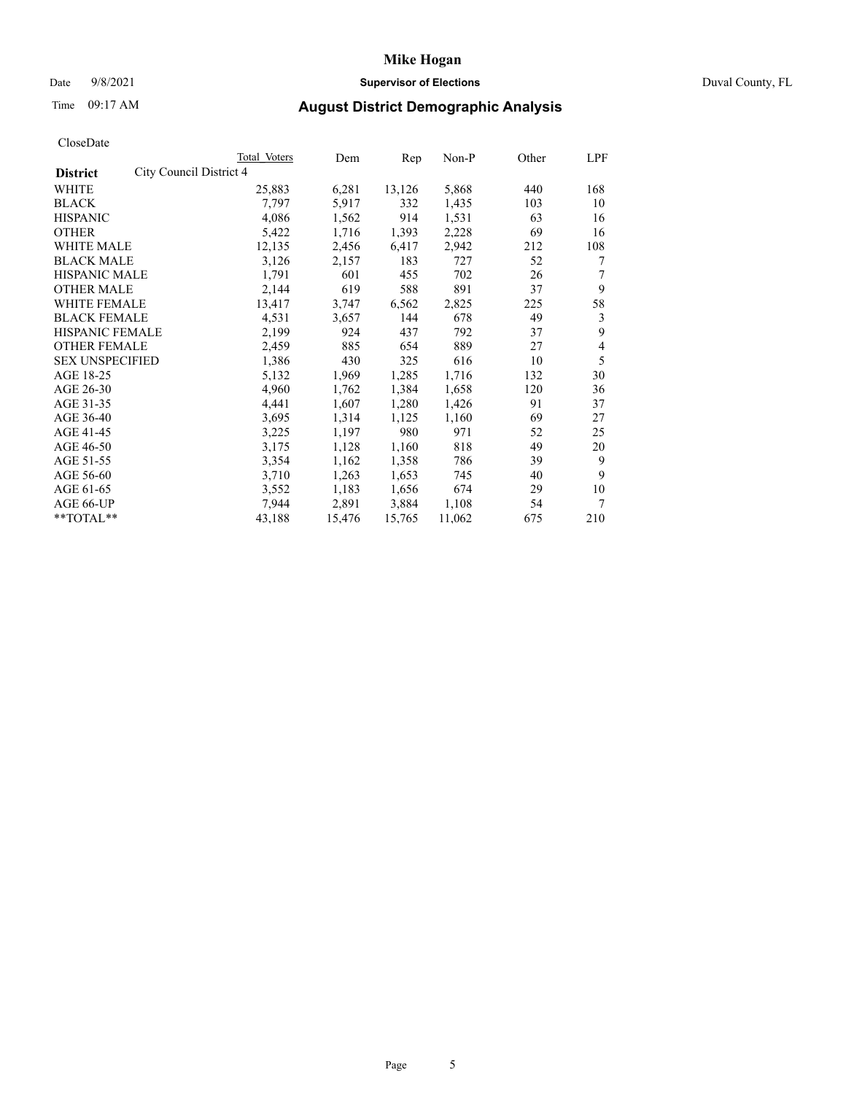## **Mike Hogan** Date 9/8/2021 **Supervisor of Elections** Duval County, FL

# Time 09:17 AM **August District Demographic Analysis**

| CloscDate              |                         |              |        |        |         |       |                |
|------------------------|-------------------------|--------------|--------|--------|---------|-------|----------------|
|                        |                         | Total Voters | Dem    | Rep    | $Non-P$ | Other | LPF            |
| <b>District</b>        | City Council District 4 |              |        |        |         |       |                |
| WHITE                  |                         | 25,883       | 6,281  | 13,126 | 5,868   | 440   | 168            |
| <b>BLACK</b>           |                         | 7,797        | 5,917  | 332    | 1,435   | 103   | 10             |
| <b>HISPANIC</b>        |                         | 4,086        | 1,562  | 914    | 1,531   | 63    | 16             |
| <b>OTHER</b>           |                         | 5,422        | 1,716  | 1,393  | 2,228   | 69    | 16             |
| WHITE MALE             |                         | 12,135       | 2,456  | 6,417  | 2,942   | 212   | 108            |
| <b>BLACK MALE</b>      |                         | 3,126        | 2,157  | 183    | 727     | 52    | 7              |
| <b>HISPANIC MALE</b>   |                         | 1,791        | 601    | 455    | 702     | 26    | 7              |
| <b>OTHER MALE</b>      |                         | 2,144        | 619    | 588    | 891     | 37    | 9              |
| WHITE FEMALE           |                         | 13,417       | 3,747  | 6,562  | 2,825   | 225   | 58             |
| <b>BLACK FEMALE</b>    |                         | 4,531        | 3,657  | 144    | 678     | 49    | 3              |
| <b>HISPANIC FEMALE</b> |                         | 2,199        | 924    | 437    | 792     | 37    | 9              |
| <b>OTHER FEMALE</b>    |                         | 2,459        | 885    | 654    | 889     | 27    | $\overline{4}$ |
| <b>SEX UNSPECIFIED</b> |                         | 1,386        | 430    | 325    | 616     | 10    | 5              |
| AGE 18-25              |                         | 5,132        | 1,969  | 1,285  | 1,716   | 132   | 30             |
| AGE 26-30              |                         | 4,960        | 1,762  | 1,384  | 1,658   | 120   | 36             |
| AGE 31-35              |                         | 4,441        | 1,607  | 1,280  | 1,426   | 91    | 37             |
| AGE 36-40              |                         | 3,695        | 1,314  | 1,125  | 1,160   | 69    | 27             |
| AGE 41-45              |                         | 3,225        | 1,197  | 980    | 971     | 52    | 25             |
| AGE 46-50              |                         | 3,175        | 1,128  | 1,160  | 818     | 49    | 20             |
| AGE 51-55              |                         | 3,354        | 1,162  | 1,358  | 786     | 39    | 9              |
| AGE 56-60              |                         | 3,710        | 1,263  | 1,653  | 745     | 40    | 9              |
| AGE 61-65              |                         | 3,552        | 1,183  | 1,656  | 674     | 29    | 10             |
| AGE 66-UP              |                         | 7,944        | 2,891  | 3,884  | 1,108   | 54    | 7              |
| **TOTAL**              |                         | 43,188       | 15.476 | 15,765 | 11,062  | 675   | 210            |
|                        |                         |              |        |        |         |       |                |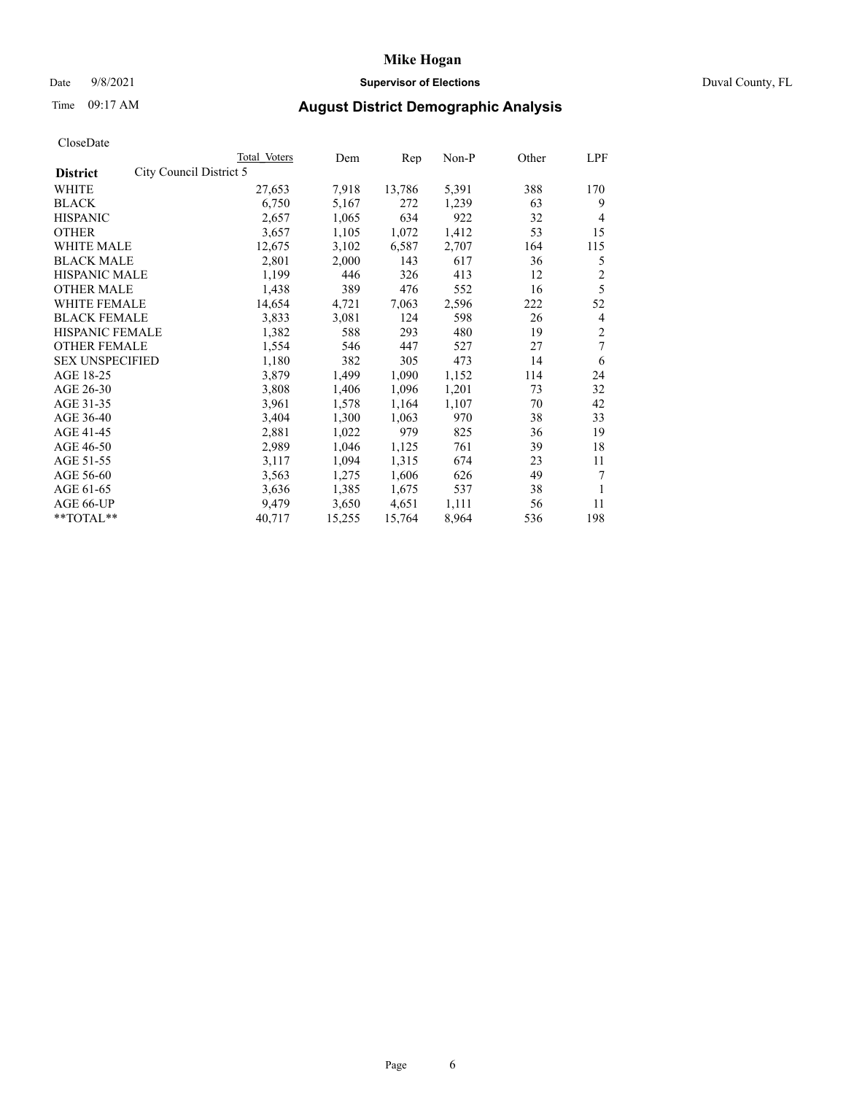## Date 9/8/2021 **Supervisor of Elections** Duval County, FL

# Time 09:17 AM **August District Demographic Analysis**

| Total Voters | Dem                     | Rep    | Non-P | Other | LPF            |
|--------------|-------------------------|--------|-------|-------|----------------|
|              |                         |        |       |       |                |
| 27,653       | 7,918                   | 13,786 | 5,391 | 388   | 170            |
| 6,750        | 5,167                   | 272    | 1,239 | 63    | 9              |
| 2,657        | 1,065                   | 634    | 922   | 32    | 4              |
| 3,657        | 1,105                   | 1,072  | 1,412 | 53    | 15             |
| 12,675       | 3,102                   | 6,587  | 2,707 | 164   | 115            |
| 2,801        | 2,000                   | 143    | 617   | 36    | 5              |
| 1,199        | 446                     | 326    | 413   | 12    | $\overline{c}$ |
| 1,438        | 389                     | 476    | 552   | 16    | 5              |
| 14,654       | 4,721                   | 7,063  | 2,596 | 222   | 52             |
| 3,833        | 3,081                   | 124    | 598   | 26    | 4              |
| 1,382        | 588                     | 293    | 480   | 19    | $\overline{2}$ |
| 1,554        | 546                     | 447    | 527   | 27    | 7              |
| 1,180        | 382                     | 305    | 473   | 14    | 6              |
| 3,879        | 1,499                   | 1,090  | 1,152 | 114   | 24             |
| 3,808        | 1,406                   | 1,096  | 1,201 | 73    | 32             |
| 3,961        | 1,578                   | 1,164  | 1,107 | 70    | 42             |
| 3,404        | 1,300                   | 1,063  | 970   | 38    | 33             |
| 2,881        | 1,022                   | 979    | 825   | 36    | 19             |
| 2,989        | 1,046                   | 1,125  | 761   | 39    | 18             |
| 3,117        | 1,094                   | 1,315  | 674   | 23    | 11             |
| 3,563        | 1,275                   | 1,606  | 626   | 49    | 7              |
| 3,636        | 1,385                   | 1,675  | 537   | 38    | 1              |
| 9,479        | 3,650                   | 4,651  | 1,111 | 56    | 11             |
| 40,717       | 15,255                  | 15,764 | 8,964 | 536   | 198            |
|              | City Council District 5 |        |       |       |                |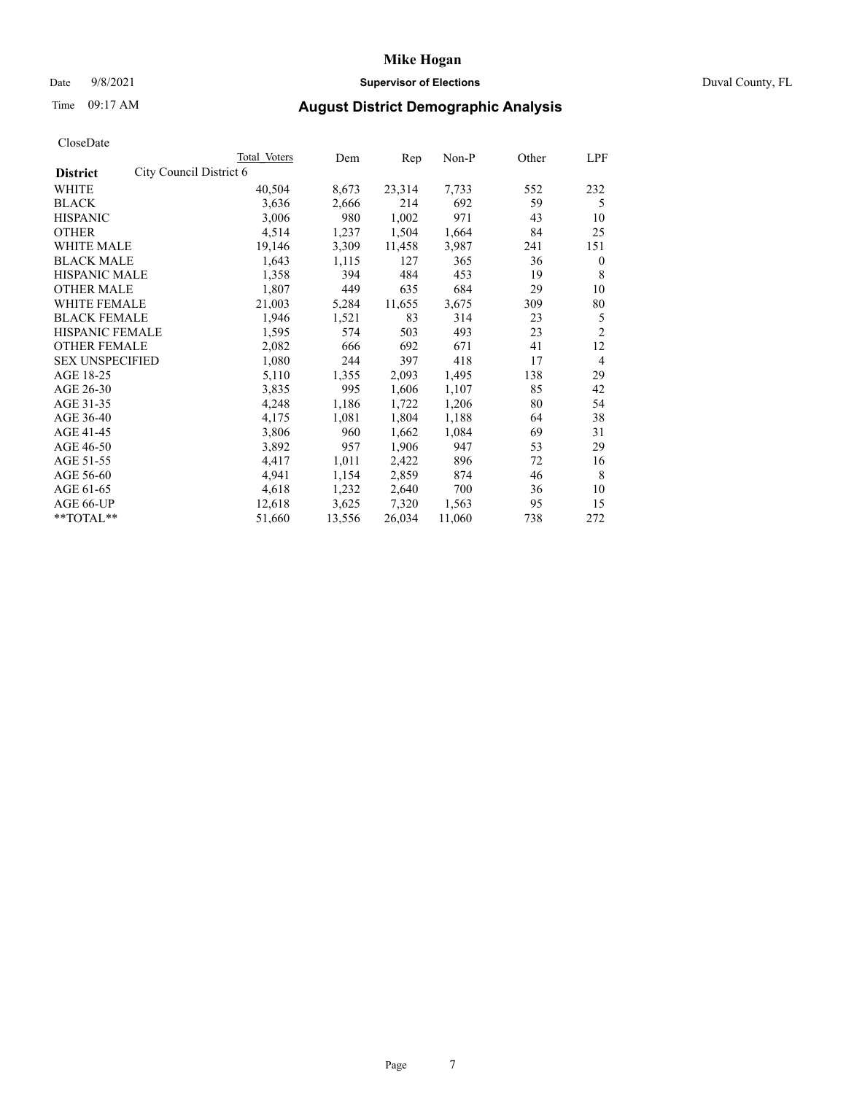## Date 9/8/2021 **Supervisor of Elections** Duval County, FL

# Time 09:17 AM **August District Demographic Analysis**

|                        |                         | Total Voters | Dem    | Rep    | $Non-P$ | Other | LPF            |
|------------------------|-------------------------|--------------|--------|--------|---------|-------|----------------|
| <b>District</b>        | City Council District 6 |              |        |        |         |       |                |
| WHITE                  |                         | 40,504       | 8,673  | 23,314 | 7,733   | 552   | 232            |
| <b>BLACK</b>           |                         | 3,636        | 2,666  | 214    | 692     | 59    | 5              |
| <b>HISPANIC</b>        |                         | 3,006        | 980    | 1,002  | 971     | 43    | 10             |
| <b>OTHER</b>           |                         | 4,514        | 1,237  | 1,504  | 1,664   | 84    | 25             |
| WHITE MALE             |                         | 19,146       | 3,309  | 11,458 | 3,987   | 241   | 151            |
| <b>BLACK MALE</b>      |                         | 1,643        | 1,115  | 127    | 365     | 36    | $\mathbf{0}$   |
| <b>HISPANIC MALE</b>   |                         | 1,358        | 394    | 484    | 453     | 19    | 8              |
| <b>OTHER MALE</b>      |                         | 1,807        | 449    | 635    | 684     | 29    | 10             |
| WHITE FEMALE           |                         | 21,003       | 5,284  | 11,655 | 3,675   | 309   | 80             |
| <b>BLACK FEMALE</b>    |                         | 1,946        | 1,521  | 83     | 314     | 23    | 5              |
| HISPANIC FEMALE        |                         | 1,595        | 574    | 503    | 493     | 23    | $\overline{2}$ |
| <b>OTHER FEMALE</b>    |                         | 2,082        | 666    | 692    | 671     | 41    | 12             |
| <b>SEX UNSPECIFIED</b> |                         | 1,080        | 244    | 397    | 418     | 17    | $\overline{4}$ |
| AGE 18-25              |                         | 5,110        | 1,355  | 2,093  | 1,495   | 138   | 29             |
| AGE 26-30              |                         | 3,835        | 995    | 1,606  | 1,107   | 85    | 42             |
| AGE 31-35              |                         | 4,248        | 1,186  | 1,722  | 1,206   | 80    | 54             |
| AGE 36-40              |                         | 4,175        | 1,081  | 1,804  | 1,188   | 64    | 38             |
| AGE 41-45              |                         | 3,806        | 960    | 1,662  | 1,084   | 69    | 31             |
| AGE 46-50              |                         | 3,892        | 957    | 1,906  | 947     | 53    | 29             |
| AGE 51-55              |                         | 4,417        | 1,011  | 2,422  | 896     | 72    | 16             |
| AGE 56-60              |                         | 4,941        | 1,154  | 2,859  | 874     | 46    | 8              |
| AGE 61-65              |                         | 4,618        | 1,232  | 2,640  | 700     | 36    | 10             |
| AGE 66-UP              |                         | 12,618       | 3,625  | 7,320  | 1,563   | 95    | 15             |
| **TOTAL**              |                         | 51,660       | 13,556 | 26,034 | 11,060  | 738   | 272            |
|                        |                         |              |        |        |         |       |                |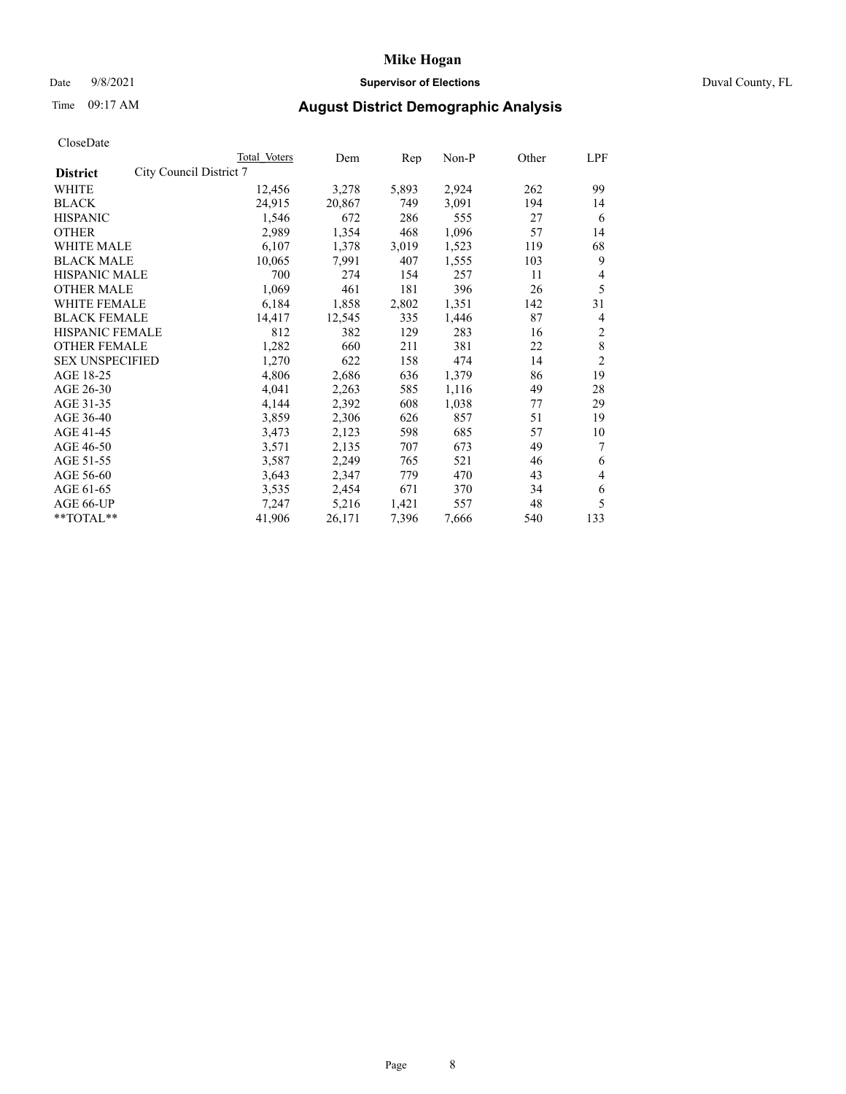## Date 9/8/2021 **Supervisor of Elections** Duval County, FL

# Time 09:17 AM **August District Demographic Analysis**

|                                            | Total Voters | Dem    | Rep   | Non-P | Other | LPF            |
|--------------------------------------------|--------------|--------|-------|-------|-------|----------------|
| City Council District 7<br><b>District</b> |              |        |       |       |       |                |
| WHITE                                      | 12,456       | 3,278  | 5,893 | 2,924 | 262   | 99             |
| <b>BLACK</b>                               | 24,915       | 20,867 | 749   | 3,091 | 194   | 14             |
| <b>HISPANIC</b>                            | 1,546        | 672    | 286   | 555   | 27    | 6              |
| <b>OTHER</b>                               | 2,989        | 1,354  | 468   | 1,096 | 57    | 14             |
| WHITE MALE                                 | 6,107        | 1,378  | 3,019 | 1,523 | 119   | 68             |
| <b>BLACK MALE</b>                          | 10,065       | 7,991  | 407   | 1,555 | 103   | 9              |
| <b>HISPANIC MALE</b>                       | 700          | 274    | 154   | 257   | 11    | 4              |
| <b>OTHER MALE</b>                          | 1,069        | 461    | 181   | 396   | 26    | 5              |
| WHITE FEMALE                               | 6,184        | 1,858  | 2,802 | 1,351 | 142   | 31             |
| <b>BLACK FEMALE</b>                        | 14,417       | 12,545 | 335   | 1,446 | 87    | 4              |
| HISPANIC FEMALE                            | 812          | 382    | 129   | 283   | 16    | $\overline{c}$ |
| <b>OTHER FEMALE</b>                        | 1,282        | 660    | 211   | 381   | 22    | 8              |
| <b>SEX UNSPECIFIED</b>                     | 1,270        | 622    | 158   | 474   | 14    | $\overline{2}$ |
| AGE 18-25                                  | 4,806        | 2,686  | 636   | 1,379 | 86    | 19             |
| AGE 26-30                                  | 4,041        | 2,263  | 585   | 1,116 | 49    | 28             |
| AGE 31-35                                  | 4,144        | 2,392  | 608   | 1,038 | 77    | 29             |
| AGE 36-40                                  | 3,859        | 2,306  | 626   | 857   | 51    | 19             |
| AGE 41-45                                  | 3,473        | 2,123  | 598   | 685   | 57    | 10             |
| AGE 46-50                                  | 3,571        | 2,135  | 707   | 673   | 49    | 7              |
| AGE 51-55                                  | 3,587        | 2,249  | 765   | 521   | 46    | 6              |
| AGE 56-60                                  | 3,643        | 2,347  | 779   | 470   | 43    | 4              |
| AGE 61-65                                  | 3,535        | 2,454  | 671   | 370   | 34    | 6              |
| AGE 66-UP                                  | 7,247        | 5,216  | 1,421 | 557   | 48    | 5              |
| **TOTAL**                                  | 41,906       | 26,171 | 7,396 | 7,666 | 540   | 133            |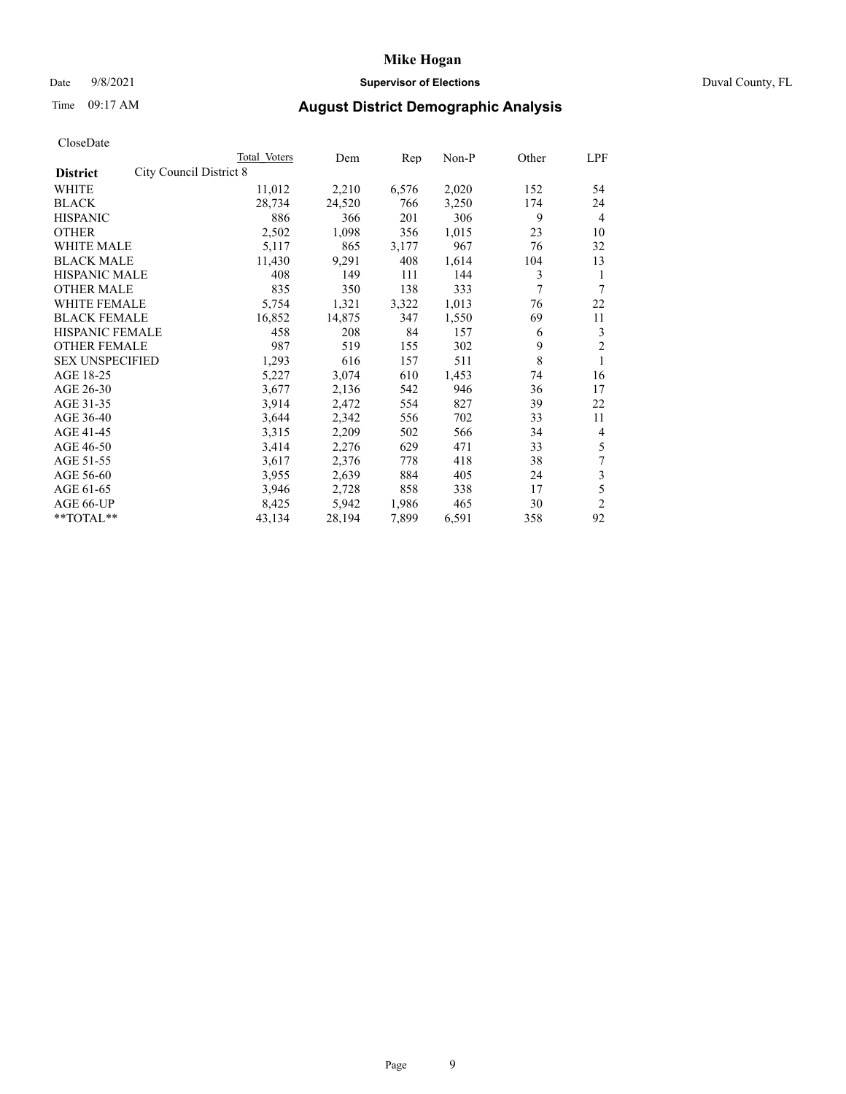## Date 9/8/2021 **Supervisor of Elections** Duval County, FL

# Time 09:17 AM **August District Demographic Analysis**

|                                                   | Total Voters | Dem    | Rep   | Non-P | Other | LPF            |
|---------------------------------------------------|--------------|--------|-------|-------|-------|----------------|
| <b>City Council District 8</b><br><b>District</b> |              |        |       |       |       |                |
| WHITE                                             | 11,012       | 2,210  | 6,576 | 2,020 | 152   | 54             |
| <b>BLACK</b>                                      | 28,734       | 24,520 | 766   | 3,250 | 174   | 24             |
| <b>HISPANIC</b>                                   | 886          | 366    | 201   | 306   | 9     | $\overline{4}$ |
| <b>OTHER</b>                                      | 2,502        | 1,098  | 356   | 1,015 | 23    | 10             |
| WHITE MALE                                        | 5,117        | 865    | 3,177 | 967   | 76    | 32             |
| <b>BLACK MALE</b>                                 | 11,430       | 9,291  | 408   | 1,614 | 104   | 13             |
| <b>HISPANIC MALE</b>                              | 408          | 149    | 111   | 144   | 3     | 1              |
| <b>OTHER MALE</b>                                 | 835          | 350    | 138   | 333   | 7     | 7              |
| WHITE FEMALE                                      | 5,754        | 1,321  | 3,322 | 1,013 | 76    | 22             |
| <b>BLACK FEMALE</b>                               | 16,852       | 14,875 | 347   | 1,550 | 69    | 11             |
| <b>HISPANIC FEMALE</b>                            | 458          | 208    | 84    | 157   | 6     | 3              |
| <b>OTHER FEMALE</b>                               | 987          | 519    | 155   | 302   | 9     | $\overline{2}$ |
| <b>SEX UNSPECIFIED</b>                            | 1,293        | 616    | 157   | 511   | 8     | 1              |
| AGE 18-25                                         | 5,227        | 3,074  | 610   | 1,453 | 74    | 16             |
| AGE 26-30                                         | 3,677        | 2,136  | 542   | 946   | 36    | 17             |
| AGE 31-35                                         | 3,914        | 2,472  | 554   | 827   | 39    | 22             |
| AGE 36-40                                         | 3,644        | 2,342  | 556   | 702   | 33    | 11             |
| AGE 41-45                                         | 3,315        | 2,209  | 502   | 566   | 34    | 4              |
| AGE 46-50                                         | 3,414        | 2,276  | 629   | 471   | 33    | 5              |
| AGE 51-55                                         | 3,617        | 2,376  | 778   | 418   | 38    | 7              |
| AGE 56-60                                         | 3,955        | 2,639  | 884   | 405   | 24    | 3              |
| AGE 61-65                                         | 3,946        | 2,728  | 858   | 338   | 17    | 5              |
| AGE 66-UP                                         | 8,425        | 5,942  | 1,986 | 465   | 30    | $\overline{2}$ |
| **TOTAL**                                         | 43,134       | 28,194 | 7,899 | 6,591 | 358   | 92             |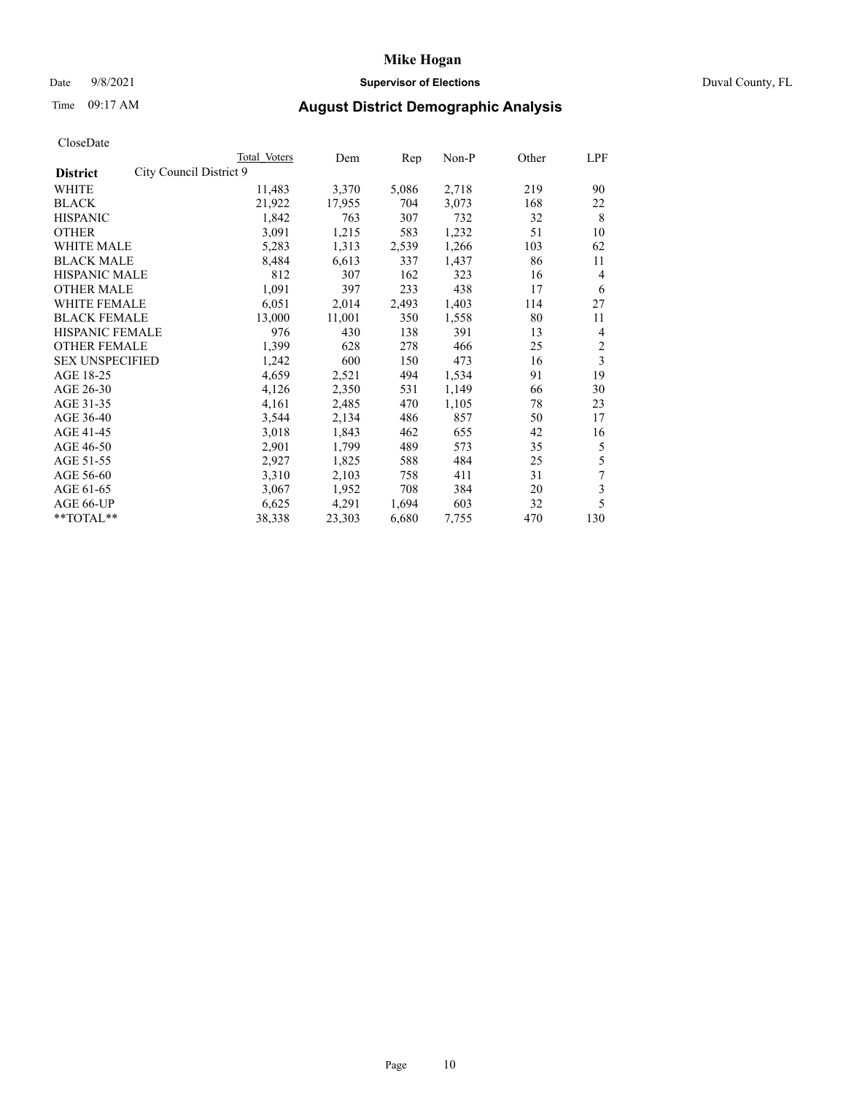## Date 9/8/2021 **Supervisor of Elections** Duval County, FL

# Time 09:17 AM **August District Demographic Analysis**

|                                            | Total Voters | Dem    | Rep   | Non-P | Other | LPF            |
|--------------------------------------------|--------------|--------|-------|-------|-------|----------------|
| City Council District 9<br><b>District</b> |              |        |       |       |       |                |
| WHITE                                      | 11,483       | 3,370  | 5,086 | 2,718 | 219   | 90             |
| <b>BLACK</b>                               | 21,922       | 17,955 | 704   | 3,073 | 168   | 22             |
| <b>HISPANIC</b>                            | 1,842        | 763    | 307   | 732   | 32    | 8              |
| <b>OTHER</b>                               | 3,091        | 1,215  | 583   | 1,232 | 51    | 10             |
| WHITE MALE                                 | 5,283        | 1,313  | 2,539 | 1,266 | 103   | 62             |
| <b>BLACK MALE</b>                          | 8,484        | 6,613  | 337   | 1,437 | 86    | 11             |
| <b>HISPANIC MALE</b>                       | 812          | 307    | 162   | 323   | 16    | 4              |
| <b>OTHER MALE</b>                          | 1,091        | 397    | 233   | 438   | 17    | 6              |
| <b>WHITE FEMALE</b>                        | 6,051        | 2,014  | 2,493 | 1,403 | 114   | 27             |
| <b>BLACK FEMALE</b>                        | 13,000       | 11,001 | 350   | 1,558 | 80    | 11             |
| <b>HISPANIC FEMALE</b>                     | 976          | 430    | 138   | 391   | 13    | 4              |
| <b>OTHER FEMALE</b>                        | 1,399        | 628    | 278   | 466   | 25    | $\overline{2}$ |
| <b>SEX UNSPECIFIED</b>                     | 1,242        | 600    | 150   | 473   | 16    | 3              |
| AGE 18-25                                  | 4,659        | 2,521  | 494   | 1,534 | 91    | 19             |
| AGE 26-30                                  | 4,126        | 2,350  | 531   | 1,149 | 66    | 30             |
| AGE 31-35                                  | 4,161        | 2,485  | 470   | 1,105 | 78    | 23             |
| AGE 36-40                                  | 3,544        | 2,134  | 486   | 857   | 50    | 17             |
| AGE 41-45                                  | 3,018        | 1,843  | 462   | 655   | 42    | 16             |
| AGE 46-50                                  | 2,901        | 1,799  | 489   | 573   | 35    | 5              |
| AGE 51-55                                  | 2,927        | 1,825  | 588   | 484   | 25    | 5              |
| AGE 56-60                                  | 3,310        | 2,103  | 758   | 411   | 31    | 7              |
| AGE 61-65                                  | 3,067        | 1,952  | 708   | 384   | 20    | 3              |
| AGE 66-UP                                  | 6,625        | 4,291  | 1,694 | 603   | 32    | 5              |
| $*$ $TOTAL**$                              | 38,338       | 23,303 | 6,680 | 7,755 | 470   | 130            |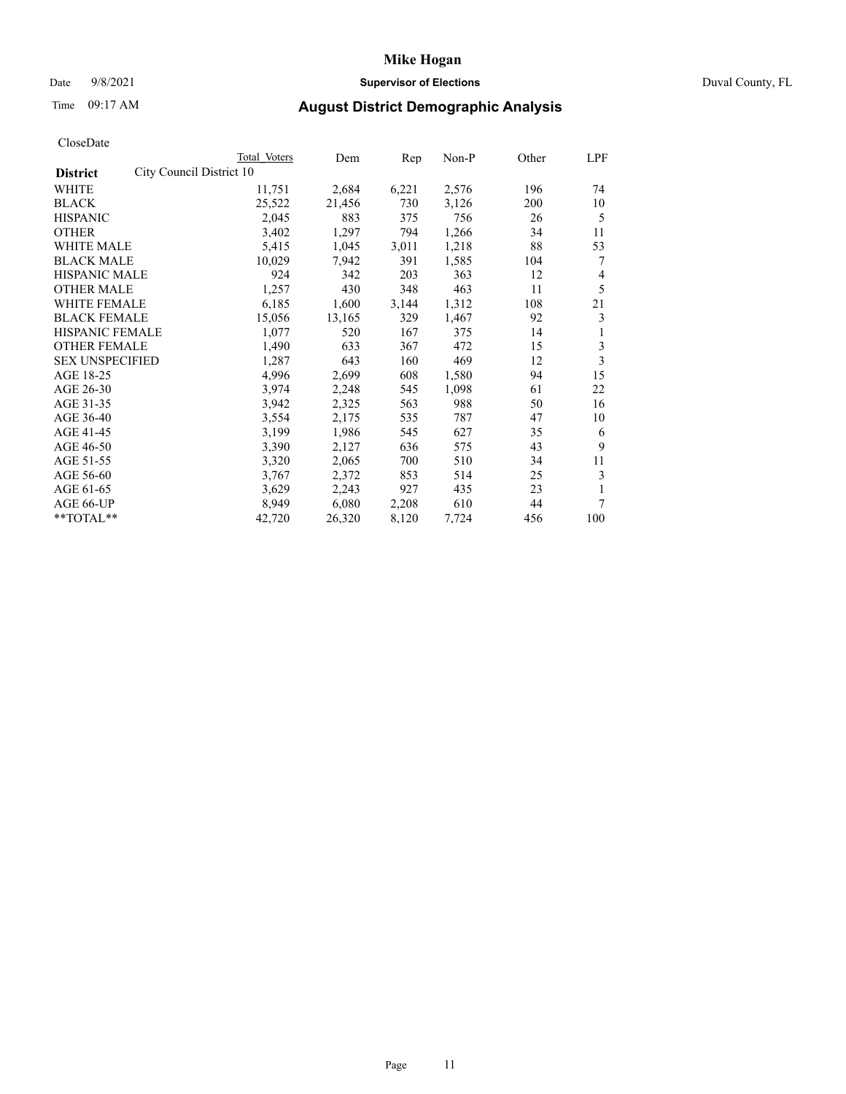## Date 9/8/2021 **Supervisor of Elections** Duval County, FL

# Time 09:17 AM **August District Demographic Analysis**

|                                             | Total Voters | Dem    | Rep   | Non-P | Other | LPF |
|---------------------------------------------|--------------|--------|-------|-------|-------|-----|
| City Council District 10<br><b>District</b> |              |        |       |       |       |     |
| WHITE                                       | 11,751       | 2,684  | 6,221 | 2,576 | 196   | 74  |
| <b>BLACK</b>                                | 25,522       | 21,456 | 730   | 3,126 | 200   | 10  |
| <b>HISPANIC</b>                             | 2,045        | 883    | 375   | 756   | 26    | 5   |
| <b>OTHER</b>                                | 3,402        | 1,297  | 794   | 1,266 | 34    | 11  |
| WHITE MALE                                  | 5,415        | 1,045  | 3,011 | 1,218 | 88    | 53  |
| <b>BLACK MALE</b>                           | 10,029       | 7,942  | 391   | 1,585 | 104   | 7   |
| <b>HISPANIC MALE</b>                        | 924          | 342    | 203   | 363   | 12    | 4   |
| <b>OTHER MALE</b>                           | 1,257        | 430    | 348   | 463   | 11    | 5   |
| WHITE FEMALE                                | 6,185        | 1,600  | 3,144 | 1,312 | 108   | 21  |
| <b>BLACK FEMALE</b>                         | 15,056       | 13,165 | 329   | 1,467 | 92    | 3   |
| <b>HISPANIC FEMALE</b>                      | 1,077        | 520    | 167   | 375   | 14    | 1   |
| <b>OTHER FEMALE</b>                         | 1,490        | 633    | 367   | 472   | 15    | 3   |
| <b>SEX UNSPECIFIED</b>                      | 1,287        | 643    | 160   | 469   | 12    | 3   |
| AGE 18-25                                   | 4,996        | 2,699  | 608   | 1,580 | 94    | 15  |
| AGE 26-30                                   | 3,974        | 2,248  | 545   | 1,098 | 61    | 22  |
| AGE 31-35                                   | 3,942        | 2,325  | 563   | 988   | 50    | 16  |
| AGE 36-40                                   | 3,554        | 2,175  | 535   | 787   | 47    | 10  |
| AGE 41-45                                   | 3,199        | 1,986  | 545   | 627   | 35    | 6   |
| AGE 46-50                                   | 3,390        | 2,127  | 636   | 575   | 43    | 9   |
| AGE 51-55                                   | 3,320        | 2,065  | 700   | 510   | 34    | 11  |
| AGE 56-60                                   | 3,767        | 2,372  | 853   | 514   | 25    | 3   |
| AGE 61-65                                   | 3,629        | 2,243  | 927   | 435   | 23    | 1   |
| AGE 66-UP                                   | 8,949        | 6,080  | 2,208 | 610   | 44    | 7   |
| **TOTAL**                                   | 42,720       | 26,320 | 8,120 | 7,724 | 456   | 100 |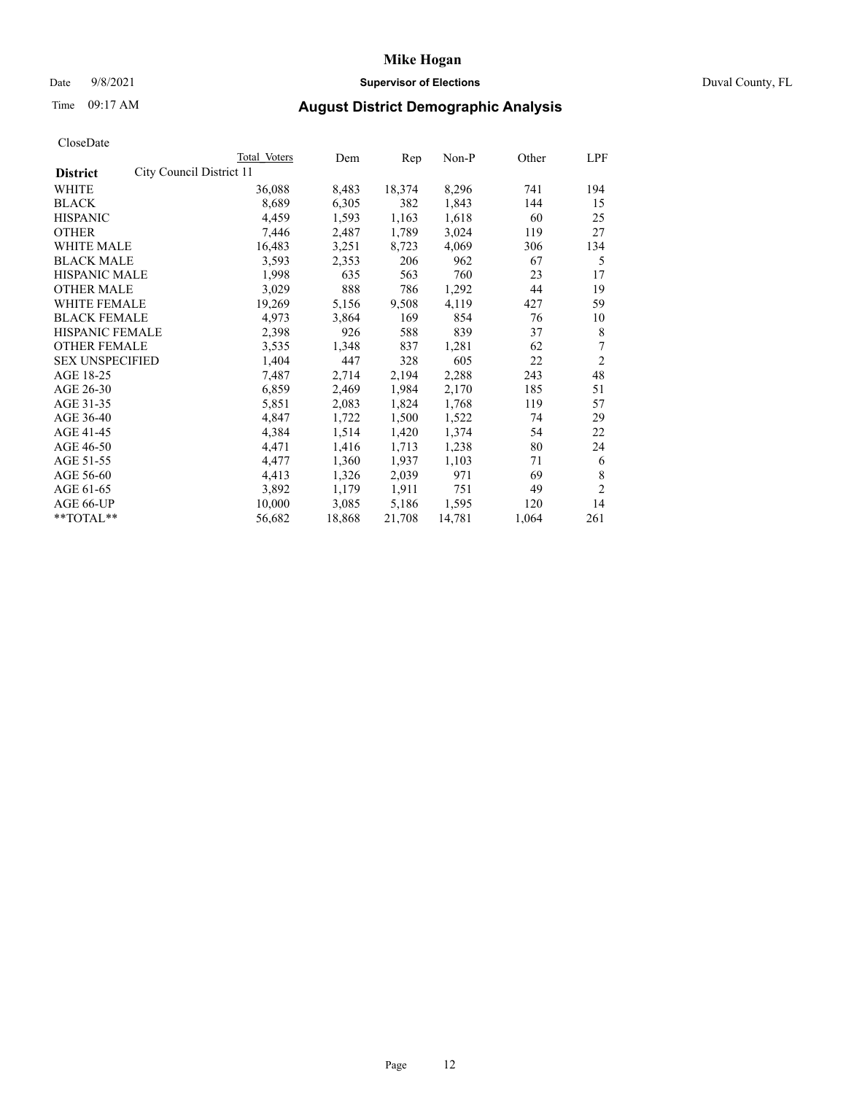## Date 9/8/2021 **Supervisor of Elections** Duval County, FL

# Time 09:17 AM **August District Demographic Analysis**

|                        |                          | Total Voters | Dem    | Rep    | $Non-P$ | Other | LPF            |
|------------------------|--------------------------|--------------|--------|--------|---------|-------|----------------|
| <b>District</b>        | City Council District 11 |              |        |        |         |       |                |
| WHITE                  |                          | 36,088       | 8,483  | 18,374 | 8,296   | 741   | 194            |
| <b>BLACK</b>           |                          | 8,689        | 6,305  | 382    | 1,843   | 144   | 15             |
| <b>HISPANIC</b>        |                          | 4,459        | 1,593  | 1,163  | 1,618   | 60    | 25             |
| <b>OTHER</b>           |                          | 7,446        | 2,487  | 1,789  | 3,024   | 119   | 27             |
| WHITE MALE             |                          | 16,483       | 3,251  | 8,723  | 4,069   | 306   | 134            |
| <b>BLACK MALE</b>      |                          | 3,593        | 2,353  | 206    | 962     | 67    | 5              |
| <b>HISPANIC MALE</b>   |                          | 1,998        | 635    | 563    | 760     | 23    | 17             |
| <b>OTHER MALE</b>      |                          | 3,029        | 888    | 786    | 1,292   | 44    | 19             |
| WHITE FEMALE           |                          | 19,269       | 5,156  | 9,508  | 4,119   | 427   | 59             |
| <b>BLACK FEMALE</b>    |                          | 4,973        | 3,864  | 169    | 854     | 76    | 10             |
| HISPANIC FEMALE        |                          | 2,398        | 926    | 588    | 839     | 37    | 8              |
| <b>OTHER FEMALE</b>    |                          | 3,535        | 1,348  | 837    | 1,281   | 62    | 7              |
| <b>SEX UNSPECIFIED</b> |                          | 1,404        | 447    | 328    | 605     | 22    | $\overline{2}$ |
| AGE 18-25              |                          | 7,487        | 2,714  | 2,194  | 2,288   | 243   | 48             |
| AGE 26-30              |                          | 6,859        | 2,469  | 1,984  | 2,170   | 185   | 51             |
| AGE 31-35              |                          | 5,851        | 2,083  | 1,824  | 1,768   | 119   | 57             |
| AGE 36-40              |                          | 4,847        | 1,722  | 1,500  | 1,522   | 74    | 29             |
| AGE 41-45              |                          | 4,384        | 1,514  | 1,420  | 1,374   | 54    | 22             |
| AGE 46-50              |                          | 4,471        | 1,416  | 1,713  | 1,238   | 80    | 24             |
| AGE 51-55              |                          | 4,477        | 1,360  | 1,937  | 1,103   | 71    | 6              |
| AGE 56-60              |                          | 4,413        | 1,326  | 2,039  | 971     | 69    | 8              |
| AGE 61-65              |                          | 3,892        | 1,179  | 1,911  | 751     | 49    | $\overline{2}$ |
| AGE 66-UP              |                          | 10,000       | 3,085  | 5,186  | 1,595   | 120   | 14             |
| **TOTAL**              |                          | 56,682       | 18,868 | 21,708 | 14,781  | 1,064 | 261            |
|                        |                          |              |        |        |         |       |                |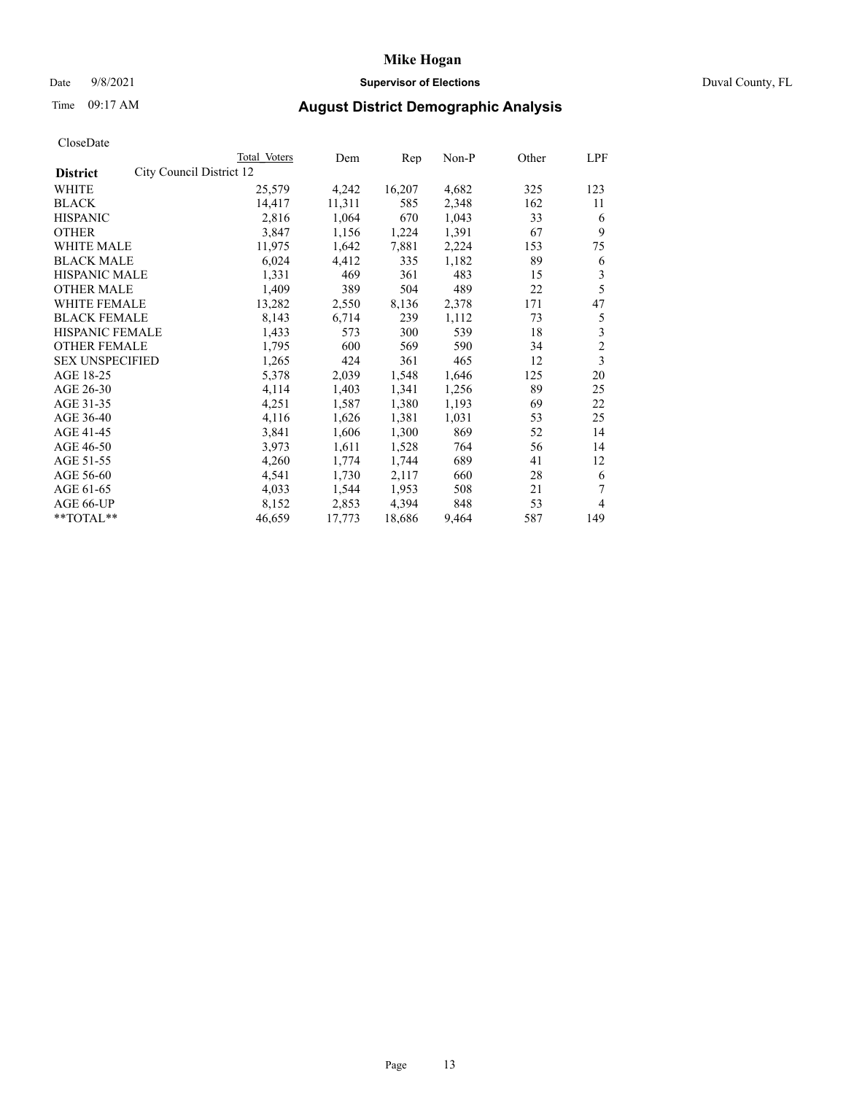## Date 9/8/2021 **Supervisor of Elections** Duval County, FL

# Time 09:17 AM **August District Demographic Analysis**

| Total Voters | Dem                      | Rep    | Non-P | Other | LPF            |
|--------------|--------------------------|--------|-------|-------|----------------|
|              |                          |        |       |       |                |
| 25,579       | 4,242                    | 16,207 | 4,682 | 325   | 123            |
| 14,417       | 11,311                   | 585    | 2,348 | 162   | 11             |
| 2,816        | 1,064                    | 670    | 1,043 | 33    | 6              |
| 3,847        | 1,156                    | 1,224  | 1,391 | 67    | 9              |
| 11,975       | 1,642                    | 7,881  | 2,224 | 153   | 75             |
| 6,024        | 4,412                    | 335    | 1,182 | 89    | 6              |
| 1,331        | 469                      | 361    | 483   | 15    | 3              |
| 1,409        | 389                      | 504    | 489   | 22    | 5              |
| 13,282       | 2,550                    | 8,136  | 2,378 | 171   | 47             |
| 8,143        | 6,714                    | 239    | 1,112 | 73    | 5              |
| 1,433        | 573                      | 300    | 539   | 18    | 3              |
| 1,795        | 600                      | 569    | 590   | 34    | $\overline{c}$ |
| 1,265        | 424                      | 361    | 465   | 12    | 3              |
| 5,378        | 2,039                    | 1,548  | 1,646 | 125   | 20             |
| 4,114        | 1,403                    | 1,341  | 1,256 | 89    | 25             |
| 4,251        | 1,587                    | 1,380  | 1,193 | 69    | 22             |
| 4,116        | 1,626                    | 1,381  | 1,031 | 53    | 25             |
| 3,841        | 1,606                    | 1,300  | 869   | 52    | 14             |
| 3,973        | 1,611                    | 1,528  | 764   | 56    | 14             |
| 4,260        | 1,774                    | 1,744  | 689   | 41    | 12             |
| 4,541        | 1,730                    | 2,117  | 660   | 28    | 6              |
| 4,033        | 1,544                    | 1,953  | 508   | 21    | 7              |
| 8,152        | 2,853                    | 4,394  | 848   | 53    | 4              |
| 46,659       | 17,773                   | 18,686 | 9,464 | 587   | 149            |
|              | City Council District 12 |        |       |       |                |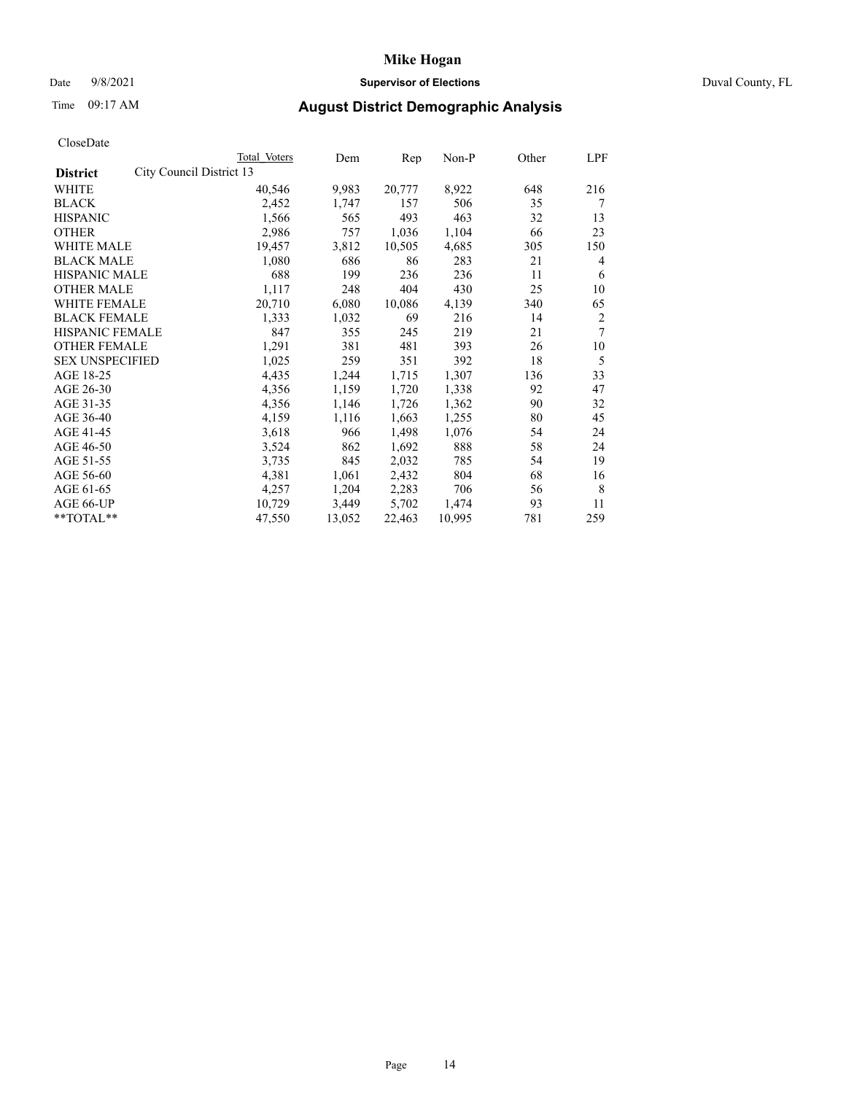## Date 9/8/2021 **Supervisor of Elections** Duval County, FL

# Time 09:17 AM **August District Demographic Analysis**

|                        |                          | Total Voters | Dem    | Rep    | Non-P  | Other | LPF |
|------------------------|--------------------------|--------------|--------|--------|--------|-------|-----|
| <b>District</b>        | City Council District 13 |              |        |        |        |       |     |
| WHITE                  |                          | 40,546       | 9,983  | 20,777 | 8,922  | 648   | 216 |
| <b>BLACK</b>           |                          | 2,452        | 1,747  | 157    | 506    | 35    | 7   |
| <b>HISPANIC</b>        |                          | 1,566        | 565    | 493    | 463    | 32    | 13  |
| <b>OTHER</b>           |                          | 2,986        | 757    | 1,036  | 1,104  | 66    | 23  |
| WHITE MALE             |                          | 19,457       | 3,812  | 10,505 | 4,685  | 305   | 150 |
| <b>BLACK MALE</b>      |                          | 1,080        | 686    | 86     | 283    | 21    | 4   |
| <b>HISPANIC MALE</b>   |                          | 688          | 199    | 236    | 236    | 11    | 6   |
| <b>OTHER MALE</b>      |                          | 1,117        | 248    | 404    | 430    | 25    | 10  |
| <b>WHITE FEMALE</b>    |                          | 20,710       | 6,080  | 10,086 | 4,139  | 340   | 65  |
| <b>BLACK FEMALE</b>    |                          | 1,333        | 1,032  | 69     | 216    | 14    | 2   |
| HISPANIC FEMALE        |                          | 847          | 355    | 245    | 219    | 21    | 7   |
| <b>OTHER FEMALE</b>    |                          | 1,291        | 381    | 481    | 393    | 26    | 10  |
| <b>SEX UNSPECIFIED</b> |                          | 1,025        | 259    | 351    | 392    | 18    | 5   |
| AGE 18-25              |                          | 4,435        | 1,244  | 1,715  | 1,307  | 136   | 33  |
| AGE 26-30              |                          | 4,356        | 1,159  | 1,720  | 1,338  | 92    | 47  |
| AGE 31-35              |                          | 4,356        | 1,146  | 1,726  | 1,362  | 90    | 32  |
| AGE 36-40              |                          | 4,159        | 1,116  | 1,663  | 1,255  | 80    | 45  |
| AGE 41-45              |                          | 3,618        | 966    | 1,498  | 1,076  | 54    | 24  |
| AGE 46-50              |                          | 3,524        | 862    | 1,692  | 888    | 58    | 24  |
| AGE 51-55              |                          | 3,735        | 845    | 2,032  | 785    | 54    | 19  |
| AGE 56-60              |                          | 4,381        | 1,061  | 2,432  | 804    | 68    | 16  |
| AGE 61-65              |                          | 4,257        | 1,204  | 2,283  | 706    | 56    | 8   |
| AGE 66-UP              |                          | 10,729       | 3,449  | 5,702  | 1,474  | 93    | 11  |
| **TOTAL**              |                          | 47,550       | 13,052 | 22,463 | 10,995 | 781   | 259 |
|                        |                          |              |        |        |        |       |     |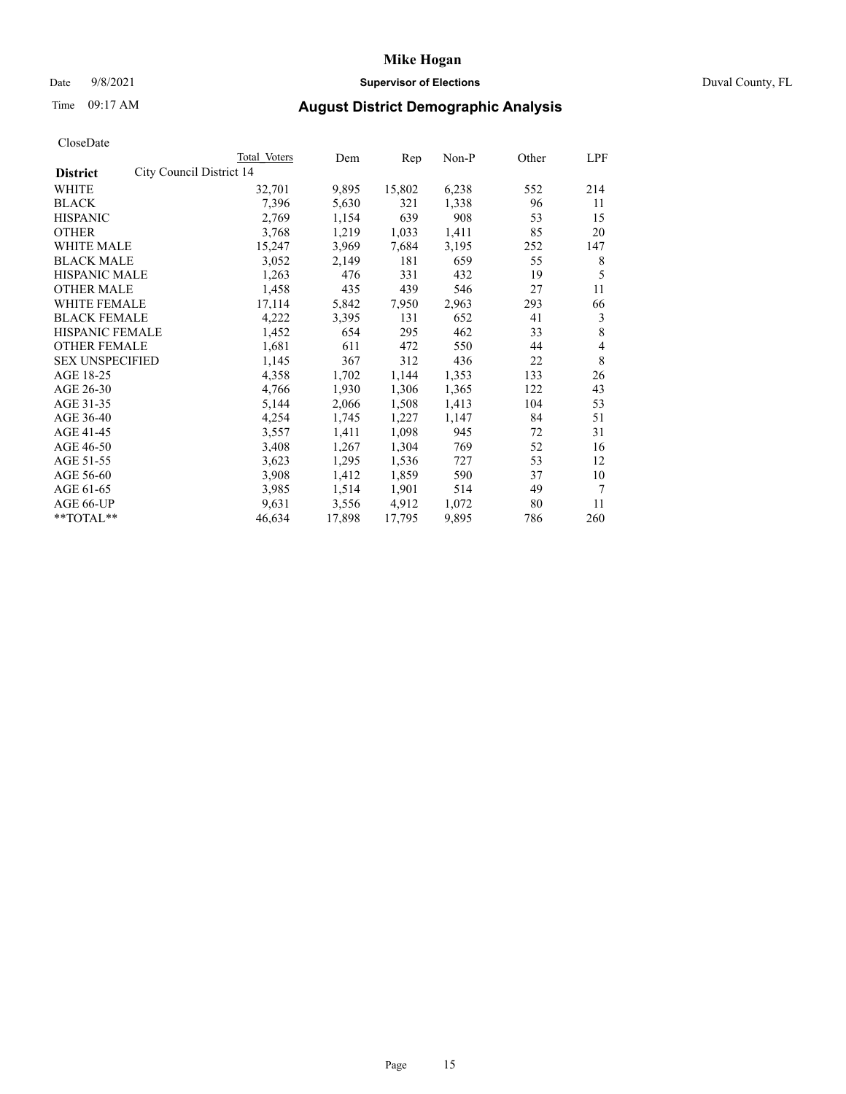## Date 9/8/2021 **Supervisor of Elections** Duval County, FL

# Time 09:17 AM **August District Demographic Analysis**

| CloscDate              |                          |              |        |        |       |       |     |
|------------------------|--------------------------|--------------|--------|--------|-------|-------|-----|
|                        |                          | Total Voters | Dem    | Rep    | Non-P | Other | LPF |
| <b>District</b>        | City Council District 14 |              |        |        |       |       |     |
| <b>WHITE</b>           |                          | 32,701       | 9,895  | 15,802 | 6,238 | 552   | 214 |
| <b>BLACK</b>           |                          | 7,396        | 5,630  | 321    | 1,338 | 96    | 11  |
| <b>HISPANIC</b>        |                          | 2,769        | 1,154  | 639    | 908   | 53    | 15  |
| <b>OTHER</b>           |                          | 3,768        | 1,219  | 1,033  | 1,411 | 85    | 20  |
| WHITE MALE             |                          | 15,247       | 3,969  | 7,684  | 3,195 | 252   | 147 |
| <b>BLACK MALE</b>      |                          | 3,052        | 2,149  | 181    | 659   | 55    | 8   |
| <b>HISPANIC MALE</b>   |                          | 1,263        | 476    | 331    | 432   | 19    | 5   |
| <b>OTHER MALE</b>      |                          | 1,458        | 435    | 439    | 546   | 27    | 11  |
| <b>WHITE FEMALE</b>    |                          | 17,114       | 5,842  | 7,950  | 2,963 | 293   | 66  |
| <b>BLACK FEMALE</b>    |                          | 4,222        | 3,395  | 131    | 652   | 41    | 3   |
| <b>HISPANIC FEMALE</b> |                          | 1,452        | 654    | 295    | 462   | 33    | 8   |
| <b>OTHER FEMALE</b>    |                          | 1,681        | 611    | 472    | 550   | 44    | 4   |
| <b>SEX UNSPECIFIED</b> |                          | 1,145        | 367    | 312    | 436   | 22    | 8   |
| AGE 18-25              |                          | 4,358        | 1,702  | 1,144  | 1,353 | 133   | 26  |
| AGE 26-30              |                          | 4,766        | 1,930  | 1,306  | 1,365 | 122   | 43  |
| AGE 31-35              |                          | 5,144        | 2,066  | 1,508  | 1,413 | 104   | 53  |
| AGE 36-40              |                          | 4,254        | 1,745  | 1,227  | 1,147 | 84    | 51  |
| AGE 41-45              |                          | 3,557        | 1,411  | 1,098  | 945   | 72    | 31  |
| AGE 46-50              |                          | 3,408        | 1,267  | 1,304  | 769   | 52    | 16  |
| AGE 51-55              |                          | 3,623        | 1,295  | 1,536  | 727   | 53    | 12  |
| AGE 56-60              |                          | 3,908        | 1,412  | 1,859  | 590   | 37    | 10  |
| AGE 61-65              |                          | 3,985        | 1,514  | 1,901  | 514   | 49    | 7   |
| AGE 66-UP              |                          | 9,631        | 3,556  | 4,912  | 1,072 | 80    | 11  |
| $*$ $TOTAL**$          |                          | 46,634       | 17,898 | 17,795 | 9,895 | 786   | 260 |
|                        |                          |              |        |        |       |       |     |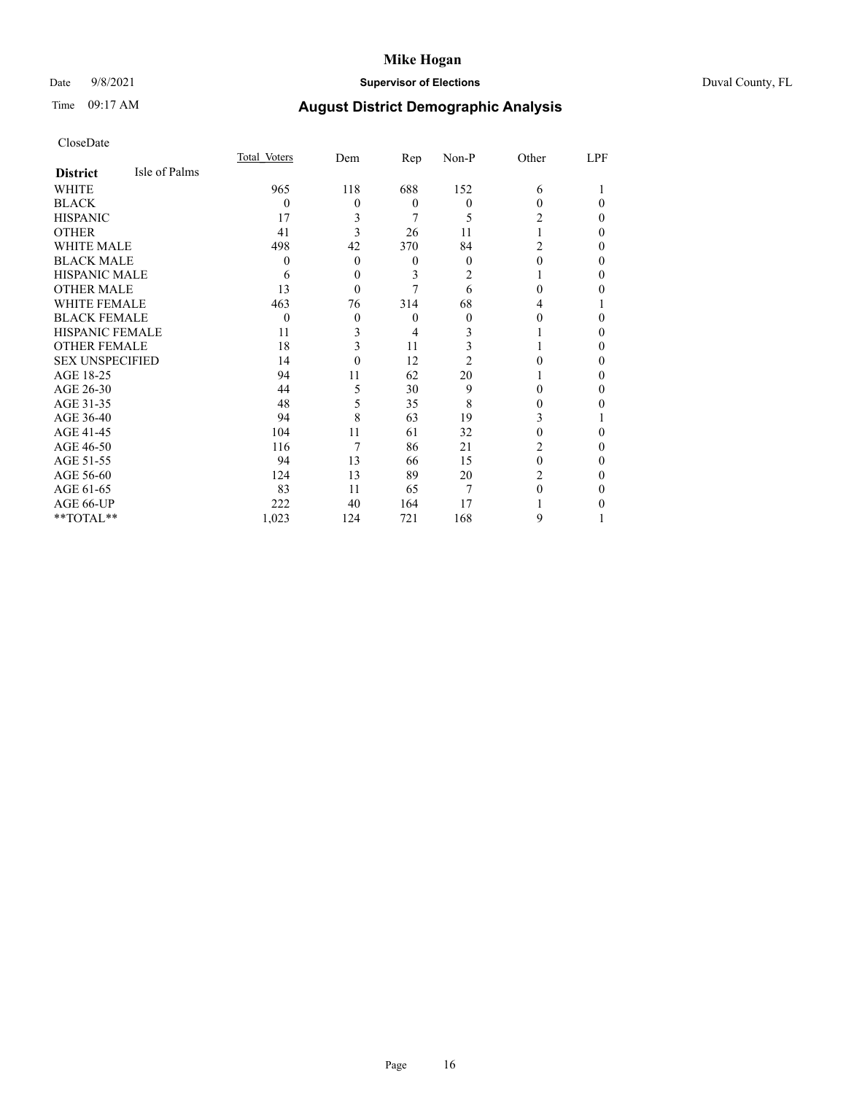## Date 9/8/2021 **Supervisor of Elections** Duval County, FL

# Time 09:17 AM **August District Demographic Analysis**

|                        |               | Total Voters | Dem      | Rep            | Non-P    | Other          | LPF      |
|------------------------|---------------|--------------|----------|----------------|----------|----------------|----------|
| <b>District</b>        | Isle of Palms |              |          |                |          |                |          |
| WHITE                  |               | 965          | 118      | 688            | 152      | 6              |          |
| <b>BLACK</b>           |               | 0            | $\theta$ | $\overline{0}$ | $\theta$ | 0              | $\Omega$ |
| <b>HISPANIC</b>        |               | 17           | 3        | 7              | 5        | 2              | $\theta$ |
| <b>OTHER</b>           |               | 41           | 3        | 26             | 11       |                | $\Omega$ |
| <b>WHITE MALE</b>      |               | 498          | 42       | 370            | 84       | $\overline{c}$ | $\Omega$ |
| <b>BLACK MALE</b>      |               | 0            | $\theta$ | $\theta$       | $\theta$ | 0              | $\Omega$ |
| <b>HISPANIC MALE</b>   |               | 6            | $\theta$ | 3              | 2        |                | $\Omega$ |
| <b>OTHER MALE</b>      |               | 13           | $\theta$ |                | 6        | 0              | 0        |
| <b>WHITE FEMALE</b>    |               | 463          | 76       | 314            | 68       | 4              |          |
| <b>BLACK FEMALE</b>    |               | 0            | $\theta$ | $\theta$       | 0        | 0              | 0        |
| <b>HISPANIC FEMALE</b> |               | 11           | 3        | 4              | 3        |                | $\Omega$ |
| <b>OTHER FEMALE</b>    |               | 18           | 3        | 11             | 3        |                | $\Omega$ |
| <b>SEX UNSPECIFIED</b> |               | 14           | 0        | 12             | 2        |                | $\Omega$ |
| AGE 18-25              |               | 94           | 11       | 62             | 20       |                | $\Omega$ |
| AGE 26-30              |               | 44           | 5        | 30             | 9        | 0              | $\Omega$ |
| AGE 31-35              |               | 48           | 5        | 35             | 8        | 0              | 0        |
| AGE 36-40              |               | 94           | 8        | 63             | 19       | 3              |          |
| AGE 41-45              |               | 104          | 11       | 61             | 32       | 0              | 0        |
| AGE 46-50              |               | 116          | 7        | 86             | 21       | 2              | $\theta$ |
| AGE 51-55              |               | 94           | 13       | 66             | 15       | 0              | $\Omega$ |
| AGE 56-60              |               | 124          | 13       | 89             | 20       | 2              | $\Omega$ |
| AGE 61-65              |               | 83           | 11       | 65             | 7        | 0              | $\Omega$ |
| AGE 66-UP              |               | 222          | 40       | 164            | 17       |                | 0        |
| **TOTAL**              |               | 1,023        | 124      | 721            | 168      | 9              |          |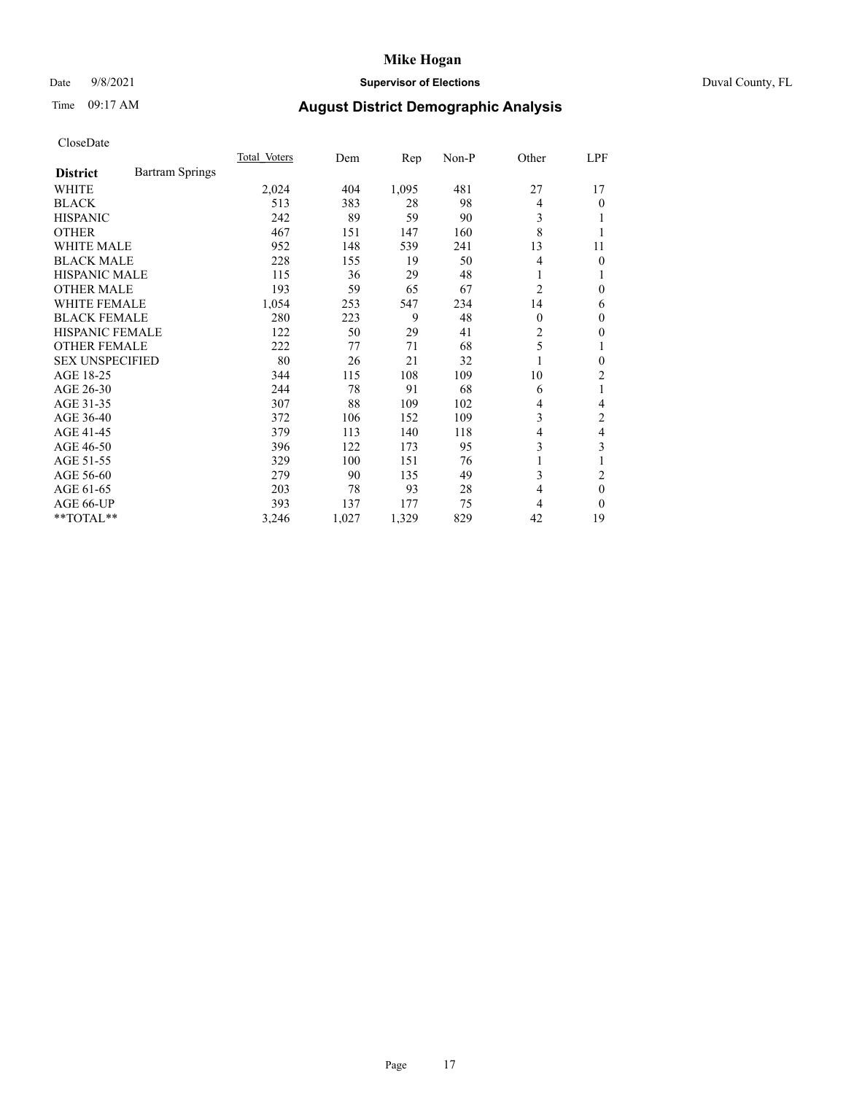## Date 9/8/2021 **Supervisor of Elections** Duval County, FL

# Time 09:17 AM **August District Demographic Analysis**

|                                           | Total Voters | Dem   | Rep   | $Non-P$ | Other    | LPF      |
|-------------------------------------------|--------------|-------|-------|---------|----------|----------|
| <b>Bartram Springs</b><br><b>District</b> |              |       |       |         |          |          |
| WHITE                                     | 2,024        | 404   | 1,095 | 481     | 27       | 17       |
| <b>BLACK</b>                              | 513          | 383   | 28    | 98      | 4        | 0        |
| <b>HISPANIC</b>                           | 242          | 89    | 59    | 90      | 3        |          |
| <b>OTHER</b>                              | 467          | 151   | 147   | 160     | 8        |          |
| <b>WHITE MALE</b>                         | 952          | 148   | 539   | 241     | 13       | 11       |
| <b>BLACK MALE</b>                         | 228          | 155   | 19    | 50      | 4        | 0        |
| <b>HISPANIC MALE</b>                      | 115          | 36    | 29    | 48      | 1        |          |
| <b>OTHER MALE</b>                         | 193          | 59    | 65    | 67      | 2        | 0        |
| WHITE FEMALE                              | 1,054        | 253   | 547   | 234     | 14       | 6        |
| <b>BLACK FEMALE</b>                       | 280          | 223   | 9     | 48      | $\theta$ | 0        |
| <b>HISPANIC FEMALE</b>                    | 122          | 50    | 29    | 41      | 2        | 0        |
| <b>OTHER FEMALE</b>                       | 222          | 77    | 71    | 68      | 5        | 1        |
| <b>SEX UNSPECIFIED</b>                    | 80           | 26    | 21    | 32      | 1        | 0        |
| AGE 18-25                                 | 344          | 115   | 108   | 109     | 10       | 2        |
| AGE 26-30                                 | 244          | 78    | 91    | 68      | 6        | 1        |
| AGE 31-35                                 | 307          | 88    | 109   | 102     | 4        | 4        |
| AGE 36-40                                 | 372          | 106   | 152   | 109     | 3        | 2        |
| AGE 41-45                                 | 379          | 113   | 140   | 118     | 4        | 4        |
| AGE 46-50                                 | 396          | 122   | 173   | 95      | 3        | 3        |
| AGE 51-55                                 | 329          | 100   | 151   | 76      | 1        |          |
| AGE 56-60                                 | 279          | 90    | 135   | 49      | 3        | 2        |
| AGE 61-65                                 | 203          | 78    | 93    | 28      | 4        | $\theta$ |
| AGE 66-UP                                 | 393          | 137   | 177   | 75      | 4        | 0        |
| **TOTAL**                                 | 3,246        | 1,027 | 1,329 | 829     | 42       | 19       |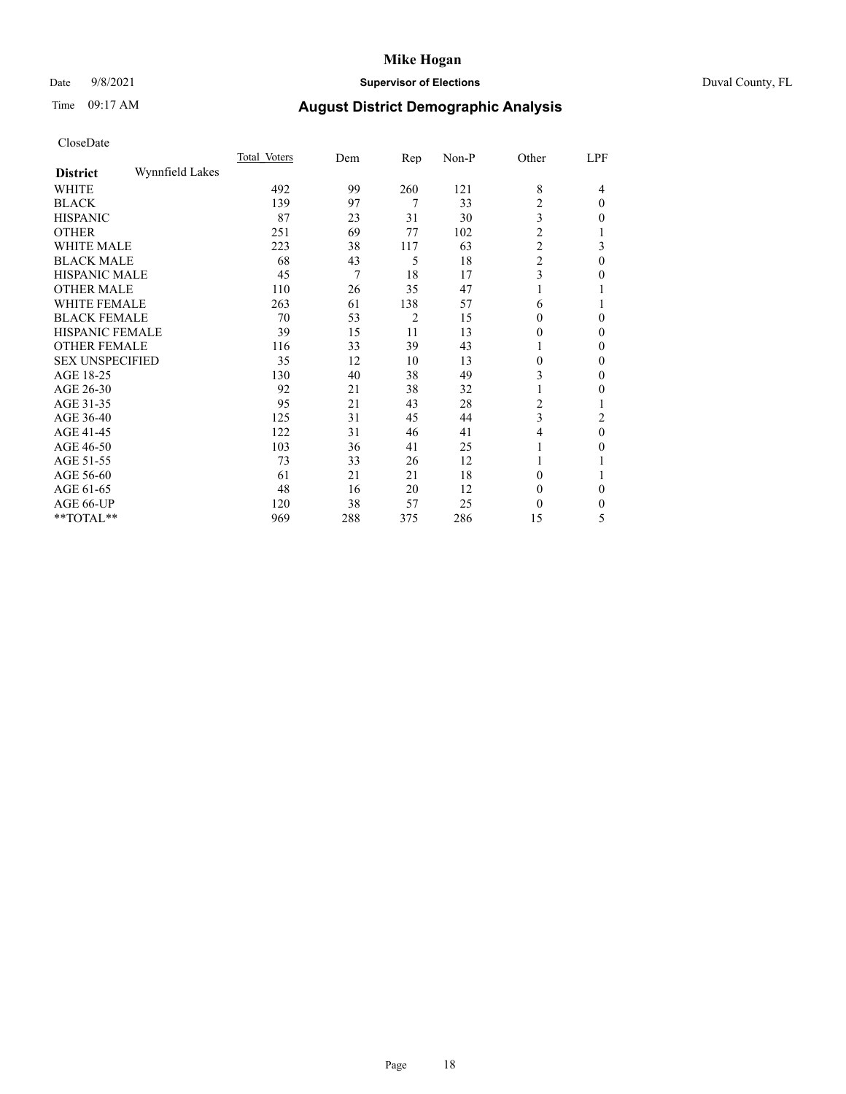## Date 9/8/2021 **Supervisor of Elections** Duval County, FL

# Time 09:17 AM **August District Demographic Analysis**

|                        |                 | Total Voters | Dem | Rep            | Non-P | Other                   | LPF      |
|------------------------|-----------------|--------------|-----|----------------|-------|-------------------------|----------|
| <b>District</b>        | Wynnfield Lakes |              |     |                |       |                         |          |
| WHITE                  |                 | 492          | 99  | 260            | 121   | 8                       | 4        |
| <b>BLACK</b>           |                 | 139          | 97  | 7              | 33    | 2                       | $\theta$ |
| <b>HISPANIC</b>        |                 | 87           | 23  | 31             | 30    | 3                       | $\Omega$ |
| <b>OTHER</b>           |                 | 251          | 69  | 77             | 102   | 2                       |          |
| WHITE MALE             |                 | 223          | 38  | 117            | 63    | $\overline{\mathbf{c}}$ | 3        |
| <b>BLACK MALE</b>      |                 | 68           | 43  | 5              | 18    | $\overline{\mathbf{c}}$ | $\theta$ |
| <b>HISPANIC MALE</b>   |                 | 45           | 7   | 18             | 17    | 3                       | 0        |
| <b>OTHER MALE</b>      |                 | 110          | 26  | 35             | 47    |                         |          |
| <b>WHITE FEMALE</b>    |                 | 263          | 61  | 138            | 57    | 6                       |          |
| <b>BLACK FEMALE</b>    |                 | 70           | 53  | $\overline{c}$ | 15    | $\Omega$                | $\Omega$ |
| <b>HISPANIC FEMALE</b> |                 | 39           | 15  | 11             | 13    | 0                       | $\Omega$ |
| <b>OTHER FEMALE</b>    |                 | 116          | 33  | 39             | 43    |                         | $\Omega$ |
| <b>SEX UNSPECIFIED</b> |                 | 35           | 12  | 10             | 13    | $\theta$                | $\Omega$ |
| AGE 18-25              |                 | 130          | 40  | 38             | 49    | 3                       | $\theta$ |
| AGE 26-30              |                 | 92           | 21  | 38             | 32    |                         | $\Omega$ |
| AGE 31-35              |                 | 95           | 21  | 43             | 28    | 2                       |          |
| AGE 36-40              |                 | 125          | 31  | 45             | 44    | 3                       | 2        |
| AGE 41-45              |                 | 122          | 31  | 46             | 41    | 4                       | $\theta$ |
| AGE 46-50              |                 | 103          | 36  | 41             | 25    |                         | 0        |
| AGE 51-55              |                 | 73           | 33  | 26             | 12    |                         |          |
| AGE 56-60              |                 | 61           | 21  | 21             | 18    | 0                       |          |
| AGE 61-65              |                 | 48           | 16  | 20             | 12    | $\theta$                | $\Omega$ |
| AGE 66-UP              |                 | 120          | 38  | 57             | 25    | 0                       | 0        |
| **TOTAL**              |                 | 969          | 288 | 375            | 286   | 15                      | 5        |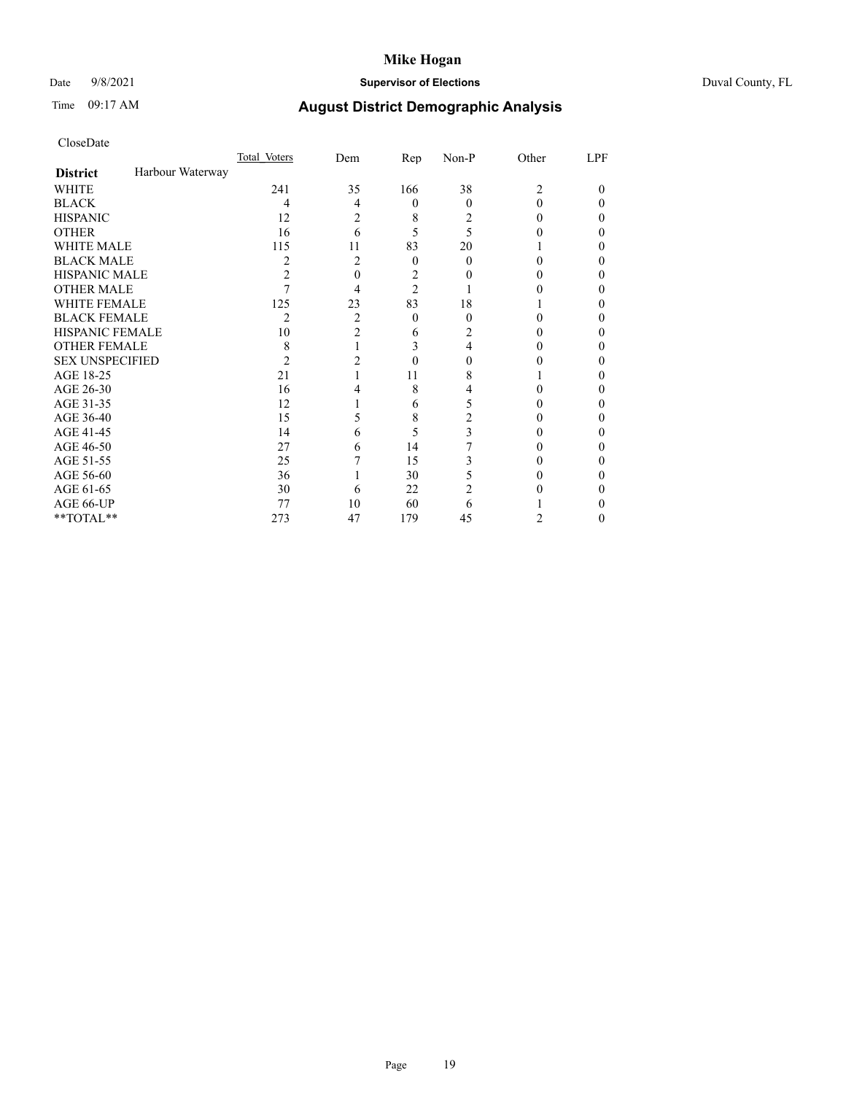## Date 9/8/2021 **Supervisor of Elections** Duval County, FL

# Time 09:17 AM **August District Demographic Analysis**

|                        |                  | Total Voters | Dem            | Rep            | Non-P | Other | LPF |
|------------------------|------------------|--------------|----------------|----------------|-------|-------|-----|
| <b>District</b>        | Harbour Waterway |              |                |                |       |       |     |
| WHITE                  |                  | 241          | 35             | 166            | 38    | 2     | 0   |
| <b>BLACK</b>           |                  | 4            | 4              | 0              | 0     | 0     | 0   |
| <b>HISPANIC</b>        |                  | 12           | 2              | 8              | 2     | 0     | 0   |
| <b>OTHER</b>           |                  | 16           | 6              | 5              | 5     |       |     |
| <b>WHITE MALE</b>      |                  | 115          | 11             | 83             | 20    |       |     |
| <b>BLACK MALE</b>      |                  | 2            | 2              | $\theta$       | 0     | 0     | 0   |
| <b>HISPANIC MALE</b>   |                  | 2            | 0              | 2              |       |       |     |
| <b>OTHER MALE</b>      |                  |              | 4              | $\overline{c}$ |       |       | 0   |
| <b>WHITE FEMALE</b>    |                  | 125          | 23             | 83             | 18    |       |     |
| <b>BLACK FEMALE</b>    |                  | 2            | 2              | $\theta$       | 0     | 0     | 0   |
| <b>HISPANIC FEMALE</b> |                  | 10           | $\overline{2}$ | 6              | 2     |       |     |
| <b>OTHER FEMALE</b>    |                  | 8            |                | 3              | 4     |       | 0   |
| <b>SEX UNSPECIFIED</b> |                  | 2            | 2              |                |       |       |     |
| AGE 18-25              |                  | 21           |                | 11             | 8     |       |     |
| AGE 26-30              |                  | 16           | 4              | 8              |       |       |     |
| AGE 31-35              |                  | 12           |                | 6              | 5     |       | 0   |
| AGE 36-40              |                  | 15           | 5              | 8              | 2     |       | 0   |
| AGE 41-45              |                  | 14           | 6              | 5              | 3     |       |     |
| AGE 46-50              |                  | 27           | 6              | 14             |       | 0     | 0   |
| AGE 51-55              |                  | 25           |                | 15             | 3     |       |     |
| AGE 56-60              |                  | 36           |                | 30             | 5     |       |     |
| AGE 61-65              |                  | 30           | 6              | 22             | 2     |       |     |
| AGE 66-UP              |                  | 77           | 10             | 60             | 6     |       |     |
| **TOTAL**              |                  | 273          | 47             | 179            | 45    | 2     | 0   |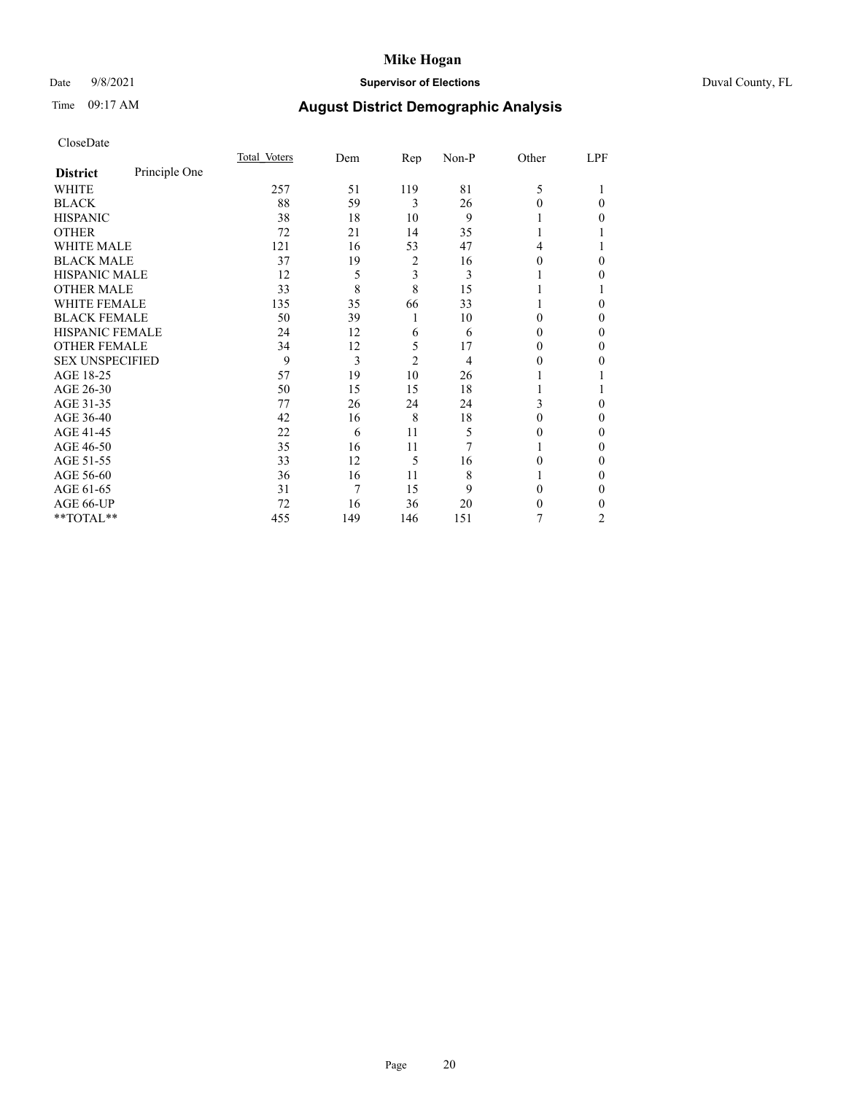## Date 9/8/2021 **Supervisor of Elections** Duval County, FL

# Time 09:17 AM **August District Demographic Analysis**

|                        |               | Total Voters | Dem | Rep            | Non-P | Other  | LPF |
|------------------------|---------------|--------------|-----|----------------|-------|--------|-----|
| <b>District</b>        | Principle One |              |     |                |       |        |     |
| WHITE                  |               | 257          | 51  | 119            | 81    | 5      |     |
| <b>BLACK</b>           |               | 88           | 59  | 3              | 26    | 0      | 0   |
| <b>HISPANIC</b>        |               | 38           | 18  | 10             | 9     |        | 0   |
| <b>OTHER</b>           |               | 72           | 21  | 14             | 35    |        |     |
| <b>WHITE MALE</b>      |               | 121          | 16  | 53             | 47    | 4      |     |
| <b>BLACK MALE</b>      |               | 37           | 19  | 2              | 16    | 0      | 0   |
| <b>HISPANIC MALE</b>   |               | 12           | 5   | 3              | 3     |        | 0   |
| <b>OTHER MALE</b>      |               | 33           | 8   | 8              | 15    |        |     |
| <b>WHITE FEMALE</b>    |               | 135          | 35  | 66             | 33    |        | 0   |
| <b>BLACK FEMALE</b>    |               | 50           | 39  | 1              | 10    | 0      | 0   |
| HISPANIC FEMALE        |               | 24           | 12  | 6              | 6     | 0      | 0   |
| <b>OTHER FEMALE</b>    |               | 34           | 12  | 5              | 17    | $_{0}$ | 0   |
| <b>SEX UNSPECIFIED</b> |               | 9            | 3   | $\overline{2}$ | 4     | 0      | 0   |
| AGE 18-25              |               | 57           | 19  | 10             | 26    |        |     |
| AGE 26-30              |               | 50           | 15  | 15             | 18    |        |     |
| AGE 31-35              |               | 77           | 26  | 24             | 24    | 3      | 0   |
| AGE 36-40              |               | 42           | 16  | 8              | 18    | 0      | 0   |
| AGE 41-45              |               | 22           | 6   | 11             | 5     | 0      | 0   |
| AGE 46-50              |               | 35           | 16  | 11             | 7     |        | 0   |
| AGE 51-55              |               | 33           | 12  | 5              | 16    | 0      | 0   |
| AGE 56-60              |               | 36           | 16  | 11             | 8     |        | 0   |
| AGE 61-65              |               | 31           | 7   | 15             | 9     | 0      | 0   |
| AGE 66-UP              |               | 72           | 16  | 36             | 20    | 0      | 0   |
| **TOTAL**              |               | 455          | 149 | 146            | 151   | 7      | 2   |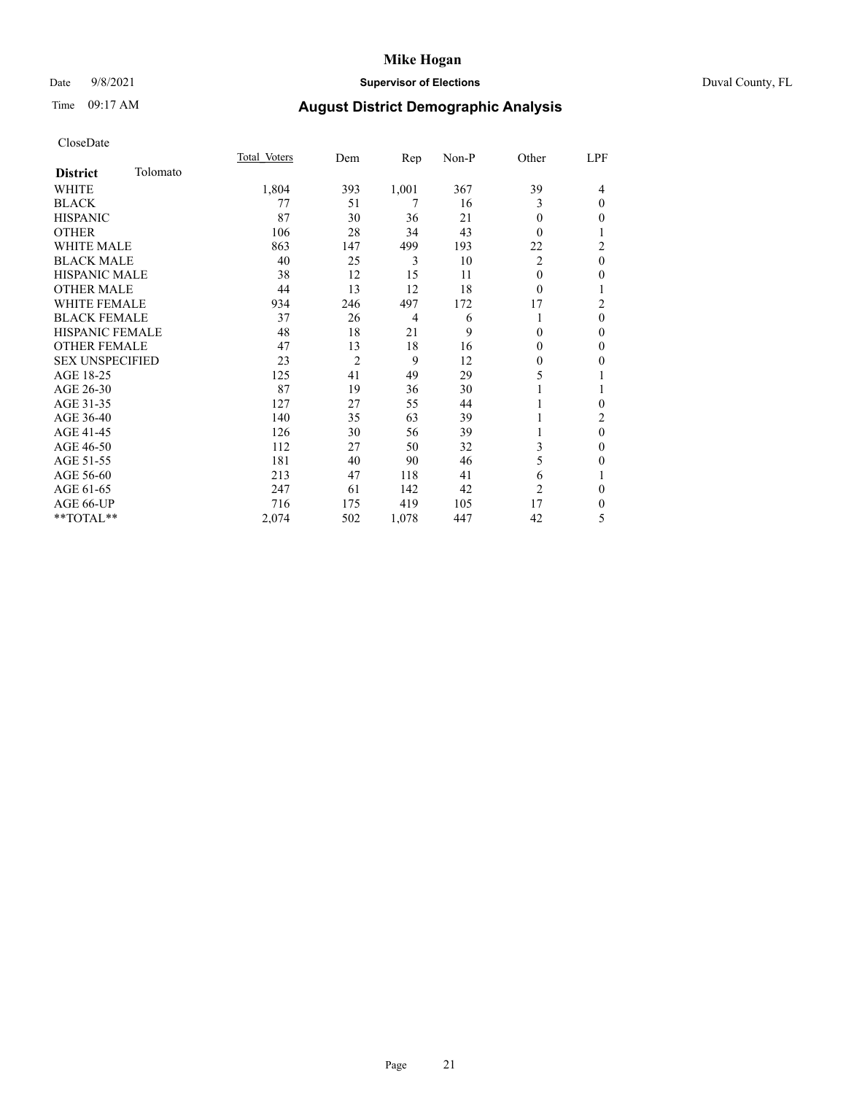## Date 9/8/2021 **Supervisor of Elections** Duval County, FL

# Time 09:17 AM **August District Demographic Analysis**

|                        |          | Total Voters | Dem | Rep            | Non-P | Other          | LPF            |
|------------------------|----------|--------------|-----|----------------|-------|----------------|----------------|
| <b>District</b>        | Tolomato |              |     |                |       |                |                |
| WHITE                  |          | 1,804        | 393 | 1,001          | 367   | 39             | 4              |
| <b>BLACK</b>           |          | 77           | 51  | 7              | 16    | 3              | $\theta$       |
| <b>HISPANIC</b>        |          | 87           | 30  | 36             | 21    | 0              | $\mathbf{0}$   |
| <b>OTHER</b>           |          | 106          | 28  | 34             | 43    | 0              | 1              |
| <b>WHITE MALE</b>      |          | 863          | 147 | 499            | 193   | 22             | $\overline{c}$ |
| <b>BLACK MALE</b>      |          | 40           | 25  | 3              | 10    | $\overline{2}$ | $\mathbf{0}$   |
| <b>HISPANIC MALE</b>   |          | 38           | 12  | 15             | 11    | 0              | $\mathbf{0}$   |
| <b>OTHER MALE</b>      |          | 44           | 13  | 12             | 18    | 0              | 1              |
| <b>WHITE FEMALE</b>    |          | 934          | 246 | 497            | 172   | 17             | 2              |
| <b>BLACK FEMALE</b>    |          | 37           | 26  | $\overline{4}$ | 6     | 1              | $\theta$       |
| <b>HISPANIC FEMALE</b> |          | 48           | 18  | 21             | 9     | 0              | $\mathbf{0}$   |
| <b>OTHER FEMALE</b>    |          | 47           | 13  | 18             | 16    | 0              | $\theta$       |
| <b>SEX UNSPECIFIED</b> |          | 23           | 2   | 9              | 12    | $\mathbf{0}$   | $\mathbf{0}$   |
| AGE 18-25              |          | 125          | 41  | 49             | 29    | 5              | 1              |
| AGE 26-30              |          | 87           | 19  | 36             | 30    |                | 1              |
| AGE 31-35              |          | 127          | 27  | 55             | 44    |                | $\theta$       |
| AGE 36-40              |          | 140          | 35  | 63             | 39    |                | $\overline{2}$ |
| AGE 41-45              |          | 126          | 30  | 56             | 39    |                | $\mathbf{0}$   |
| AGE 46-50              |          | 112          | 27  | 50             | 32    | 3              | $\mathbf{0}$   |
| AGE 51-55              |          | 181          | 40  | 90             | 46    | 5              | $\mathbf{0}$   |
| AGE 56-60              |          | 213          | 47  | 118            | 41    | 6              | 1              |
| AGE 61-65              |          | 247          | 61  | 142            | 42    | 2              | $\mathbf{0}$   |
| AGE 66-UP              |          | 716          | 175 | 419            | 105   | 17             | $\mathbf{0}$   |
| **TOTAL**              |          | 2,074        | 502 | 1,078          | 447   | 42             | 5              |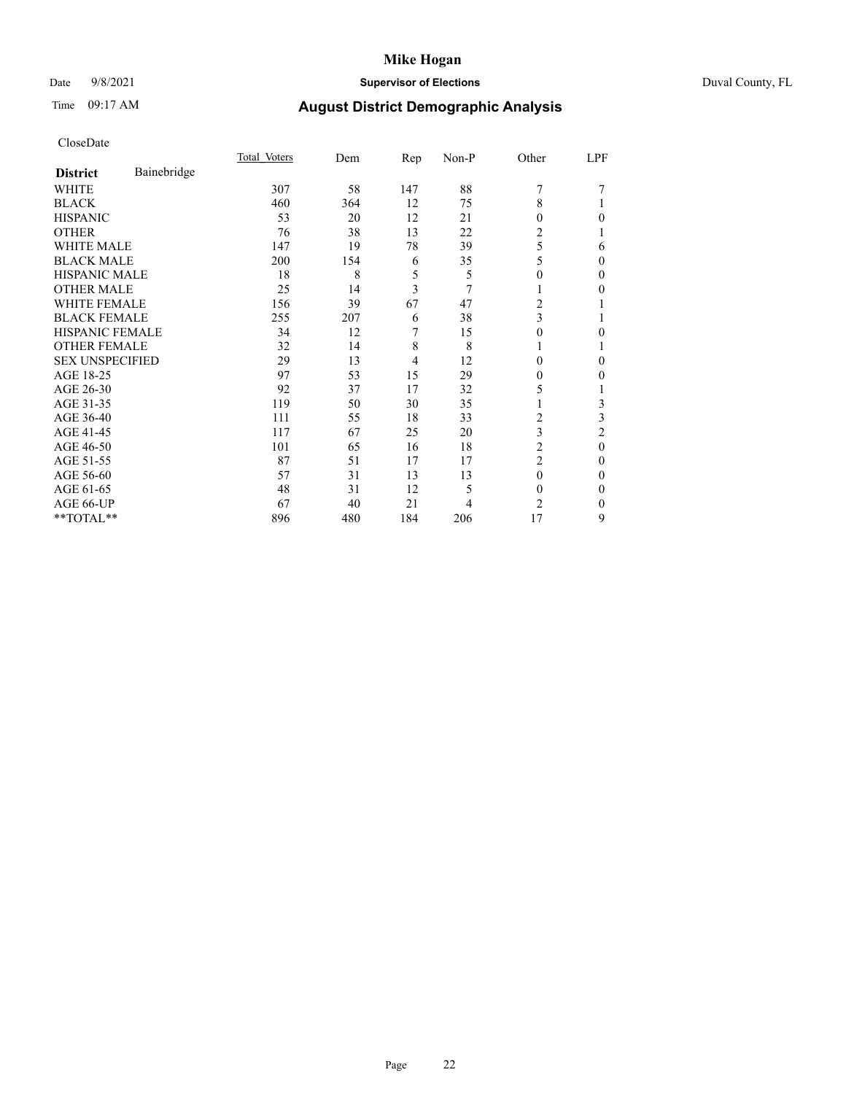## Date 9/8/2021 **Supervisor of Elections** Duval County, FL

# Time 09:17 AM **August District Demographic Analysis**

|                                | Total Voters | Dem | Rep            | Non-P | Other          | LPF            |
|--------------------------------|--------------|-----|----------------|-------|----------------|----------------|
| Bainebridge<br><b>District</b> |              |     |                |       |                |                |
| WHITE                          | 307          | 58  | 147            | 88    | 7              |                |
| <b>BLACK</b>                   | 460          | 364 | 12             | 75    | 8              |                |
| <b>HISPANIC</b>                | 53           | 20  | 12             | 21    | $\Omega$       | 0              |
| <b>OTHER</b>                   | 76           | 38  | 13             | 22    | 2              |                |
| <b>WHITE MALE</b>              | 147          | 19  | 78             | 39    | 5              | 6              |
| <b>BLACK MALE</b>              | 200          | 154 | 6              | 35    | 5              | 0              |
| <b>HISPANIC MALE</b>           | 18           | 8   | 5              | 5     | $\theta$       | 0              |
| <b>OTHER MALE</b>              | 25           | 14  | 3              | 7     | 1              | 0              |
| <b>WHITE FEMALE</b>            | 156          | 39  | 67             | 47    | 2              |                |
| <b>BLACK FEMALE</b>            | 255          | 207 | 6              | 38    | 3              |                |
| <b>HISPANIC FEMALE</b>         | 34           | 12  | 7              | 15    | $\Omega$       | 0              |
| <b>OTHER FEMALE</b>            | 32           | 14  | 8              | 8     |                |                |
| <b>SEX UNSPECIFIED</b>         | 29           | 13  | $\overline{4}$ | 12    | $\theta$       | 0              |
| AGE 18-25                      | 97           | 53  | 15             | 29    | $_{0}$         | 0              |
| AGE 26-30                      | 92           | 37  | 17             | 32    | 5              |                |
| AGE 31-35                      | 119          | 50  | 30             | 35    |                | 3              |
| AGE 36-40                      | 111          | 55  | 18             | 33    | 2              | 3              |
| AGE 41-45                      | 117          | 67  | 25             | 20    | 3              | $\overline{c}$ |
| AGE 46-50                      | 101          | 65  | 16             | 18    | $\overline{c}$ | $\mathbf{0}$   |
| AGE 51-55                      | 87           | 51  | 17             | 17    | $\overline{c}$ | 0              |
| AGE 56-60                      | 57           | 31  | 13             | 13    | $\theta$       | 0              |
| AGE 61-65                      | 48           | 31  | 12             | 5     | $\theta$       | 0              |
| AGE 66-UP                      | 67           | 40  | 21             | 4     | 2              | 0              |
| **TOTAL**                      | 896          | 480 | 184            | 206   | 17             | 9              |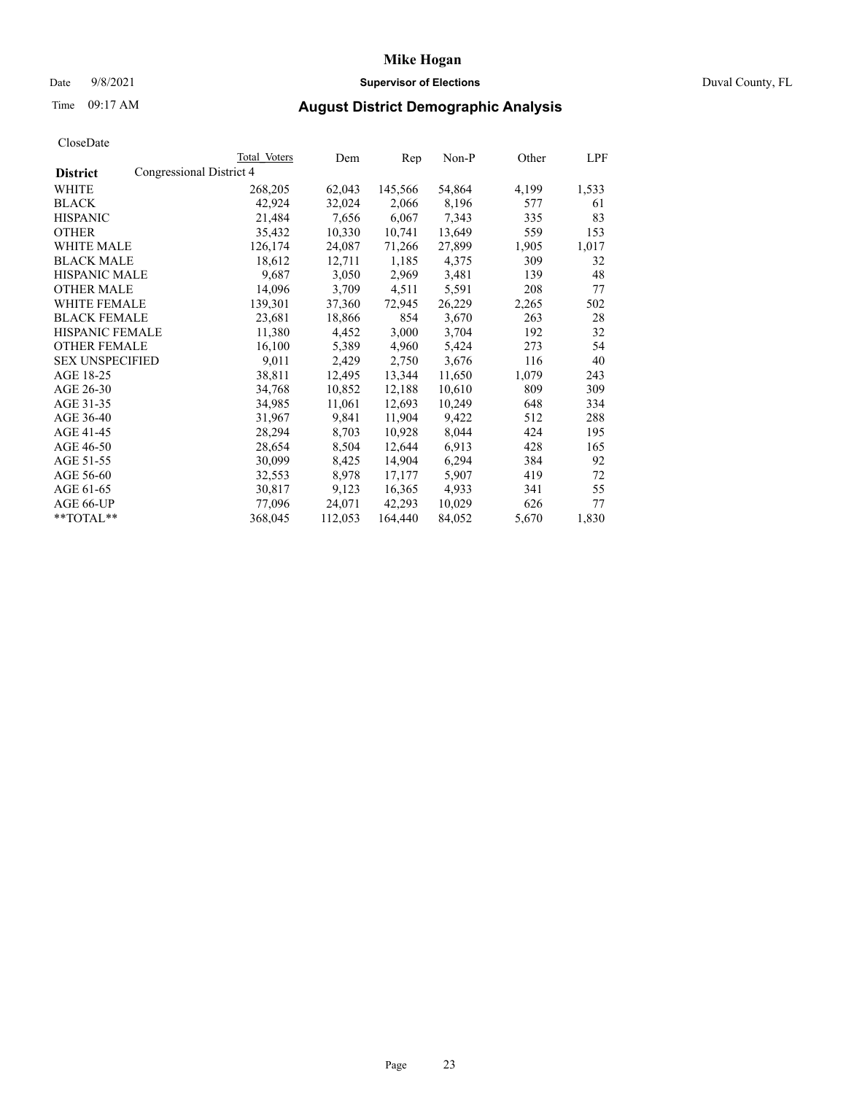## **Mike Hogan** Date 9/8/2021 **Supervisor of Elections** Duval County, FL

# Time 09:17 AM **August District Demographic Analysis**

|                        |                          | Total Voters | Dem     | Rep     | $Non-P$ | Other | <b>LPF</b> |
|------------------------|--------------------------|--------------|---------|---------|---------|-------|------------|
| <b>District</b>        | Congressional District 4 |              |         |         |         |       |            |
| WHITE                  |                          | 268,205      | 62,043  | 145,566 | 54,864  | 4,199 | 1,533      |
| <b>BLACK</b>           |                          | 42,924       | 32,024  | 2,066   | 8,196   | 577   | 61         |
| <b>HISPANIC</b>        |                          | 21,484       | 7,656   | 6,067   | 7,343   | 335   | 83         |
| <b>OTHER</b>           |                          | 35,432       | 10,330  | 10,741  | 13,649  | 559   | 153        |
| WHITE MALE             |                          | 126,174      | 24,087  | 71,266  | 27,899  | 1,905 | 1,017      |
| <b>BLACK MALE</b>      |                          | 18,612       | 12,711  | 1,185   | 4,375   | 309   | 32         |
| <b>HISPANIC MALE</b>   |                          | 9,687        | 3,050   | 2,969   | 3,481   | 139   | 48         |
| <b>OTHER MALE</b>      |                          | 14,096       | 3,709   | 4,511   | 5,591   | 208   | 77         |
| <b>WHITE FEMALE</b>    |                          | 139,301      | 37,360  | 72,945  | 26,229  | 2,265 | 502        |
| <b>BLACK FEMALE</b>    |                          | 23,681       | 18,866  | 854     | 3,670   | 263   | 28         |
| HISPANIC FEMALE        |                          | 11,380       | 4,452   | 3,000   | 3,704   | 192   | 32         |
| <b>OTHER FEMALE</b>    |                          | 16,100       | 5,389   | 4,960   | 5,424   | 273   | 54         |
| <b>SEX UNSPECIFIED</b> |                          | 9,011        | 2,429   | 2,750   | 3,676   | 116   | 40         |
| AGE 18-25              |                          | 38,811       | 12,495  | 13,344  | 11,650  | 1,079 | 243        |
| AGE 26-30              |                          | 34,768       | 10,852  | 12,188  | 10,610  | 809   | 309        |
| AGE 31-35              |                          | 34,985       | 11,061  | 12,693  | 10,249  | 648   | 334        |
| AGE 36-40              |                          | 31,967       | 9,841   | 11,904  | 9,422   | 512   | 288        |
| AGE 41-45              |                          | 28,294       | 8,703   | 10,928  | 8,044   | 424   | 195        |
| AGE 46-50              |                          | 28,654       | 8,504   | 12,644  | 6,913   | 428   | 165        |
| AGE 51-55              |                          | 30,099       | 8,425   | 14,904  | 6,294   | 384   | 92         |
| AGE 56-60              |                          | 32,553       | 8,978   | 17,177  | 5,907   | 419   | 72         |
| AGE 61-65              |                          | 30,817       | 9,123   | 16,365  | 4,933   | 341   | 55         |
| AGE 66-UP              |                          | 77,096       | 24,071  | 42,293  | 10,029  | 626   | 77         |
| $*$ $TOTAL**$          |                          | 368,045      | 112,053 | 164,440 | 84,052  | 5,670 | 1,830      |
|                        |                          |              |         |         |         |       |            |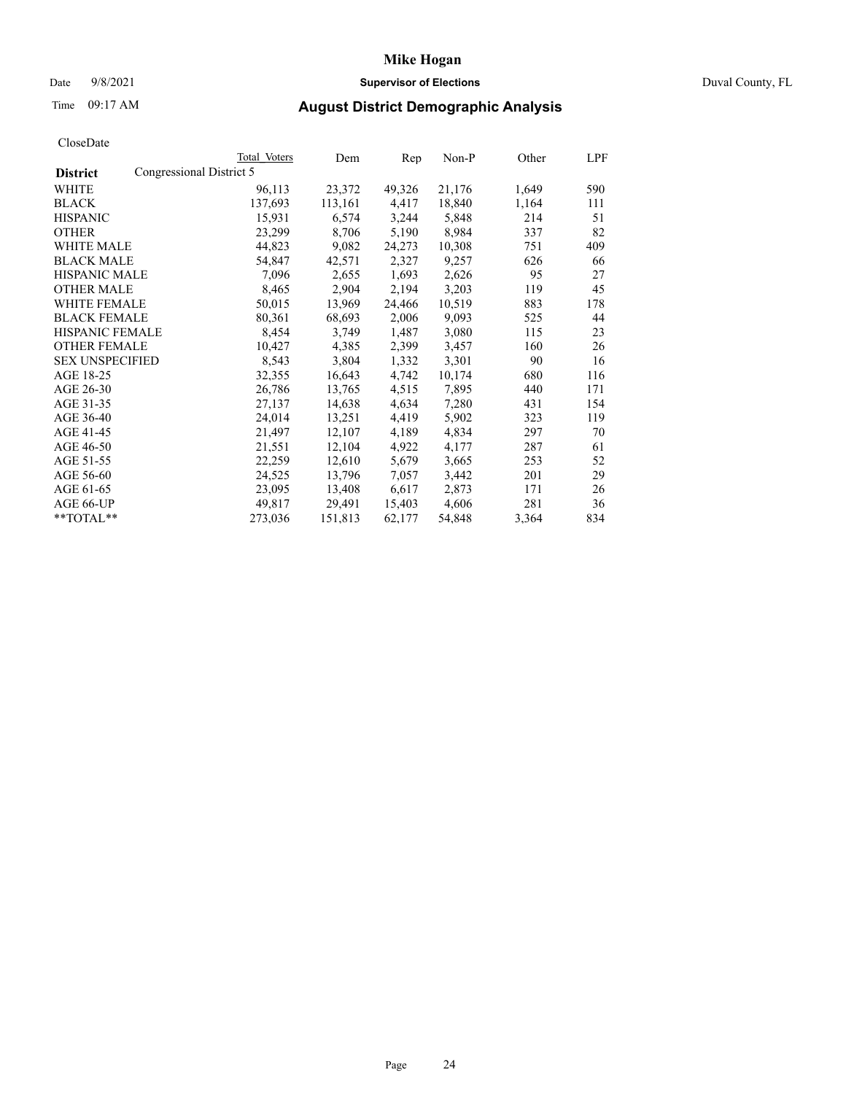## Date 9/8/2021 **Supervisor of Elections** Duval County, FL

# Time 09:17 AM **August District Demographic Analysis**

|                        |                          | Total Voters | Dem     | Rep    | Non-P  | Other | LPF |
|------------------------|--------------------------|--------------|---------|--------|--------|-------|-----|
| <b>District</b>        | Congressional District 5 |              |         |        |        |       |     |
| WHITE                  |                          | 96,113       | 23,372  | 49,326 | 21,176 | 1,649 | 590 |
| <b>BLACK</b>           |                          | 137,693      | 113,161 | 4,417  | 18,840 | 1,164 | 111 |
| <b>HISPANIC</b>        |                          | 15,931       | 6,574   | 3,244  | 5,848  | 214   | 51  |
| <b>OTHER</b>           |                          | 23,299       | 8,706   | 5,190  | 8,984  | 337   | 82  |
| WHITE MALE             |                          | 44,823       | 9,082   | 24,273 | 10,308 | 751   | 409 |
| <b>BLACK MALE</b>      |                          | 54,847       | 42,571  | 2,327  | 9,257  | 626   | 66  |
| <b>HISPANIC MALE</b>   |                          | 7,096        | 2,655   | 1,693  | 2,626  | 95    | 27  |
| <b>OTHER MALE</b>      |                          | 8,465        | 2,904   | 2,194  | 3,203  | 119   | 45  |
| <b>WHITE FEMALE</b>    |                          | 50,015       | 13,969  | 24,466 | 10,519 | 883   | 178 |
| <b>BLACK FEMALE</b>    |                          | 80,361       | 68,693  | 2,006  | 9,093  | 525   | 44  |
| <b>HISPANIC FEMALE</b> |                          | 8,454        | 3,749   | 1,487  | 3,080  | 115   | 23  |
| <b>OTHER FEMALE</b>    |                          | 10,427       | 4,385   | 2,399  | 3,457  | 160   | 26  |
| <b>SEX UNSPECIFIED</b> |                          | 8,543        | 3,804   | 1,332  | 3,301  | 90    | 16  |
| AGE 18-25              |                          | 32,355       | 16,643  | 4,742  | 10,174 | 680   | 116 |
| AGE 26-30              |                          | 26,786       | 13,765  | 4,515  | 7,895  | 440   | 171 |
| AGE 31-35              |                          | 27,137       | 14,638  | 4,634  | 7,280  | 431   | 154 |
| AGE 36-40              |                          | 24,014       | 13,251  | 4,419  | 5,902  | 323   | 119 |
| AGE 41-45              |                          | 21,497       | 12,107  | 4,189  | 4,834  | 297   | 70  |
| AGE 46-50              |                          | 21,551       | 12,104  | 4,922  | 4,177  | 287   | 61  |
| AGE 51-55              |                          | 22,259       | 12,610  | 5,679  | 3,665  | 253   | 52  |
| AGE 56-60              |                          | 24,525       | 13,796  | 7,057  | 3,442  | 201   | 29  |
| AGE 61-65              |                          | 23,095       | 13,408  | 6,617  | 2,873  | 171   | 26  |
| AGE 66-UP              |                          | 49,817       | 29,491  | 15,403 | 4,606  | 281   | 36  |
| $*$ TOTAL $*$          |                          | 273,036      | 151,813 | 62,177 | 54,848 | 3,364 | 834 |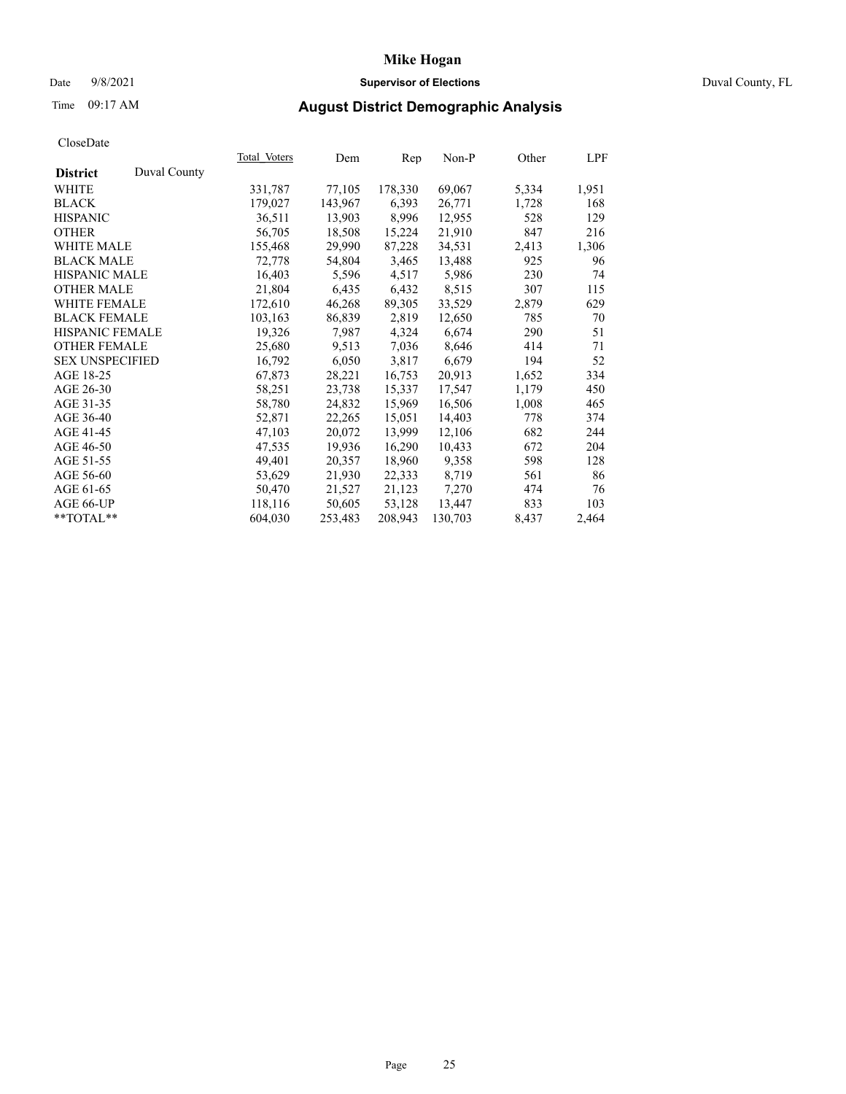## Date 9/8/2021 **Supervisor of Elections** Duval County, FL

# Time 09:17 AM **August District Demographic Analysis**

|                        |              | Total Voters | Dem     | Rep     | Non-P   | Other | LPF   |
|------------------------|--------------|--------------|---------|---------|---------|-------|-------|
| <b>District</b>        | Duval County |              |         |         |         |       |       |
| WHITE                  |              | 331,787      | 77,105  | 178,330 | 69,067  | 5,334 | 1,951 |
| <b>BLACK</b>           |              | 179,027      | 143,967 | 6,393   | 26,771  | 1,728 | 168   |
| <b>HISPANIC</b>        |              | 36,511       | 13,903  | 8,996   | 12,955  | 528   | 129   |
| <b>OTHER</b>           |              | 56,705       | 18,508  | 15,224  | 21,910  | 847   | 216   |
| WHITE MALE             |              | 155,468      | 29,990  | 87,228  | 34,531  | 2,413 | 1,306 |
| <b>BLACK MALE</b>      |              | 72,778       | 54,804  | 3,465   | 13,488  | 925   | 96    |
| <b>HISPANIC MALE</b>   |              | 16,403       | 5,596   | 4,517   | 5,986   | 230   | 74    |
| <b>OTHER MALE</b>      |              | 21,804       | 6,435   | 6,432   | 8,515   | 307   | 115   |
| <b>WHITE FEMALE</b>    |              | 172,610      | 46,268  | 89,305  | 33,529  | 2,879 | 629   |
| <b>BLACK FEMALE</b>    |              | 103,163      | 86,839  | 2,819   | 12,650  | 785   | 70    |
| <b>HISPANIC FEMALE</b> |              | 19,326       | 7,987   | 4,324   | 6,674   | 290   | 51    |
| <b>OTHER FEMALE</b>    |              | 25,680       | 9,513   | 7,036   | 8,646   | 414   | 71    |
| <b>SEX UNSPECIFIED</b> |              | 16,792       | 6,050   | 3,817   | 6,679   | 194   | 52    |
| AGE 18-25              |              | 67,873       | 28,221  | 16,753  | 20,913  | 1,652 | 334   |
| AGE 26-30              |              | 58,251       | 23,738  | 15,337  | 17,547  | 1,179 | 450   |
| AGE 31-35              |              | 58,780       | 24,832  | 15,969  | 16,506  | 1,008 | 465   |
| AGE 36-40              |              | 52,871       | 22,265  | 15,051  | 14,403  | 778   | 374   |
| AGE 41-45              |              | 47,103       | 20,072  | 13,999  | 12,106  | 682   | 244   |
| AGE 46-50              |              | 47,535       | 19,936  | 16,290  | 10,433  | 672   | 204   |
| AGE 51-55              |              | 49,401       | 20,357  | 18,960  | 9,358   | 598   | 128   |
| AGE 56-60              |              | 53,629       | 21,930  | 22,333  | 8,719   | 561   | 86    |
| AGE 61-65              |              | 50,470       | 21,527  | 21,123  | 7,270   | 474   | 76    |
| AGE 66-UP              |              | 118,116      | 50,605  | 53,128  | 13,447  | 833   | 103   |
| $*$ TOTAL $*$          |              | 604,030      | 253,483 | 208,943 | 130,703 | 8,437 | 2,464 |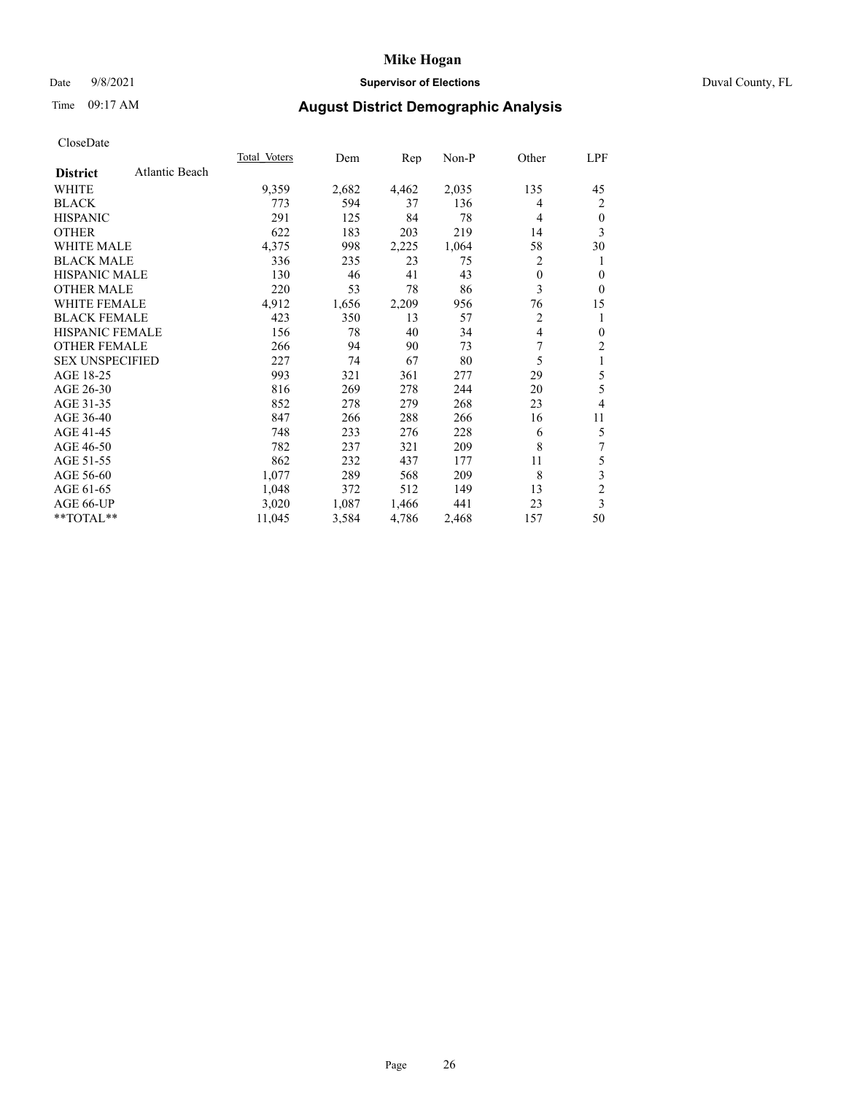## Date 9/8/2021 **Supervisor of Elections** Duval County, FL

# Time 09:17 AM **August District Demographic Analysis**

|                        |                | Total Voters | Dem   | Rep   | Non-P | Other          | LPF                     |
|------------------------|----------------|--------------|-------|-------|-------|----------------|-------------------------|
| <b>District</b>        | Atlantic Beach |              |       |       |       |                |                         |
| WHITE                  |                | 9,359        | 2,682 | 4,462 | 2,035 | 135            | 45                      |
| <b>BLACK</b>           |                | 773          | 594   | 37    | 136   | 4              | $\overline{c}$          |
| <b>HISPANIC</b>        |                | 291          | 125   | 84    | 78    | $\overline{4}$ | $\boldsymbol{0}$        |
| <b>OTHER</b>           |                | 622          | 183   | 203   | 219   | 14             | 3                       |
| <b>WHITE MALE</b>      |                | 4,375        | 998   | 2,225 | 1,064 | 58             | 30                      |
| <b>BLACK MALE</b>      |                | 336          | 235   | 23    | 75    | 2              | 1                       |
| <b>HISPANIC MALE</b>   |                | 130          | 46    | 41    | 43    | $\overline{0}$ | $\mathbf{0}$            |
| OTHER MALE             |                | 220          | 53    | 78    | 86    | 3              | $\mathbf{0}$            |
| WHITE FEMALE           |                | 4,912        | 1,656 | 2,209 | 956   | 76             | 15                      |
| <b>BLACK FEMALE</b>    |                | 423          | 350   | 13    | 57    | $\overline{2}$ | 1                       |
| <b>HISPANIC FEMALE</b> |                | 156          | 78    | 40    | 34    | 4              | $\theta$                |
| <b>OTHER FEMALE</b>    |                | 266          | 94    | 90    | 73    | 7              | $\sqrt{2}$              |
| <b>SEX UNSPECIFIED</b> |                | 227          | 74    | 67    | 80    | 5              | $\,1$                   |
| AGE 18-25              |                | 993          | 321   | 361   | 277   | 29             | 5                       |
| AGE 26-30              |                | 816          | 269   | 278   | 244   | 20             | 5                       |
| AGE 31-35              |                | 852          | 278   | 279   | 268   | 23             | 4                       |
| AGE 36-40              |                | 847          | 266   | 288   | 266   | 16             | 11                      |
| AGE 41-45              |                | 748          | 233   | 276   | 228   | 6              | 5                       |
| AGE 46-50              |                | 782          | 237   | 321   | 209   | 8              | 7                       |
| AGE 51-55              |                | 862          | 232   | 437   | 177   | 11             | 5                       |
| AGE 56-60              |                | 1,077        | 289   | 568   | 209   | 8              | $\overline{\mathbf{3}}$ |
| AGE 61-65              |                | 1,048        | 372   | 512   | 149   | 13             | $\overline{c}$          |
| AGE 66-UP              |                | 3,020        | 1,087 | 1,466 | 441   | 23             | 3                       |
| **TOTAL**              |                | 11,045       | 3,584 | 4,786 | 2,468 | 157            | 50                      |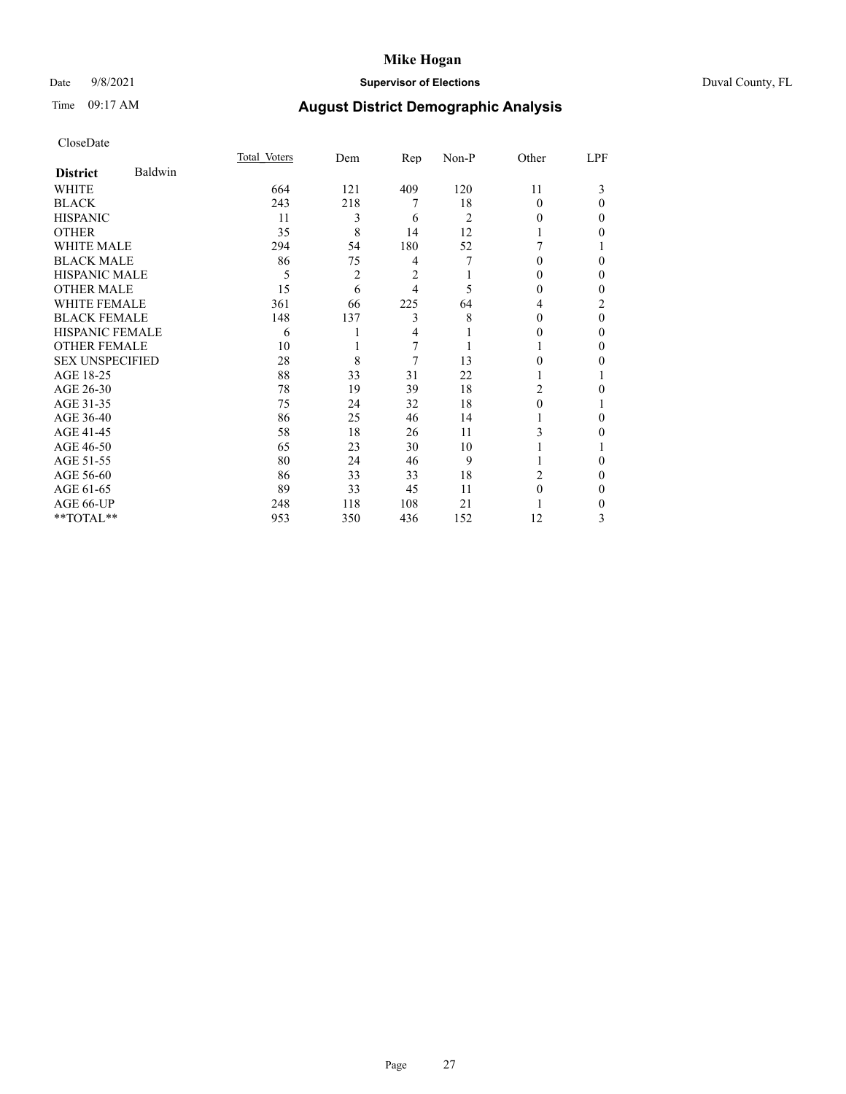## Date 9/8/2021 **Supervisor of Elections** Duval County, FL

# Time 09:17 AM **August District Demographic Analysis**

|                        |         | Total Voters | Dem | Rep | Non-P | Other          | LPF      |
|------------------------|---------|--------------|-----|-----|-------|----------------|----------|
| <b>District</b>        | Baldwin |              |     |     |       |                |          |
| WHITE                  |         | 664          | 121 | 409 | 120   | 11             | 3        |
| <b>BLACK</b>           |         | 243          | 218 | 7   | 18    | $\Omega$       | $\Omega$ |
| <b>HISPANIC</b>        |         | 11           | 3   | 6   | 2     | 0              | 0        |
| <b>OTHER</b>           |         | 35           | 8   | 14  | 12    |                | 0        |
| <b>WHITE MALE</b>      |         | 294          | 54  | 180 | 52    |                |          |
| <b>BLACK MALE</b>      |         | 86           | 75  | 4   | 7     | 0              | 0        |
| <b>HISPANIC MALE</b>   |         | 5            | 2   | 2   |       | 0              | 0        |
| <b>OTHER MALE</b>      |         | 15           | 6   | 4   | 5     | 0              | $\Omega$ |
| <b>WHITE FEMALE</b>    |         | 361          | 66  | 225 | 64    | 4              | 2        |
| <b>BLACK FEMALE</b>    |         | 148          | 137 | 3   | 8     | 0              | $\theta$ |
| <b>HISPANIC FEMALE</b> |         | 6            |     | 4   |       | 0              | $\Omega$ |
| <b>OTHER FEMALE</b>    |         | 10           |     | 7   |       |                | 0        |
| <b>SEX UNSPECIFIED</b> |         | 28           | 8   | 7   | 13    | 0              | 0        |
| AGE 18-25              |         | 88           | 33  | 31  | 22    |                |          |
| AGE 26-30              |         | 78           | 19  | 39  | 18    | $\overline{c}$ | 0        |
| AGE 31-35              |         | 75           | 24  | 32  | 18    | $\Omega$       |          |
| AGE 36-40              |         | 86           | 25  | 46  | 14    |                | 0        |
| AGE 41-45              |         | 58           | 18  | 26  | 11    | 3              | 0        |
| AGE 46-50              |         | 65           | 23  | 30  | 10    |                |          |
| AGE 51-55              |         | 80           | 24  | 46  | 9     |                | 0        |
| AGE 56-60              |         | 86           | 33  | 33  | 18    | 2              | 0        |
| AGE 61-65              |         | 89           | 33  | 45  | 11    | $\Omega$       | $\Omega$ |
| AGE 66-UP              |         | 248          | 118 | 108 | 21    |                | 0        |
| **TOTAL**              |         | 953          | 350 | 436 | 152   | 12             | 3        |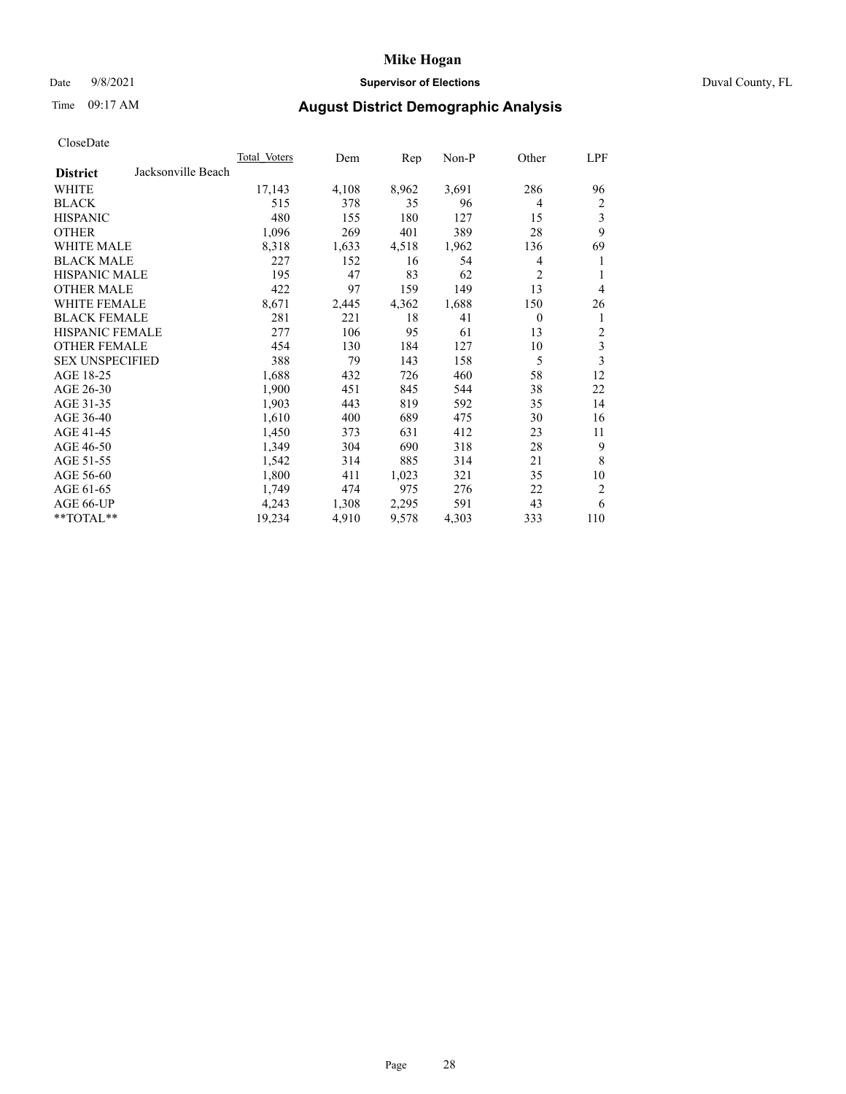## Date 9/8/2021 **Supervisor of Elections** Duval County, FL

# Time 09:17 AM **August District Demographic Analysis**

| CloscDate              |                    |              |       |       |       |                |                |
|------------------------|--------------------|--------------|-------|-------|-------|----------------|----------------|
|                        |                    | Total Voters | Dem   | Rep   | Non-P | Other          | <u>LPF</u>     |
| <b>District</b>        | Jacksonville Beach |              |       |       |       |                |                |
| <b>WHITE</b>           |                    | 17,143       | 4,108 | 8,962 | 3,691 | 286            | 96             |
| <b>BLACK</b>           |                    | 515          | 378   | 35    | 96    | $\overline{4}$ | 2              |
| <b>HISPANIC</b>        |                    | 480          | 155   | 180   | 127   | 15             | 3              |
| <b>OTHER</b>           |                    | 1,096        | 269   | 401   | 389   | 28             | 9              |
| WHITE MALE             |                    | 8,318        | 1,633 | 4,518 | 1,962 | 136            | 69             |
| <b>BLACK MALE</b>      |                    | 227          | 152   | 16    | 54    | 4              | 1              |
| HISPANIC MALE          |                    | 195          | 47    | 83    | 62    | 2              | 1              |
| <b>OTHER MALE</b>      |                    | 422          | 97    | 159   | 149   | 13             | 4              |
| <b>WHITE FEMALE</b>    |                    | 8,671        | 2,445 | 4,362 | 1,688 | 150            | 26             |
| <b>BLACK FEMALE</b>    |                    | 281          | 221   | 18    | 41    | $\overline{0}$ | 1              |
| <b>HISPANIC FEMALE</b> |                    | 277          | 106   | 95    | 61    | 13             | $\overline{c}$ |
| <b>OTHER FEMALE</b>    |                    | 454          | 130   | 184   | 127   | 10             | 3              |
| <b>SEX UNSPECIFIED</b> |                    | 388          | 79    | 143   | 158   | 5              | 3              |
| AGE 18-25              |                    | 1,688        | 432   | 726   | 460   | 58             | 12             |
| AGE 26-30              |                    | 1,900        | 451   | 845   | 544   | 38             | 22             |
| AGE 31-35              |                    | 1,903        | 443   | 819   | 592   | 35             | 14             |
| AGE 36-40              |                    | 1,610        | 400   | 689   | 475   | 30             | 16             |
| AGE 41-45              |                    | 1,450        | 373   | 631   | 412   | 23             | 11             |
| AGE 46-50              |                    | 1,349        | 304   | 690   | 318   | 28             | 9              |
| AGE 51-55              |                    | 1,542        | 314   | 885   | 314   | 21             | 8              |
| AGE 56-60              |                    | 1,800        | 411   | 1,023 | 321   | 35             | 10             |
| AGE 61-65              |                    | 1,749        | 474   | 975   | 276   | 22             | 2              |
| AGE 66-UP              |                    | 4,243        | 1,308 | 2,295 | 591   | 43             | 6              |
| $*$ $TOTAL**$          |                    | 19,234       | 4,910 | 9,578 | 4,303 | 333            | 110            |
|                        |                    |              |       |       |       |                |                |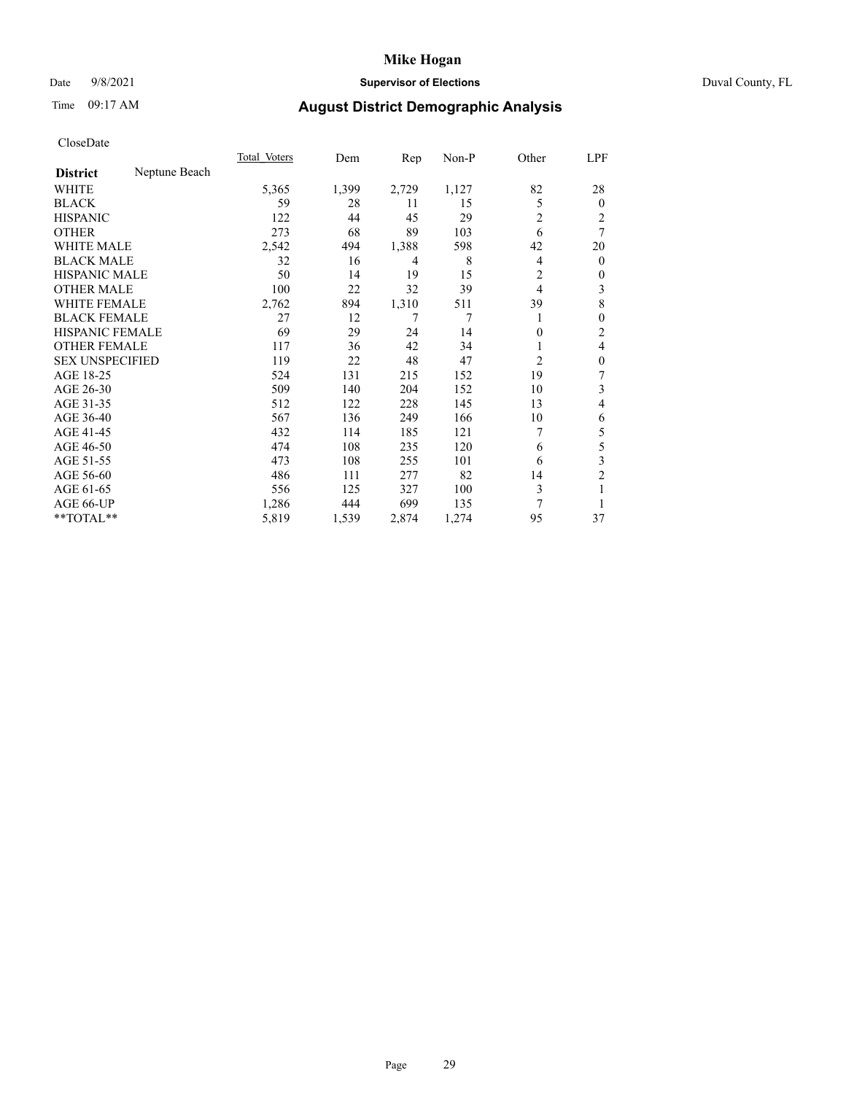## Date 9/8/2021 **Supervisor of Elections** Duval County, FL

# Time 09:17 AM **August District Demographic Analysis**

|                        |               | Total Voters | Dem   | Rep   | Non-P | Other          | LPF            |
|------------------------|---------------|--------------|-------|-------|-------|----------------|----------------|
| <b>District</b>        | Neptune Beach |              |       |       |       |                |                |
| WHITE                  |               | 5,365        | 1,399 | 2,729 | 1,127 | 82             | 28             |
| <b>BLACK</b>           |               | 59           | 28    | 11    | 15    | 5              | $\mathbf{0}$   |
| <b>HISPANIC</b>        |               | 122          | 44    | 45    | 29    | $\overline{2}$ | 2              |
| <b>OTHER</b>           |               | 273          | 68    | 89    | 103   | 6              | 7              |
| <b>WHITE MALE</b>      |               | 2,542        | 494   | 1,388 | 598   | 42             | 20             |
| <b>BLACK MALE</b>      |               | 32           | 16    | 4     | 8     | 4              | $\overline{0}$ |
| <b>HISPANIC MALE</b>   |               | 50           | 14    | 19    | 15    | 2              | 0              |
| <b>OTHER MALE</b>      |               | 100          | 22    | 32    | 39    | 4              | 3              |
| <b>WHITE FEMALE</b>    |               | 2,762        | 894   | 1,310 | 511   | 39             | 8              |
| <b>BLACK FEMALE</b>    |               | 27           | 12    | 7     | 7     |                | $\theta$       |
| <b>HISPANIC FEMALE</b> |               | 69           | 29    | 24    | 14    | $\overline{0}$ | $\overline{2}$ |
| <b>OTHER FEMALE</b>    |               | 117          | 36    | 42    | 34    |                | 4              |
| <b>SEX UNSPECIFIED</b> |               | 119          | 22    | 48    | 47    | $\overline{2}$ | $\theta$       |
| AGE 18-25              |               | 524          | 131   | 215   | 152   | 19             | 7              |
| AGE 26-30              |               | 509          | 140   | 204   | 152   | 10             | 3              |
| AGE 31-35              |               | 512          | 122   | 228   | 145   | 13             | 4              |
| AGE 36-40              |               | 567          | 136   | 249   | 166   | 10             | 6              |
| AGE 41-45              |               | 432          | 114   | 185   | 121   | 7              | 5              |
| AGE 46-50              |               | 474          | 108   | 235   | 120   | 6              | 5              |
| AGE 51-55              |               | 473          | 108   | 255   | 101   | 6              | 3              |
| AGE 56-60              |               | 486          | 111   | 277   | 82    | 14             | $\overline{c}$ |
| AGE 61-65              |               | 556          | 125   | 327   | 100   | 3              |                |
| AGE 66-UP              |               | 1,286        | 444   | 699   | 135   | 7              | 1              |
| **TOTAL**              |               | 5,819        | 1,539 | 2,874 | 1,274 | 95             | 37             |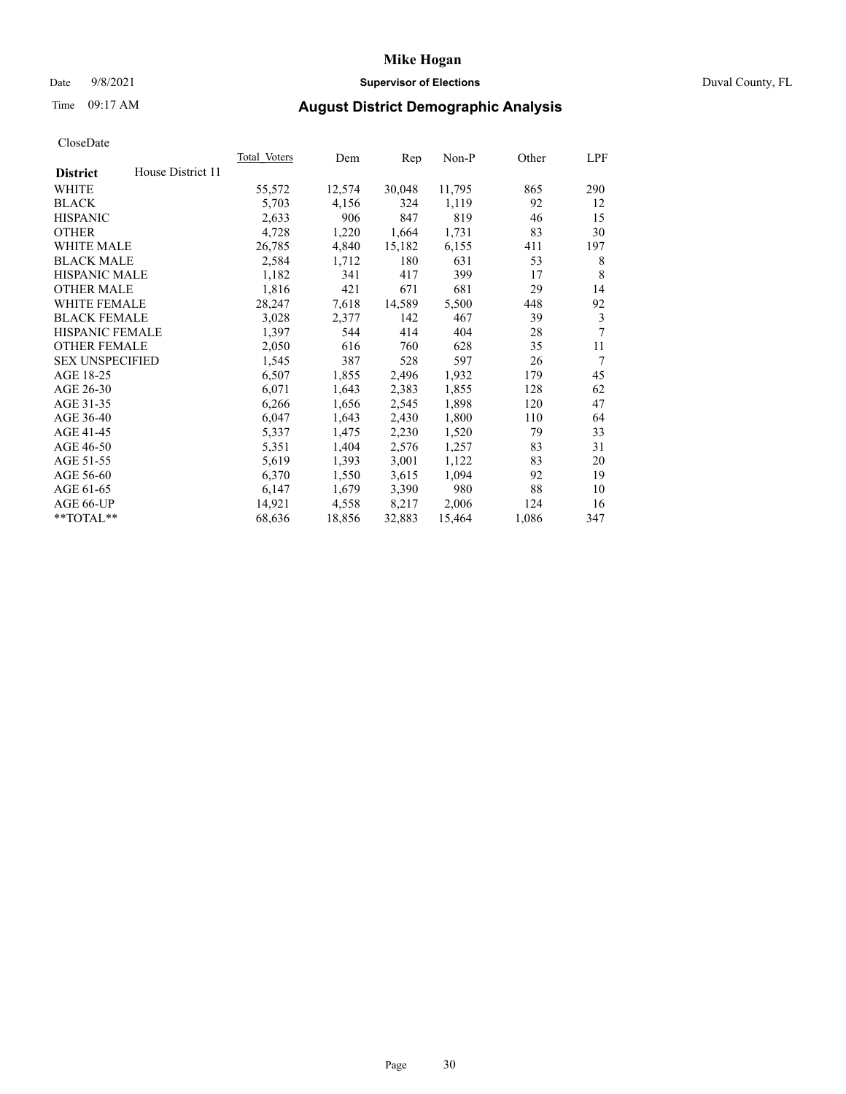## Date 9/8/2021 **Supervisor of Elections** Duval County, FL

# Time 09:17 AM **August District Demographic Analysis**

|                        |                   | Total Voters | Dem    | Rep    | Non-P  | Other | LPF |
|------------------------|-------------------|--------------|--------|--------|--------|-------|-----|
| <b>District</b>        | House District 11 |              |        |        |        |       |     |
| WHITE                  |                   | 55,572       | 12,574 | 30,048 | 11,795 | 865   | 290 |
| <b>BLACK</b>           |                   | 5,703        | 4,156  | 324    | 1,119  | 92    | 12  |
| <b>HISPANIC</b>        |                   | 2,633        | 906    | 847    | 819    | 46    | 15  |
| <b>OTHER</b>           |                   | 4,728        | 1,220  | 1,664  | 1,731  | 83    | 30  |
| WHITE MALE             |                   | 26,785       | 4,840  | 15,182 | 6,155  | 411   | 197 |
| <b>BLACK MALE</b>      |                   | 2,584        | 1,712  | 180    | 631    | 53    | 8   |
| <b>HISPANIC MALE</b>   |                   | 1,182        | 341    | 417    | 399    | 17    | 8   |
| <b>OTHER MALE</b>      |                   | 1,816        | 421    | 671    | 681    | 29    | 14  |
| WHITE FEMALE           |                   | 28,247       | 7,618  | 14,589 | 5,500  | 448   | 92  |
| <b>BLACK FEMALE</b>    |                   | 3,028        | 2,377  | 142    | 467    | 39    | 3   |
| <b>HISPANIC FEMALE</b> |                   | 1,397        | 544    | 414    | 404    | 28    | 7   |
| <b>OTHER FEMALE</b>    |                   | 2,050        | 616    | 760    | 628    | 35    | 11  |
| <b>SEX UNSPECIFIED</b> |                   | 1,545        | 387    | 528    | 597    | 26    | 7   |
| AGE 18-25              |                   | 6,507        | 1,855  | 2,496  | 1,932  | 179   | 45  |
| AGE 26-30              |                   | 6,071        | 1,643  | 2,383  | 1,855  | 128   | 62  |
| AGE 31-35              |                   | 6,266        | 1,656  | 2,545  | 1,898  | 120   | 47  |
| AGE 36-40              |                   | 6,047        | 1,643  | 2,430  | 1,800  | 110   | 64  |
| AGE 41-45              |                   | 5,337        | 1,475  | 2,230  | 1,520  | 79    | 33  |
| AGE 46-50              |                   | 5,351        | 1,404  | 2,576  | 1,257  | 83    | 31  |
| AGE 51-55              |                   | 5,619        | 1,393  | 3,001  | 1,122  | 83    | 20  |
| AGE 56-60              |                   | 6,370        | 1,550  | 3,615  | 1,094  | 92    | 19  |
| AGE 61-65              |                   | 6,147        | 1,679  | 3,390  | 980    | 88    | 10  |
| AGE 66-UP              |                   | 14,921       | 4,558  | 8,217  | 2,006  | 124   | 16  |
| $*$ TOTAL $*$          |                   | 68,636       | 18,856 | 32,883 | 15,464 | 1,086 | 347 |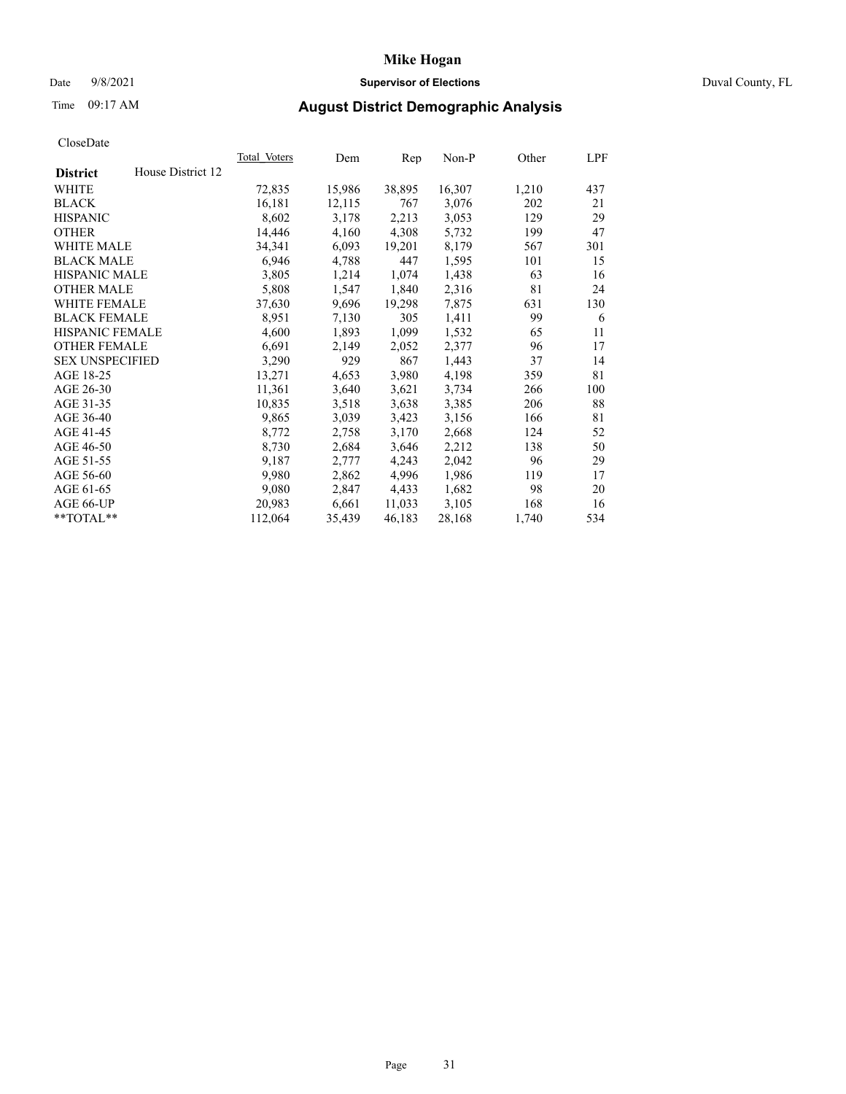## Date 9/8/2021 **Supervisor of Elections** Duval County, FL

# Time 09:17 AM **August District Demographic Analysis**

|                        |                   | Total Voters | Dem    | Rep    | $Non-P$ | Other | LPF |
|------------------------|-------------------|--------------|--------|--------|---------|-------|-----|
| <b>District</b>        | House District 12 |              |        |        |         |       |     |
| WHITE                  |                   | 72,835       | 15,986 | 38,895 | 16,307  | 1,210 | 437 |
| <b>BLACK</b>           |                   | 16,181       | 12,115 | 767    | 3,076   | 202   | 21  |
| <b>HISPANIC</b>        |                   | 8,602        | 3,178  | 2,213  | 3,053   | 129   | 29  |
| <b>OTHER</b>           |                   | 14,446       | 4,160  | 4,308  | 5,732   | 199   | 47  |
| WHITE MALE             |                   | 34,341       | 6,093  | 19,201 | 8,179   | 567   | 301 |
| <b>BLACK MALE</b>      |                   | 6,946        | 4,788  | 447    | 1,595   | 101   | 15  |
| <b>HISPANIC MALE</b>   |                   | 3,805        | 1,214  | 1,074  | 1,438   | 63    | 16  |
| <b>OTHER MALE</b>      |                   | 5,808        | 1,547  | 1,840  | 2,316   | 81    | 24  |
| <b>WHITE FEMALE</b>    |                   | 37,630       | 9,696  | 19,298 | 7,875   | 631   | 130 |
| <b>BLACK FEMALE</b>    |                   | 8,951        | 7,130  | 305    | 1,411   | 99    | 6   |
| HISPANIC FEMALE        |                   | 4,600        | 1,893  | 1,099  | 1,532   | 65    | 11  |
| <b>OTHER FEMALE</b>    |                   | 6,691        | 2,149  | 2,052  | 2,377   | 96    | 17  |
| <b>SEX UNSPECIFIED</b> |                   | 3,290        | 929    | 867    | 1,443   | 37    | 14  |
| AGE 18-25              |                   | 13,271       | 4,653  | 3,980  | 4,198   | 359   | 81  |
| AGE 26-30              |                   | 11,361       | 3,640  | 3,621  | 3,734   | 266   | 100 |
| AGE 31-35              |                   | 10,835       | 3,518  | 3,638  | 3,385   | 206   | 88  |
| AGE 36-40              |                   | 9,865        | 3,039  | 3,423  | 3,156   | 166   | 81  |
| AGE 41-45              |                   | 8,772        | 2,758  | 3,170  | 2,668   | 124   | 52  |
| AGE 46-50              |                   | 8,730        | 2,684  | 3,646  | 2,212   | 138   | 50  |
| AGE 51-55              |                   | 9,187        | 2,777  | 4,243  | 2,042   | 96    | 29  |
| AGE 56-60              |                   | 9,980        | 2,862  | 4,996  | 1,986   | 119   | 17  |
| AGE 61-65              |                   | 9,080        | 2,847  | 4,433  | 1,682   | 98    | 20  |
| AGE 66-UP              |                   | 20,983       | 6,661  | 11,033 | 3,105   | 168   | 16  |
| **TOTAL**              |                   | 112,064      | 35,439 | 46,183 | 28,168  | 1,740 | 534 |
|                        |                   |              |        |        |         |       |     |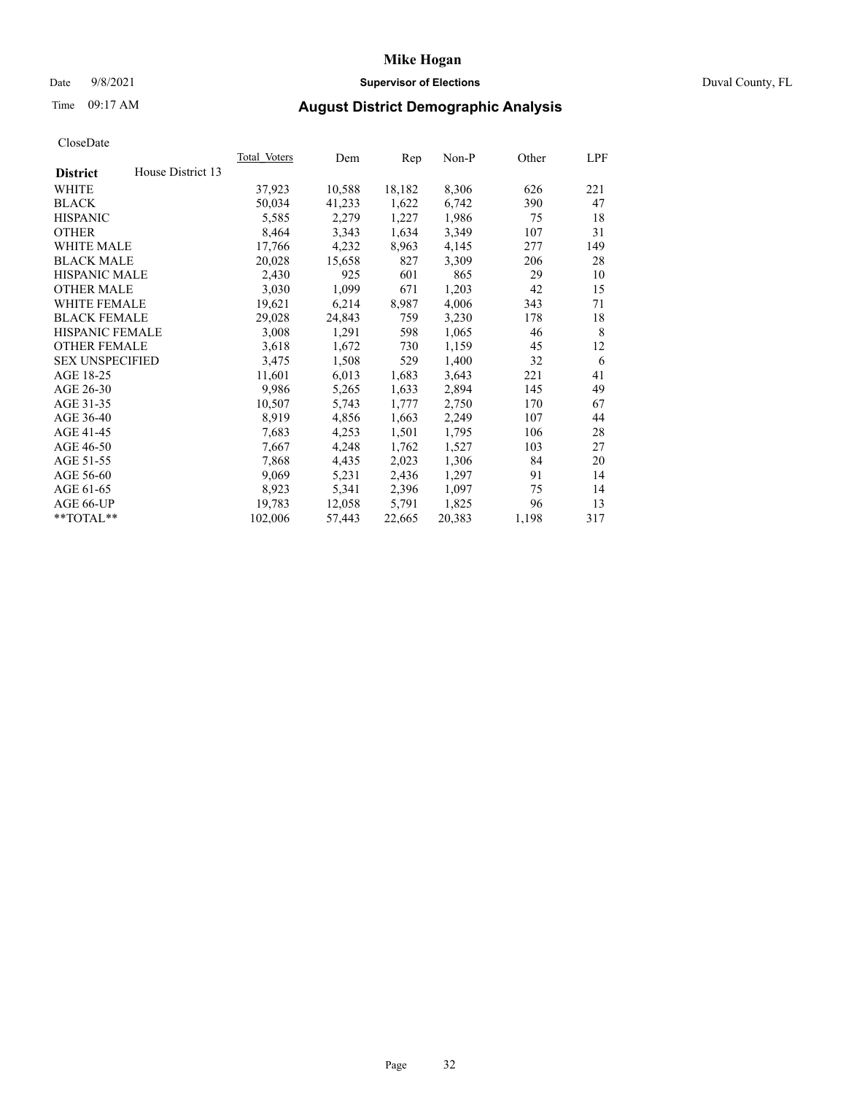## Date 9/8/2021 **Supervisor of Elections** Duval County, FL

# Time 09:17 AM **August District Demographic Analysis**

| Total Voters | Dem    | Rep    | $Non-P$ | Other | LPF |
|--------------|--------|--------|---------|-------|-----|
|              |        |        |         |       |     |
| 37,923       | 10,588 | 18,182 | 8,306   | 626   | 221 |
| 50,034       | 41,233 | 1,622  | 6,742   | 390   | 47  |
| 5,585        | 2,279  | 1,227  | 1,986   | 75    | 18  |
| 8,464        | 3,343  | 1,634  | 3,349   | 107   | 31  |
| 17,766       | 4,232  | 8,963  | 4,145   | 277   | 149 |
| 20,028       | 15,658 | 827    | 3,309   | 206   | 28  |
| 2,430        | 925    | 601    | 865     | 29    | 10  |
| 3,030        | 1,099  | 671    | 1,203   | 42    | 15  |
| 19,621       | 6,214  | 8,987  | 4,006   | 343   | 71  |
| 29,028       | 24,843 | 759    | 3,230   | 178   | 18  |
| 3,008        | 1,291  | 598    | 1,065   | 46    | 8   |
| 3,618        | 1,672  | 730    | 1,159   | 45    | 12  |
| 3,475        | 1,508  | 529    | 1,400   | 32    | 6   |
| 11,601       | 6,013  | 1,683  | 3,643   | 221   | 41  |
| 9,986        | 5,265  | 1,633  | 2,894   | 145   | 49  |
| 10,507       | 5,743  | 1,777  | 2,750   | 170   | 67  |
| 8,919        | 4,856  | 1,663  | 2,249   | 107   | 44  |
| 7,683        | 4,253  | 1,501  | 1,795   | 106   | 28  |
| 7,667        | 4,248  | 1,762  | 1,527   | 103   | 27  |
| 7,868        | 4,435  | 2,023  | 1,306   | 84    | 20  |
| 9,069        | 5,231  | 2,436  | 1,297   | 91    | 14  |
| 8,923        | 5,341  | 2,396  | 1,097   | 75    | 14  |
| 19,783       | 12,058 | 5,791  | 1,825   | 96    | 13  |
| 102,006      | 57,443 | 22,665 | 20,383  | 1,198 | 317 |
|              |        |        |         |       |     |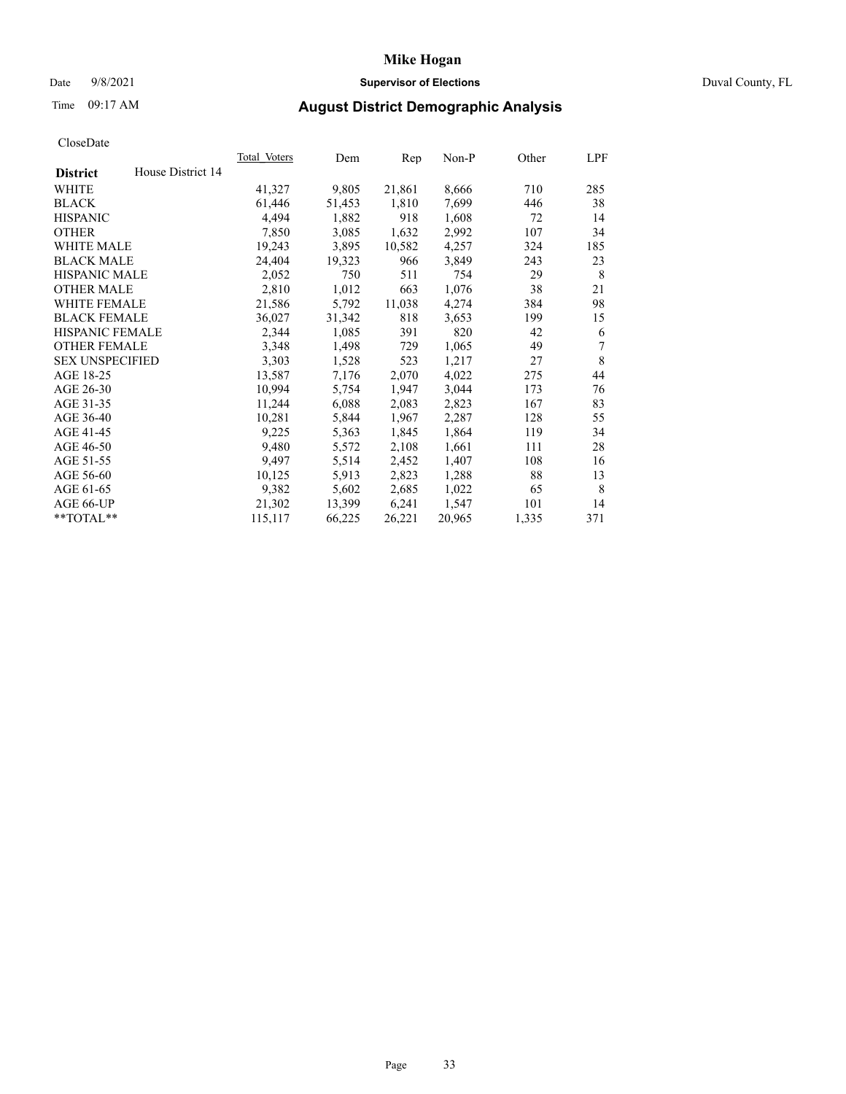## Date 9/8/2021 **Supervisor of Elections** Duval County, FL

# Time 09:17 AM **August District Demographic Analysis**

| House District 14<br><b>District</b><br>21,861<br>WHITE<br>41,327<br>9,805<br>8,666<br>710 | 285<br>38 |
|--------------------------------------------------------------------------------------------|-----------|
|                                                                                            |           |
|                                                                                            |           |
| 1,810<br>7,699<br><b>BLACK</b><br>61,446<br>51,453<br>446                                  |           |
| 4,494<br><b>HISPANIC</b><br>1,882<br>918<br>1,608<br>72                                    | 14        |
| 7,850<br>1,632<br>2,992<br>107<br><b>OTHER</b><br>3,085                                    | 34        |
| 4,257<br>324<br><b>WHITE MALE</b><br>19,243<br>3,895<br>10,582                             | 185       |
| 3,849<br>24,404<br><b>BLACK MALE</b><br>19,323<br>966<br>243                               | 23        |
| <b>HISPANIC MALE</b><br>2,052<br>29<br>750<br>511<br>754                                   | 8         |
| 2,810<br><b>OTHER MALE</b><br>1,012<br>663<br>1,076<br>38                                  | 21        |
| WHITE FEMALE<br>11,038<br>21,586<br>4,274<br>384<br>5,792                                  | 98        |
| <b>BLACK FEMALE</b><br>36,027<br>31,342<br>818<br>3,653<br>199                             | 15        |
| HISPANIC FEMALE<br>2,344<br>1,085<br>391<br>820<br>42                                      | 6         |
| <b>OTHER FEMALE</b><br>3,348<br>1,498<br>729<br>1,065<br>49                                | 7         |
| <b>SEX UNSPECIFIED</b><br>3,303<br>1,528<br>1,217<br>27<br>523                             | 8         |
| AGE 18-25<br>2,070<br>4,022<br>13,587<br>7,176<br>275                                      | 44        |
| AGE 26-30<br>10,994<br>1,947<br>3,044<br>5,754<br>173                                      | 76        |
| AGE 31-35<br>11,244<br>6,088<br>2,083<br>2,823<br>167                                      | 83        |
| 10,281<br>2,287<br>128<br>AGE 36-40<br>5,844<br>1,967                                      | 55        |
| AGE 41-45<br>9,225<br>1,845<br>1,864<br>5,363<br>119                                       | 34        |
| AGE 46-50<br>9,480<br>2,108<br>1,661<br>111<br>5,572                                       | 28        |
| AGE 51-55<br>9,497<br>2,452<br>1,407<br>5,514<br>108                                       | 16        |
| 88<br>AGE 56-60<br>10,125<br>5,913<br>2,823<br>1,288                                       | 13        |
| AGE 61-65<br>9,382<br>5,602<br>2,685<br>1,022<br>65                                        | 8         |
| 21,302<br>6,241<br>1,547<br>AGE 66-UP<br>13,399<br>101                                     | 14        |
| **TOTAL**<br>26,221<br>115,117<br>66,225<br>20,965<br>1,335                                | 371       |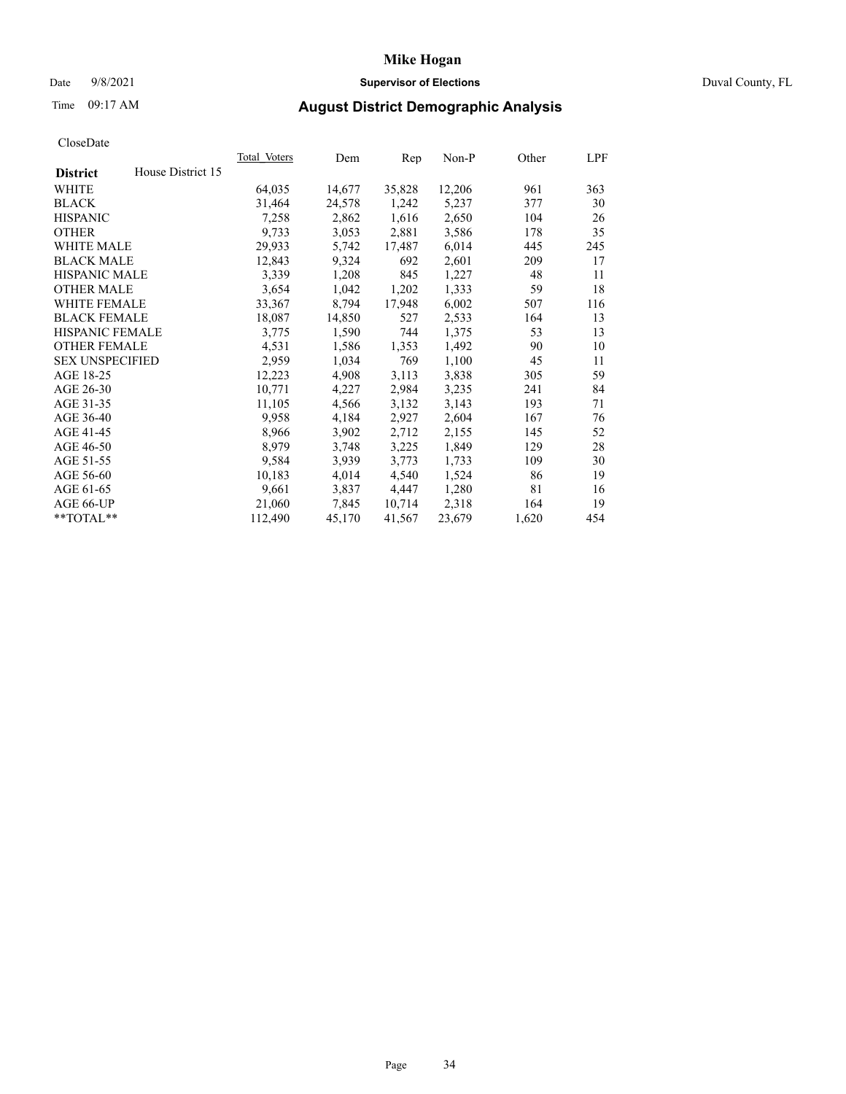## Date 9/8/2021 **Supervisor of Elections** Duval County, FL

# Time 09:17 AM **August District Demographic Analysis**

| Total Voters | Dem    | Rep    | $Non-P$ | Other | LPF |
|--------------|--------|--------|---------|-------|-----|
|              |        |        |         |       |     |
| 64,035       | 14,677 | 35,828 | 12,206  | 961   | 363 |
| 31,464       | 24,578 | 1,242  | 5,237   | 377   | 30  |
| 7,258        | 2,862  | 1,616  | 2,650   | 104   | 26  |
| 9,733        | 3,053  | 2,881  | 3,586   | 178   | 35  |
| 29,933       | 5,742  | 17,487 | 6,014   | 445   | 245 |
| 12,843       | 9,324  | 692    | 2,601   | 209   | 17  |
| 3,339        | 1,208  | 845    | 1,227   | 48    | 11  |
| 3,654        | 1,042  | 1,202  | 1,333   | 59    | 18  |
| 33,367       | 8,794  | 17,948 | 6,002   | 507   | 116 |
| 18,087       | 14,850 | 527    | 2,533   | 164   | 13  |
| 3,775        | 1,590  | 744    | 1,375   | 53    | 13  |
| 4,531        | 1,586  | 1,353  | 1,492   | 90    | 10  |
| 2,959        | 1,034  | 769    | 1,100   | 45    | 11  |
| 12,223       | 4,908  | 3,113  | 3,838   | 305   | 59  |
| 10,771       | 4,227  | 2,984  | 3,235   | 241   | 84  |
| 11,105       | 4,566  | 3,132  | 3,143   | 193   | 71  |
| 9,958        | 4,184  | 2,927  | 2,604   | 167   | 76  |
| 8,966        | 3,902  | 2,712  | 2,155   | 145   | 52  |
| 8,979        | 3,748  | 3,225  | 1,849   | 129   | 28  |
| 9,584        | 3,939  | 3,773  | 1,733   | 109   | 30  |
| 10,183       | 4,014  | 4,540  | 1,524   | 86    | 19  |
| 9,661        | 3,837  | 4,447  | 1,280   | 81    | 16  |
| 21,060       | 7,845  | 10,714 | 2,318   | 164   | 19  |
| 112,490      | 45,170 | 41,567 | 23,679  | 1,620 | 454 |
|              |        |        |         |       |     |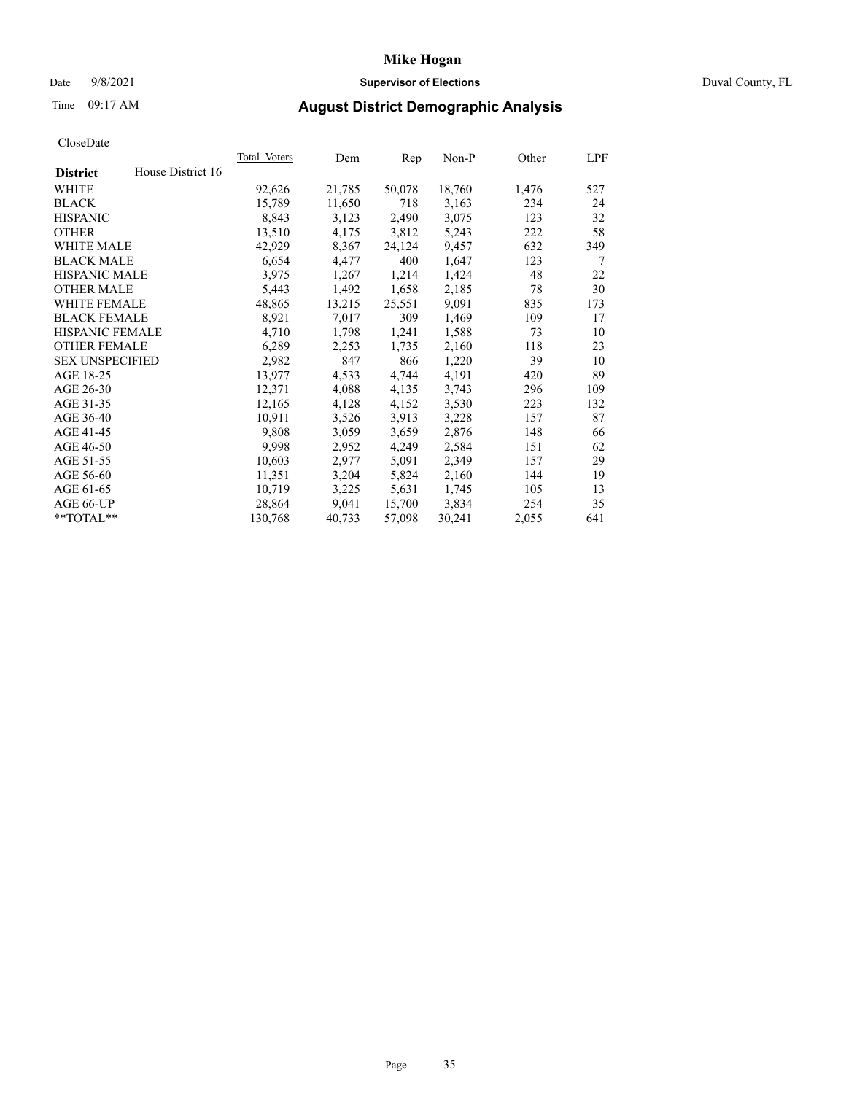## Date 9/8/2021 **Supervisor of Elections** Duval County, FL

# Time 09:17 AM **August District Demographic Analysis**

|                        |                   | Total Voters | Dem    | Rep    | $Non-P$ | Other | LPF |
|------------------------|-------------------|--------------|--------|--------|---------|-------|-----|
| <b>District</b>        | House District 16 |              |        |        |         |       |     |
| WHITE                  |                   | 92,626       | 21,785 | 50,078 | 18,760  | 1,476 | 527 |
| <b>BLACK</b>           |                   | 15,789       | 11,650 | 718    | 3,163   | 234   | 24  |
| <b>HISPANIC</b>        |                   | 8,843        | 3,123  | 2,490  | 3,075   | 123   | 32  |
| <b>OTHER</b>           |                   | 13,510       | 4,175  | 3,812  | 5,243   | 222   | 58  |
| WHITE MALE             |                   | 42,929       | 8,367  | 24,124 | 9,457   | 632   | 349 |
| <b>BLACK MALE</b>      |                   | 6,654        | 4,477  | 400    | 1,647   | 123   | 7   |
| <b>HISPANIC MALE</b>   |                   | 3,975        | 1,267  | 1,214  | 1,424   | 48    | 22  |
| <b>OTHER MALE</b>      |                   | 5,443        | 1,492  | 1,658  | 2,185   | 78    | 30  |
| <b>WHITE FEMALE</b>    |                   | 48,865       | 13,215 | 25,551 | 9,091   | 835   | 173 |
| <b>BLACK FEMALE</b>    |                   | 8,921        | 7,017  | 309    | 1,469   | 109   | 17  |
| HISPANIC FEMALE        |                   | 4,710        | 1,798  | 1,241  | 1,588   | 73    | 10  |
| <b>OTHER FEMALE</b>    |                   | 6,289        | 2,253  | 1,735  | 2,160   | 118   | 23  |
| <b>SEX UNSPECIFIED</b> |                   | 2,982        | 847    | 866    | 1,220   | 39    | 10  |
| AGE 18-25              |                   | 13,977       | 4,533  | 4,744  | 4,191   | 420   | 89  |
| AGE 26-30              |                   | 12,371       | 4,088  | 4,135  | 3,743   | 296   | 109 |
| AGE 31-35              |                   | 12,165       | 4,128  | 4,152  | 3,530   | 223   | 132 |
| AGE 36-40              |                   | 10,911       | 3,526  | 3,913  | 3,228   | 157   | 87  |
| AGE 41-45              |                   | 9,808        | 3,059  | 3,659  | 2,876   | 148   | 66  |
| AGE 46-50              |                   | 9,998        | 2,952  | 4,249  | 2,584   | 151   | 62  |
| AGE 51-55              |                   | 10,603       | 2,977  | 5,091  | 2,349   | 157   | 29  |
| AGE 56-60              |                   | 11,351       | 3,204  | 5,824  | 2,160   | 144   | 19  |
| AGE 61-65              |                   | 10,719       | 3,225  | 5,631  | 1,745   | 105   | 13  |
| AGE 66-UP              |                   | 28,864       | 9,041  | 15,700 | 3,834   | 254   | 35  |
| **TOTAL**              |                   | 130,768      | 40,733 | 57,098 | 30,241  | 2,055 | 641 |
|                        |                   |              |        |        |         |       |     |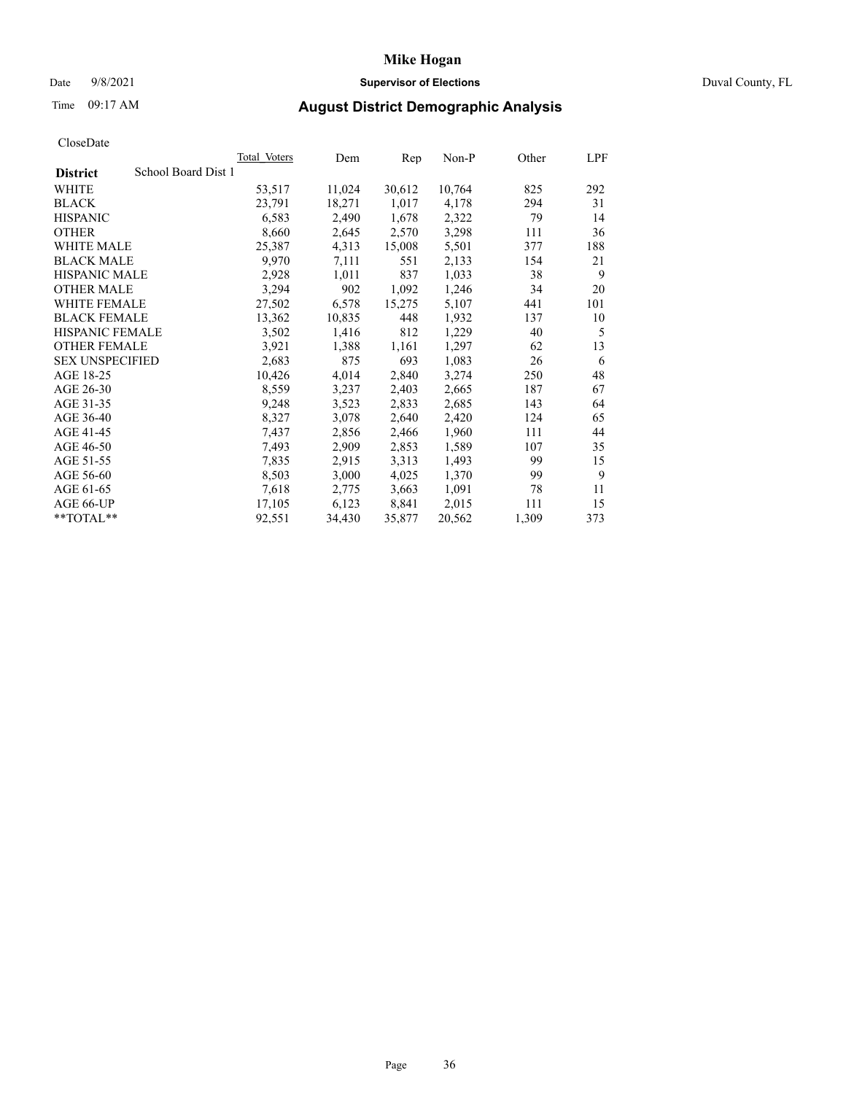# **Mike Hogan** Date 9/8/2021 **Supervisor of Elections** Duval County, FL

# Time 09:17 AM **August District Demographic Analysis**

|                                        | Total Voters | Dem    | Rep    | Non-P  | Other | LPF |
|----------------------------------------|--------------|--------|--------|--------|-------|-----|
| School Board Dist 1<br><b>District</b> |              |        |        |        |       |     |
| WHITE                                  | 53,517       | 11,024 | 30,612 | 10,764 | 825   | 292 |
| <b>BLACK</b>                           | 23,791       | 18,271 | 1,017  | 4,178  | 294   | 31  |
| <b>HISPANIC</b>                        | 6,583        | 2,490  | 1,678  | 2,322  | 79    | 14  |
| <b>OTHER</b>                           | 8,660        | 2,645  | 2,570  | 3,298  | 111   | 36  |
| WHITE MALE                             | 25,387       | 4,313  | 15,008 | 5,501  | 377   | 188 |
| <b>BLACK MALE</b>                      | 9,970        | 7,111  | 551    | 2,133  | 154   | 21  |
| <b>HISPANIC MALE</b>                   | 2,928        | 1,011  | 837    | 1,033  | 38    | 9   |
| <b>OTHER MALE</b>                      | 3,294        | 902    | 1,092  | 1,246  | 34    | 20  |
| <b>WHITE FEMALE</b>                    | 27,502       | 6,578  | 15,275 | 5,107  | 441   | 101 |
| <b>BLACK FEMALE</b>                    | 13,362       | 10,835 | 448    | 1,932  | 137   | 10  |
| <b>HISPANIC FEMALE</b>                 | 3,502        | 1,416  | 812    | 1,229  | 40    | 5   |
| <b>OTHER FEMALE</b>                    | 3,921        | 1,388  | 1,161  | 1,297  | 62    | 13  |
| <b>SEX UNSPECIFIED</b>                 | 2,683        | 875    | 693    | 1,083  | 26    | 6   |
| AGE 18-25                              | 10,426       | 4,014  | 2,840  | 3,274  | 250   | 48  |
| AGE 26-30                              | 8,559        | 3,237  | 2,403  | 2,665  | 187   | 67  |
| AGE 31-35                              | 9,248        | 3,523  | 2,833  | 2,685  | 143   | 64  |
| AGE 36-40                              | 8,327        | 3,078  | 2,640  | 2,420  | 124   | 65  |
| AGE 41-45                              | 7,437        | 2,856  | 2,466  | 1,960  | 111   | 44  |
| AGE 46-50                              | 7,493        | 2,909  | 2,853  | 1,589  | 107   | 35  |
| AGE 51-55                              | 7,835        | 2,915  | 3,313  | 1,493  | 99    | 15  |
| AGE 56-60                              | 8,503        | 3,000  | 4,025  | 1,370  | 99    | 9   |
| AGE 61-65                              | 7,618        | 2,775  | 3,663  | 1,091  | 78    | 11  |
| AGE 66-UP                              | 17,105       | 6,123  | 8,841  | 2,015  | 111   | 15  |
| $*$ TOTAL $*$                          | 92,551       | 34,430 | 35,877 | 20,562 | 1,309 | 373 |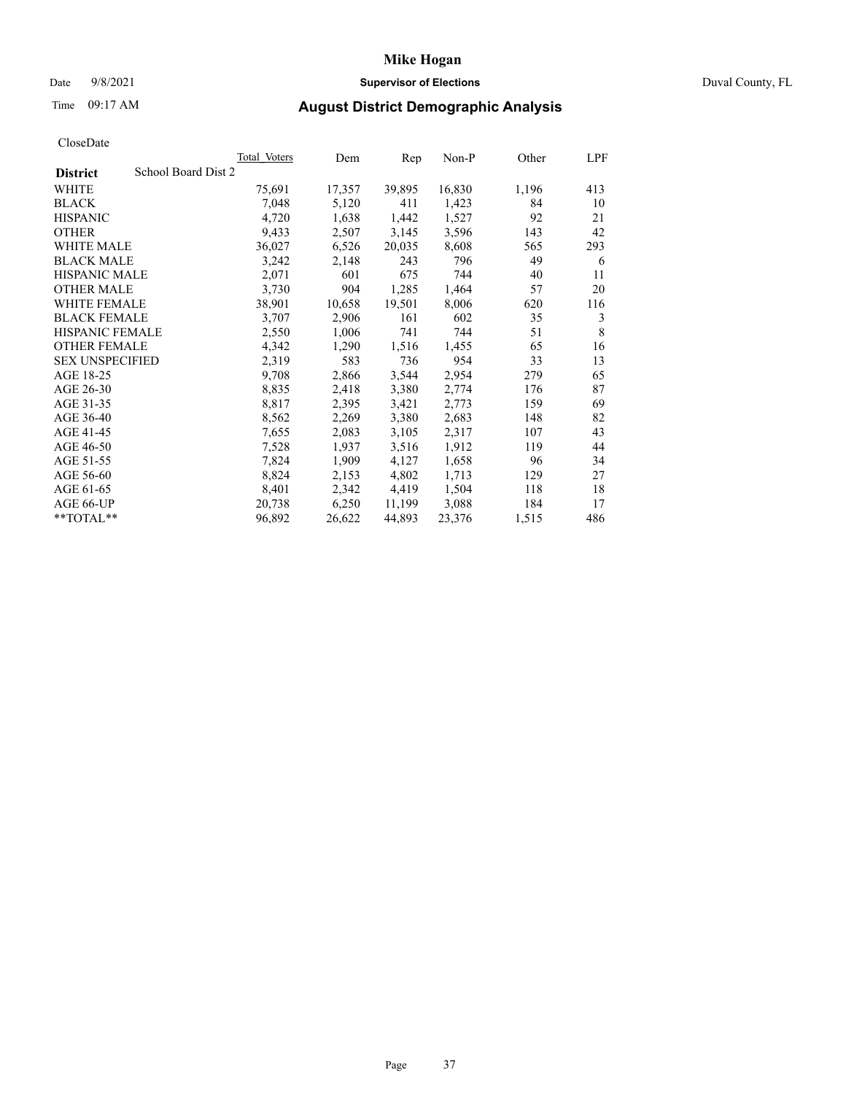## Date 9/8/2021 **Supervisor of Elections** Duval County, FL

# Time 09:17 AM **August District Demographic Analysis**

|                        |                     | Total Voters | Dem    | Rep    | $Non-P$ | Other | LPF |
|------------------------|---------------------|--------------|--------|--------|---------|-------|-----|
| <b>District</b>        | School Board Dist 2 |              |        |        |         |       |     |
| WHITE                  |                     | 75,691       | 17,357 | 39,895 | 16,830  | 1,196 | 413 |
| <b>BLACK</b>           |                     | 7,048        | 5,120  | 411    | 1,423   | 84    | 10  |
| <b>HISPANIC</b>        |                     | 4,720        | 1,638  | 1,442  | 1,527   | 92    | 21  |
| <b>OTHER</b>           |                     | 9,433        | 2,507  | 3,145  | 3,596   | 143   | 42  |
| WHITE MALE             |                     | 36,027       | 6,526  | 20,035 | 8,608   | 565   | 293 |
| <b>BLACK MALE</b>      |                     | 3,242        | 2,148  | 243    | 796     | 49    | 6   |
| <b>HISPANIC MALE</b>   |                     | 2,071        | 601    | 675    | 744     | 40    | 11  |
| <b>OTHER MALE</b>      |                     | 3,730        | 904    | 1,285  | 1,464   | 57    | 20  |
| <b>WHITE FEMALE</b>    |                     | 38,901       | 10,658 | 19,501 | 8,006   | 620   | 116 |
| <b>BLACK FEMALE</b>    |                     | 3,707        | 2,906  | 161    | 602     | 35    | 3   |
| HISPANIC FEMALE        |                     | 2,550        | 1,006  | 741    | 744     | 51    | 8   |
| <b>OTHER FEMALE</b>    |                     | 4,342        | 1,290  | 1,516  | 1,455   | 65    | 16  |
| <b>SEX UNSPECIFIED</b> |                     | 2,319        | 583    | 736    | 954     | 33    | 13  |
| AGE 18-25              |                     | 9,708        | 2,866  | 3,544  | 2,954   | 279   | 65  |
| AGE 26-30              |                     | 8,835        | 2,418  | 3,380  | 2,774   | 176   | 87  |
| AGE 31-35              |                     | 8,817        | 2,395  | 3,421  | 2,773   | 159   | 69  |
| AGE 36-40              |                     | 8,562        | 2,269  | 3,380  | 2,683   | 148   | 82  |
| AGE 41-45              |                     | 7,655        | 2,083  | 3,105  | 2,317   | 107   | 43  |
| AGE 46-50              |                     | 7,528        | 1,937  | 3,516  | 1,912   | 119   | 44  |
| AGE 51-55              |                     | 7,824        | 1,909  | 4,127  | 1,658   | 96    | 34  |
| AGE 56-60              |                     | 8,824        | 2,153  | 4,802  | 1,713   | 129   | 27  |
| AGE 61-65              |                     | 8,401        | 2,342  | 4,419  | 1,504   | 118   | 18  |
| AGE 66-UP              |                     | 20,738       | 6,250  | 11,199 | 3,088   | 184   | 17  |
| **TOTAL**              |                     | 96,892       | 26,622 | 44,893 | 23,376  | 1,515 | 486 |
|                        |                     |              |        |        |         |       |     |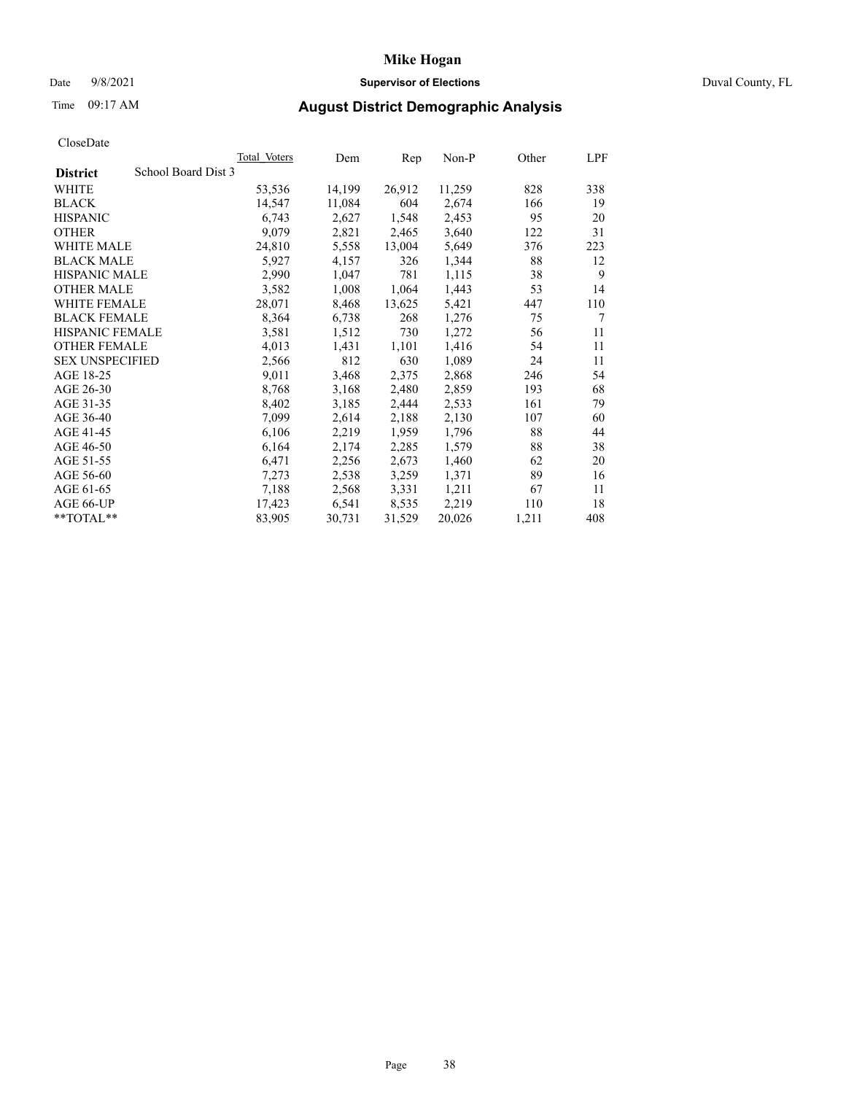## Date 9/8/2021 **Supervisor of Elections** Duval County, FL

# Time 09:17 AM **August District Demographic Analysis**

| CloscDate              |                     |              |        |        |        |       |     |
|------------------------|---------------------|--------------|--------|--------|--------|-------|-----|
|                        |                     | Total Voters | Dem    | Rep    | Non-P  | Other | LPF |
| <b>District</b>        | School Board Dist 3 |              |        |        |        |       |     |
| WHITE                  |                     | 53,536       | 14,199 | 26,912 | 11,259 | 828   | 338 |
| <b>BLACK</b>           |                     | 14,547       | 11,084 | 604    | 2,674  | 166   | 19  |
| <b>HISPANIC</b>        |                     | 6,743        | 2,627  | 1,548  | 2,453  | 95    | 20  |
| <b>OTHER</b>           |                     | 9,079        | 2,821  | 2,465  | 3,640  | 122   | 31  |
| WHITE MALE             |                     | 24,810       | 5.558  | 13,004 | 5,649  | 376   | 223 |
| <b>BLACK MALE</b>      |                     | 5,927        | 4,157  | 326    | 1,344  | 88    | 12  |
| <b>HISPANIC MALE</b>   |                     | 2,990        | 1,047  | 781    | 1,115  | 38    | 9   |
| <b>OTHER MALE</b>      |                     | 3,582        | 1,008  | 1,064  | 1,443  | 53    | 14  |
| WHITE FEMALE           |                     | 28,071       | 8,468  | 13,625 | 5,421  | 447   | 110 |
| <b>BLACK FEMALE</b>    |                     | 8,364        | 6,738  | 268    | 1,276  | 75    | 7   |
| <b>HISPANIC FEMALE</b> |                     | 3,581        | 1,512  | 730    | 1,272  | 56    | 11  |
| <b>OTHER FEMALE</b>    |                     | 4,013        | 1,431  | 1,101  | 1,416  | 54    | 11  |
| <b>SEX UNSPECIFIED</b> |                     | 2,566        | 812    | 630    | 1,089  | 24    | 11  |
| AGE 18-25              |                     | 9,011        | 3,468  | 2,375  | 2,868  | 246   | 54  |
| AGE 26-30              |                     | 8,768        | 3,168  | 2,480  | 2,859  | 193   | 68  |
| AGE 31-35              |                     | 8,402        | 3,185  | 2,444  | 2,533  | 161   | 79  |
| AGE 36-40              |                     | 7,099        | 2,614  | 2,188  | 2,130  | 107   | 60  |
| AGE 41-45              |                     | 6,106        | 2,219  | 1,959  | 1,796  | 88    | 44  |
| AGE 46-50              |                     | 6,164        | 2,174  | 2,285  | 1,579  | 88    | 38  |
| AGE 51-55              |                     | 6,471        | 2,256  | 2,673  | 1,460  | 62    | 20  |
| AGE 56-60              |                     | 7,273        | 2,538  | 3,259  | 1,371  | 89    | 16  |
| AGE 61-65              |                     | 7,188        | 2,568  | 3,331  | 1,211  | 67    | 11  |
| AGE 66-UP              |                     | 17,423       | 6,541  | 8,535  | 2,219  | 110   | 18  |
| $*$ $TOTAL**$          |                     | 83,905       | 30,731 | 31,529 | 20,026 | 1,211 | 408 |
|                        |                     |              |        |        |        |       |     |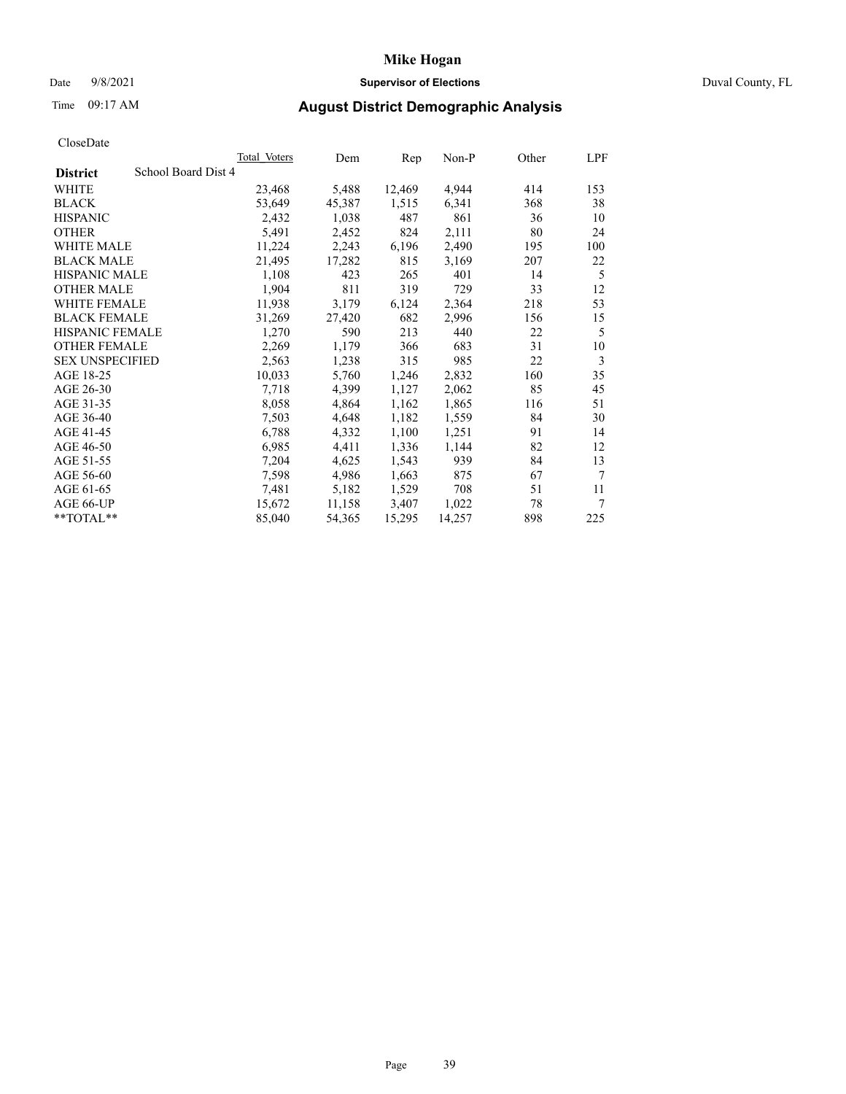## Date 9/8/2021 **Supervisor of Elections** Duval County, FL

# Time 09:17 AM **August District Demographic Analysis**

| CloscDate              |                     |              |        |        |        |       |                |
|------------------------|---------------------|--------------|--------|--------|--------|-------|----------------|
|                        |                     | Total Voters | Dem    | Rep    | Non-P  | Other | LPF            |
| <b>District</b>        | School Board Dist 4 |              |        |        |        |       |                |
| <b>WHITE</b>           |                     | 23,468       | 5,488  | 12,469 | 4,944  | 414   | 153            |
| <b>BLACK</b>           |                     | 53,649       | 45,387 | 1,515  | 6,341  | 368   | 38             |
| <b>HISPANIC</b>        |                     | 2,432        | 1,038  | 487    | 861    | 36    | 10             |
| <b>OTHER</b>           |                     | 5,491        | 2,452  | 824    | 2,111  | 80    | 24             |
| WHITE MALE             |                     | 11,224       | 2,243  | 6,196  | 2,490  | 195   | 100            |
| <b>BLACK MALE</b>      |                     | 21,495       | 17,282 | 815    | 3,169  | 207   | 22             |
| <b>HISPANIC MALE</b>   |                     | 1,108        | 423    | 265    | 401    | 14    | 5              |
| <b>OTHER MALE</b>      |                     | 1,904        | 811    | 319    | 729    | 33    | 12             |
| <b>WHITE FEMALE</b>    |                     | 11,938       | 3,179  | 6,124  | 2,364  | 218   | 53             |
| <b>BLACK FEMALE</b>    |                     | 31,269       | 27,420 | 682    | 2,996  | 156   | 15             |
| <b>HISPANIC FEMALE</b> |                     | 1,270        | 590    | 213    | 440    | 22    | 5              |
| <b>OTHER FEMALE</b>    |                     | 2,269        | 1,179  | 366    | 683    | 31    | 10             |
| <b>SEX UNSPECIFIED</b> |                     | 2,563        | 1,238  | 315    | 985    | 22    | 3              |
| AGE 18-25              |                     | 10,033       | 5,760  | 1,246  | 2,832  | 160   | 35             |
| AGE 26-30              |                     | 7,718        | 4,399  | 1,127  | 2,062  | 85    | 45             |
| AGE 31-35              |                     | 8,058        | 4,864  | 1,162  | 1,865  | 116   | 51             |
| AGE 36-40              |                     | 7,503        | 4,648  | 1,182  | 1,559  | 84    | 30             |
| AGE 41-45              |                     | 6,788        | 4,332  | 1,100  | 1,251  | 91    | 14             |
| AGE 46-50              |                     | 6,985        | 4,411  | 1,336  | 1,144  | 82    | 12             |
| AGE 51-55              |                     | 7,204        | 4,625  | 1,543  | 939    | 84    | 13             |
| AGE 56-60              |                     | 7,598        | 4,986  | 1,663  | 875    | 67    | $\overline{7}$ |
| AGE 61-65              |                     | 7,481        | 5,182  | 1,529  | 708    | 51    | 11             |
| AGE 66-UP              |                     | 15,672       | 11,158 | 3,407  | 1,022  | 78    | 7              |
| $*$ $TOTAL**$          |                     | 85,040       | 54,365 | 15,295 | 14,257 | 898   | 225            |
|                        |                     |              |        |        |        |       |                |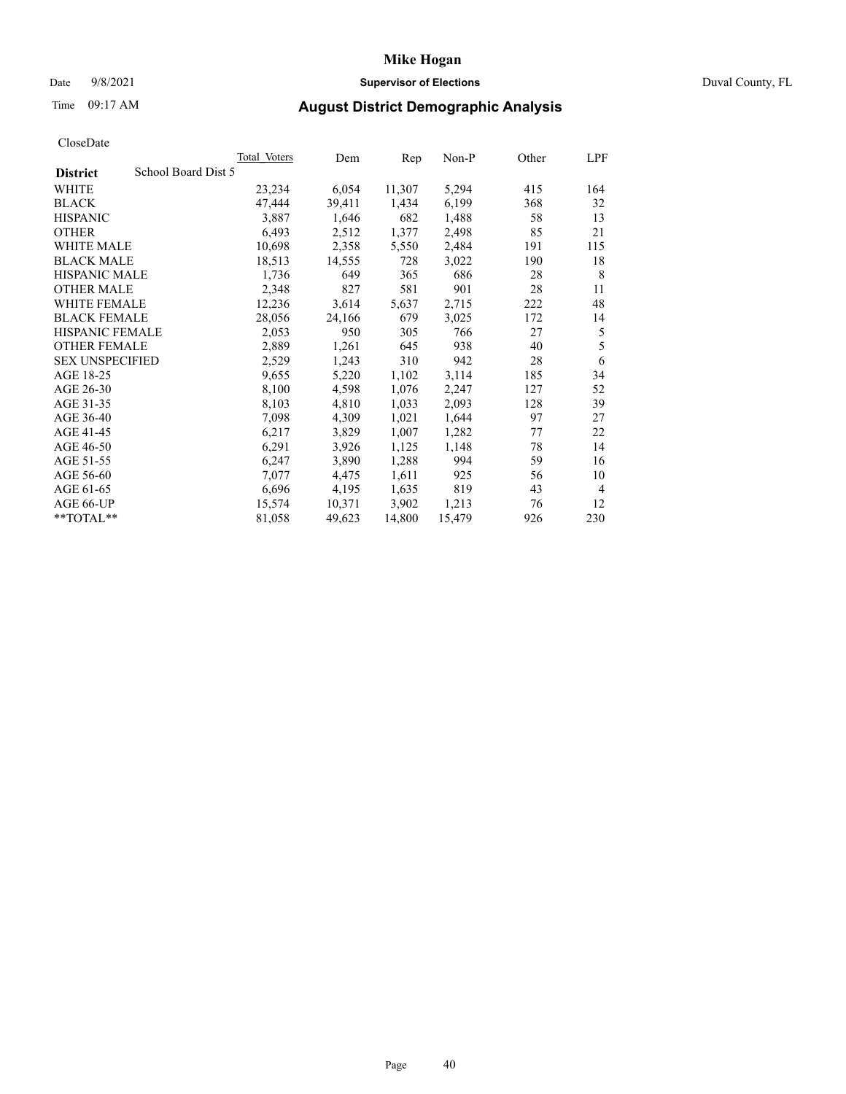## Date 9/8/2021 **Supervisor of Elections** Duval County, FL

# Time 09:17 AM **August District Demographic Analysis**

|                                        | Total Voters | Dem    | Rep    | Non-P  | Other | LPF |
|----------------------------------------|--------------|--------|--------|--------|-------|-----|
| School Board Dist 5<br><b>District</b> |              |        |        |        |       |     |
| WHITE                                  | 23,234       | 6,054  | 11,307 | 5,294  | 415   | 164 |
| <b>BLACK</b>                           | 47,444       | 39,411 | 1,434  | 6,199  | 368   | 32  |
| <b>HISPANIC</b>                        | 3,887        | 1,646  | 682    | 1,488  | 58    | 13  |
| <b>OTHER</b>                           | 6,493        | 2,512  | 1,377  | 2,498  | 85    | 21  |
| WHITE MALE                             | 10,698       | 2,358  | 5,550  | 2,484  | 191   | 115 |
| <b>BLACK MALE</b>                      | 18,513       | 14,555 | 728    | 3,022  | 190   | 18  |
| <b>HISPANIC MALE</b>                   | 1,736        | 649    | 365    | 686    | 28    | 8   |
| <b>OTHER MALE</b>                      | 2,348        | 827    | 581    | 901    | 28    | 11  |
| WHITE FEMALE                           | 12,236       | 3,614  | 5,637  | 2,715  | 222   | 48  |
| <b>BLACK FEMALE</b>                    | 28,056       | 24,166 | 679    | 3,025  | 172   | 14  |
| <b>HISPANIC FEMALE</b>                 | 2,053        | 950    | 305    | 766    | 27    | 5   |
| <b>OTHER FEMALE</b>                    | 2,889        | 1,261  | 645    | 938    | 40    | 5   |
| <b>SEX UNSPECIFIED</b>                 | 2,529        | 1,243  | 310    | 942    | 28    | 6   |
| AGE 18-25                              | 9,655        | 5,220  | 1,102  | 3,114  | 185   | 34  |
| AGE 26-30                              | 8,100        | 4,598  | 1,076  | 2,247  | 127   | 52  |
| AGE 31-35                              | 8,103        | 4,810  | 1,033  | 2,093  | 128   | 39  |
| AGE 36-40                              | 7,098        | 4,309  | 1,021  | 1,644  | 97    | 27  |
| AGE 41-45                              | 6,217        | 3,829  | 1,007  | 1,282  | 77    | 22  |
| AGE 46-50                              | 6,291        | 3,926  | 1,125  | 1,148  | 78    | 14  |
| AGE 51-55                              | 6,247        | 3,890  | 1,288  | 994    | 59    | 16  |
| AGE 56-60                              | 7,077        | 4,475  | 1,611  | 925    | 56    | 10  |
| AGE 61-65                              | 6,696        | 4,195  | 1,635  | 819    | 43    | 4   |
| AGE 66-UP                              | 15,574       | 10,371 | 3,902  | 1,213  | 76    | 12  |
| $*$ $TOTAL**$                          | 81,058       | 49,623 | 14,800 | 15,479 | 926   | 230 |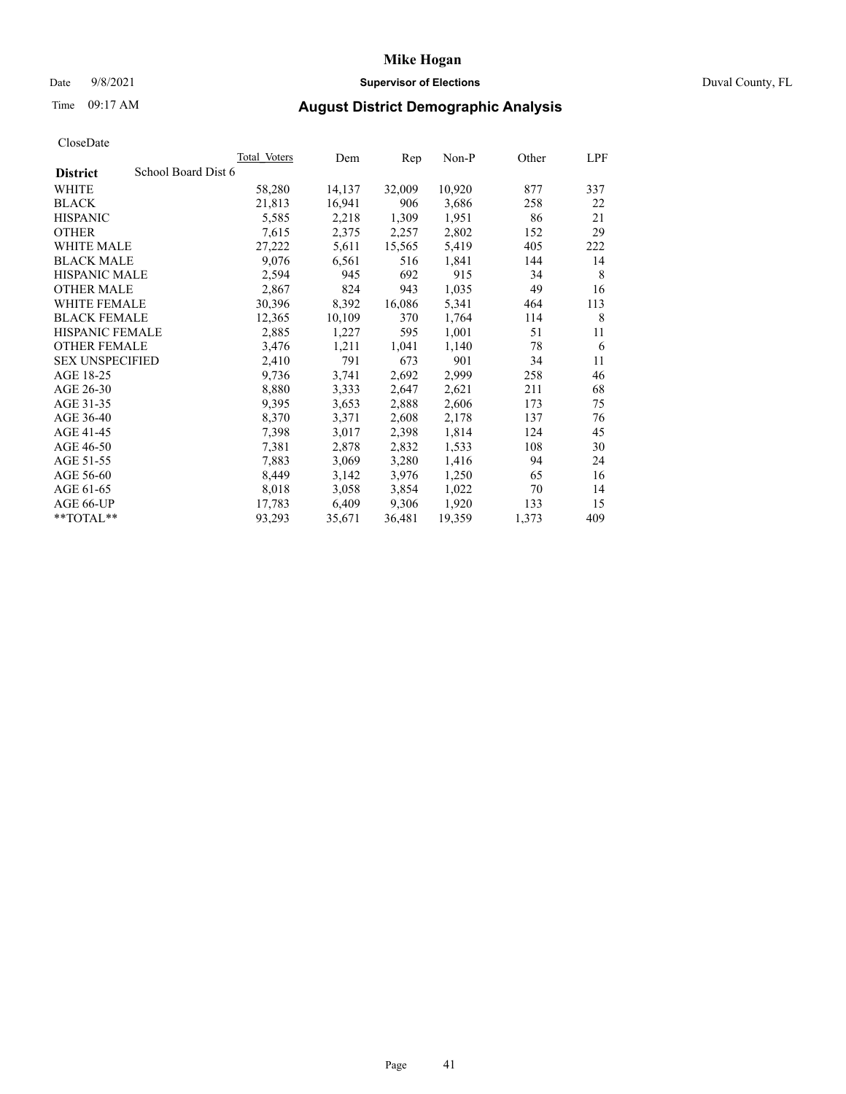## Date 9/8/2021 **Supervisor of Elections** Duval County, FL

# Time 09:17 AM **August District Demographic Analysis**

|                                        | Total Voters | Dem    | Rep    | $Non-P$ | Other | LPF |
|----------------------------------------|--------------|--------|--------|---------|-------|-----|
| School Board Dist 6<br><b>District</b> |              |        |        |         |       |     |
| WHITE                                  | 58,280       | 14,137 | 32,009 | 10,920  | 877   | 337 |
| <b>BLACK</b>                           | 21,813       | 16,941 | 906    | 3,686   | 258   | 22  |
| <b>HISPANIC</b>                        | 5,585        | 2,218  | 1,309  | 1,951   | 86    | 21  |
| <b>OTHER</b>                           | 7,615        | 2,375  | 2,257  | 2,802   | 152   | 29  |
| WHITE MALE                             | 27,222       | 5,611  | 15,565 | 5,419   | 405   | 222 |
| <b>BLACK MALE</b>                      | 9,076        | 6,561  | 516    | 1,841   | 144   | 14  |
| <b>HISPANIC MALE</b>                   | 2,594        | 945    | 692    | 915     | 34    | 8   |
| <b>OTHER MALE</b>                      | 2,867        | 824    | 943    | 1,035   | 49    | 16  |
| <b>WHITE FEMALE</b>                    | 30,396       | 8,392  | 16,086 | 5,341   | 464   | 113 |
| <b>BLACK FEMALE</b>                    | 12,365       | 10,109 | 370    | 1,764   | 114   | 8   |
| HISPANIC FEMALE                        | 2,885        | 1,227  | 595    | 1,001   | 51    | 11  |
| <b>OTHER FEMALE</b>                    | 3,476        | 1,211  | 1,041  | 1,140   | 78    | 6   |
| <b>SEX UNSPECIFIED</b>                 | 2,410        | 791    | 673    | 901     | 34    | 11  |
| AGE 18-25                              | 9,736        | 3,741  | 2,692  | 2,999   | 258   | 46  |
| AGE 26-30                              | 8,880        | 3,333  | 2,647  | 2,621   | 211   | 68  |
| AGE 31-35                              | 9,395        | 3,653  | 2,888  | 2,606   | 173   | 75  |
| AGE 36-40                              | 8,370        | 3,371  | 2,608  | 2,178   | 137   | 76  |
| AGE 41-45                              | 7,398        | 3,017  | 2,398  | 1,814   | 124   | 45  |
| AGE 46-50                              | 7,381        | 2,878  | 2,832  | 1,533   | 108   | 30  |
| AGE 51-55                              | 7,883        | 3,069  | 3,280  | 1,416   | 94    | 24  |
| AGE 56-60                              | 8,449        | 3,142  | 3,976  | 1,250   | 65    | 16  |
| AGE 61-65                              | 8,018        | 3,058  | 3,854  | 1,022   | 70    | 14  |
| AGE 66-UP                              | 17,783       | 6,409  | 9,306  | 1,920   | 133   | 15  |
| **TOTAL**                              | 93,293       | 35,671 | 36,481 | 19,359  | 1,373 | 409 |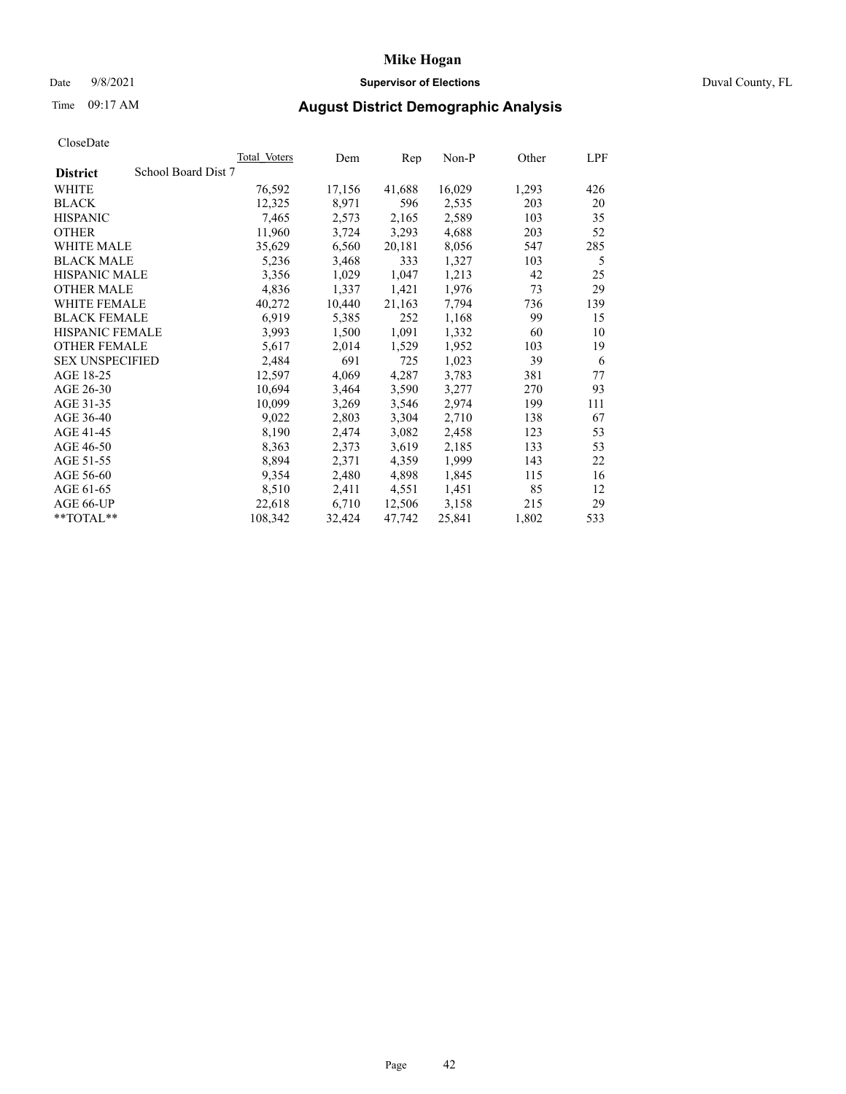## Date 9/8/2021 **Supervisor of Elections** Duval County, FL

# Time 09:17 AM **August District Demographic Analysis**

|                                        | Total Voters | Dem    | Rep    | $Non-P$ | Other | LPF |
|----------------------------------------|--------------|--------|--------|---------|-------|-----|
| School Board Dist 7<br><b>District</b> |              |        |        |         |       |     |
| WHITE                                  | 76,592       | 17,156 | 41,688 | 16,029  | 1,293 | 426 |
| <b>BLACK</b>                           | 12,325       | 8,971  | 596    | 2,535   | 203   | 20  |
| <b>HISPANIC</b>                        | 7,465        | 2,573  | 2,165  | 2,589   | 103   | 35  |
| <b>OTHER</b>                           | 11,960       | 3,724  | 3,293  | 4,688   | 203   | 52  |
| WHITE MALE                             | 35,629       | 6,560  | 20,181 | 8,056   | 547   | 285 |
| <b>BLACK MALE</b>                      | 5,236        | 3,468  | 333    | 1,327   | 103   | 5   |
| <b>HISPANIC MALE</b>                   | 3,356        | 1,029  | 1,047  | 1,213   | 42    | 25  |
| <b>OTHER MALE</b>                      | 4,836        | 1,337  | 1,421  | 1,976   | 73    | 29  |
| <b>WHITE FEMALE</b>                    | 40,272       | 10,440 | 21,163 | 7,794   | 736   | 139 |
| <b>BLACK FEMALE</b>                    | 6,919        | 5,385  | 252    | 1,168   | 99    | 15  |
| HISPANIC FEMALE                        | 3,993        | 1,500  | 1,091  | 1,332   | 60    | 10  |
| <b>OTHER FEMALE</b>                    | 5,617        | 2,014  | 1,529  | 1,952   | 103   | 19  |
| <b>SEX UNSPECIFIED</b>                 | 2,484        | 691    | 725    | 1,023   | 39    | 6   |
| AGE 18-25                              | 12,597       | 4,069  | 4,287  | 3,783   | 381   | 77  |
| AGE 26-30                              | 10,694       | 3,464  | 3,590  | 3,277   | 270   | 93  |
| AGE 31-35                              | 10,099       | 3,269  | 3,546  | 2,974   | 199   | 111 |
| AGE 36-40                              | 9,022        | 2,803  | 3,304  | 2,710   | 138   | 67  |
| AGE 41-45                              | 8,190        | 2,474  | 3,082  | 2,458   | 123   | 53  |
| AGE 46-50                              | 8,363        | 2,373  | 3,619  | 2,185   | 133   | 53  |
| AGE 51-55                              | 8,894        | 2,371  | 4,359  | 1,999   | 143   | 22  |
| AGE 56-60                              | 9,354        | 2,480  | 4,898  | 1,845   | 115   | 16  |
| AGE 61-65                              | 8,510        | 2,411  | 4,551  | 1,451   | 85    | 12  |
| AGE 66-UP                              | 22,618       | 6,710  | 12,506 | 3,158   | 215   | 29  |
| **TOTAL**                              | 108,342      | 32,424 | 47,742 | 25,841  | 1,802 | 533 |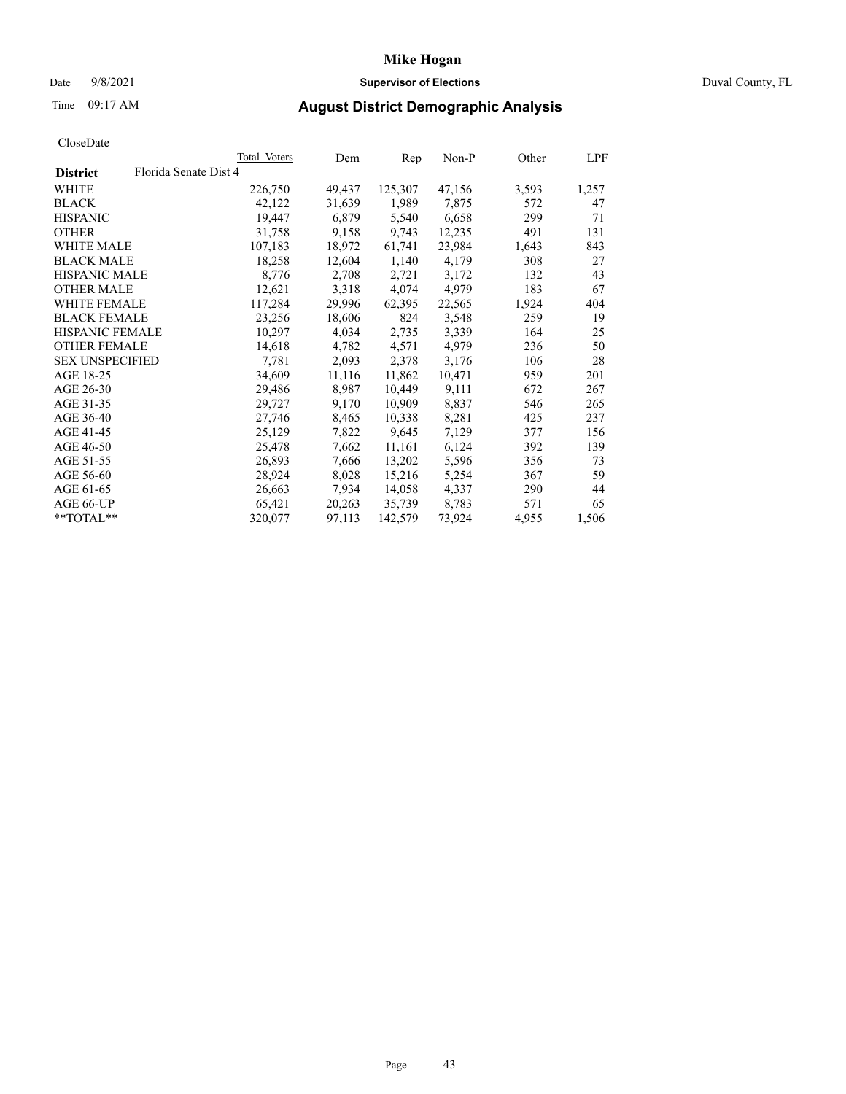## Date 9/8/2021 **Supervisor of Elections** Duval County, FL

# Time 09:17 AM **August District Demographic Analysis**

|                        |                       | <b>Total Voters</b> | Dem    | Rep     | $Non-P$ | Other | LPF   |
|------------------------|-----------------------|---------------------|--------|---------|---------|-------|-------|
| <b>District</b>        | Florida Senate Dist 4 |                     |        |         |         |       |       |
| WHITE                  |                       | 226,750             | 49,437 | 125,307 | 47,156  | 3,593 | 1,257 |
| <b>BLACK</b>           |                       | 42,122              | 31,639 | 1,989   | 7,875   | 572   | 47    |
| <b>HISPANIC</b>        |                       | 19,447              | 6,879  | 5,540   | 6,658   | 299   | 71    |
| <b>OTHER</b>           |                       | 31,758              | 9,158  | 9,743   | 12,235  | 491   | 131   |
| WHITE MALE             |                       | 107,183             | 18,972 | 61,741  | 23,984  | 1,643 | 843   |
| <b>BLACK MALE</b>      |                       | 18,258              | 12,604 | 1,140   | 4,179   | 308   | 27    |
| <b>HISPANIC MALE</b>   |                       | 8,776               | 2,708  | 2,721   | 3,172   | 132   | 43    |
| <b>OTHER MALE</b>      |                       | 12,621              | 3,318  | 4,074   | 4,979   | 183   | 67    |
| <b>WHITE FEMALE</b>    |                       | 117,284             | 29,996 | 62,395  | 22,565  | 1,924 | 404   |
| <b>BLACK FEMALE</b>    |                       | 23,256              | 18,606 | 824     | 3,548   | 259   | 19    |
| HISPANIC FEMALE        |                       | 10,297              | 4,034  | 2,735   | 3,339   | 164   | 25    |
| <b>OTHER FEMALE</b>    |                       | 14,618              | 4,782  | 4,571   | 4,979   | 236   | 50    |
| <b>SEX UNSPECIFIED</b> |                       | 7,781               | 2,093  | 2,378   | 3,176   | 106   | 28    |
| AGE 18-25              |                       | 34,609              | 11,116 | 11,862  | 10,471  | 959   | 201   |
| AGE 26-30              |                       | 29,486              | 8,987  | 10,449  | 9,111   | 672   | 267   |
| AGE 31-35              |                       | 29,727              | 9,170  | 10,909  | 8,837   | 546   | 265   |
| AGE 36-40              |                       | 27,746              | 8,465  | 10,338  | 8,281   | 425   | 237   |
| AGE 41-45              |                       | 25,129              | 7,822  | 9,645   | 7,129   | 377   | 156   |
| AGE 46-50              |                       | 25,478              | 7,662  | 11,161  | 6,124   | 392   | 139   |
| AGE 51-55              |                       | 26,893              | 7,666  | 13,202  | 5,596   | 356   | 73    |
| AGE 56-60              |                       | 28,924              | 8,028  | 15,216  | 5,254   | 367   | 59    |
| AGE 61-65              |                       | 26,663              | 7,934  | 14,058  | 4,337   | 290   | 44    |
| AGE 66-UP              |                       | 65,421              | 20,263 | 35,739  | 8,783   | 571   | 65    |
| **TOTAL**              |                       | 320,077             | 97,113 | 142,579 | 73,924  | 4,955 | 1,506 |
|                        |                       |                     |        |         |         |       |       |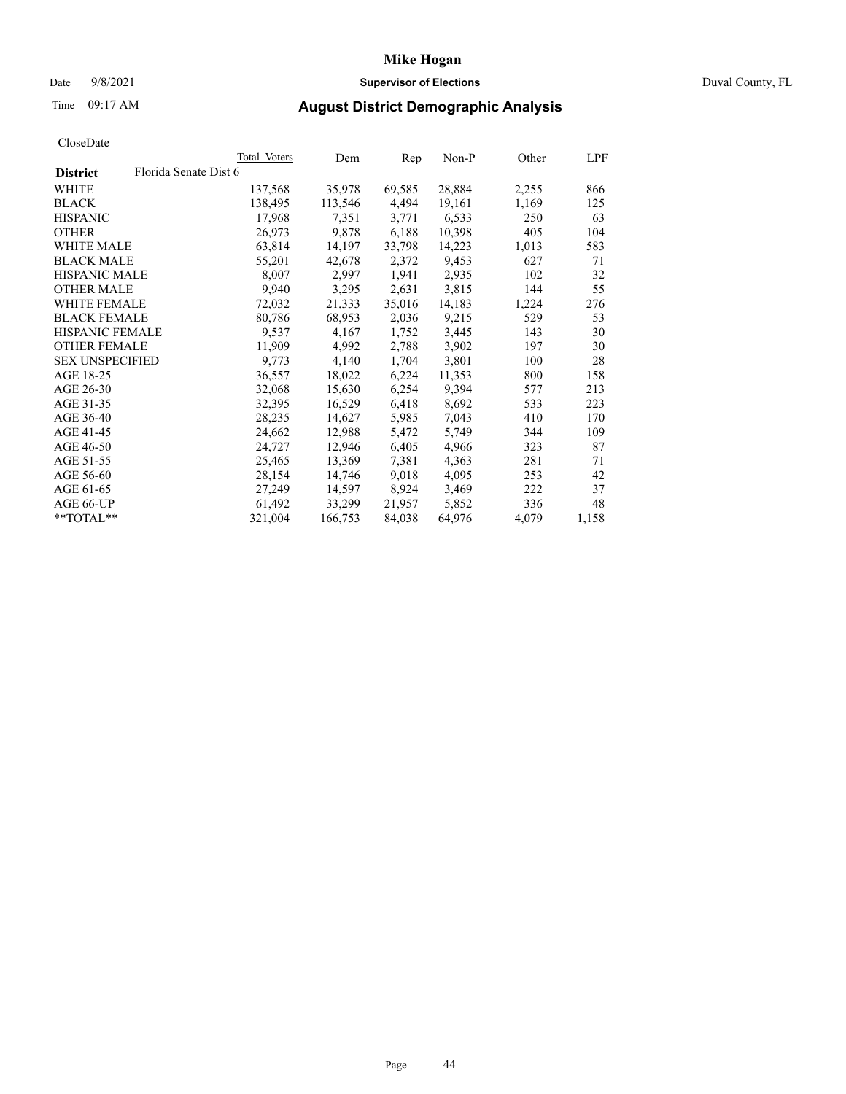## Date 9/8/2021 **Supervisor of Elections** Duval County, FL

# Time 09:17 AM **August District Demographic Analysis**

|                        |                       | Total Voters | Dem     | Rep    | $Non-P$ | Other | <b>LPF</b> |
|------------------------|-----------------------|--------------|---------|--------|---------|-------|------------|
| <b>District</b>        | Florida Senate Dist 6 |              |         |        |         |       |            |
| WHITE                  |                       | 137,568      | 35,978  | 69,585 | 28,884  | 2,255 | 866        |
| <b>BLACK</b>           |                       | 138,495      | 113,546 | 4,494  | 19,161  | 1,169 | 125        |
| <b>HISPANIC</b>        |                       | 17.968       | 7,351   | 3,771  | 6,533   | 250   | 63         |
| <b>OTHER</b>           |                       | 26,973       | 9,878   | 6,188  | 10,398  | 405   | 104        |
| WHITE MALE             |                       | 63,814       | 14,197  | 33,798 | 14,223  | 1,013 | 583        |
| <b>BLACK MALE</b>      |                       | 55,201       | 42,678  | 2,372  | 9,453   | 627   | 71         |
| <b>HISPANIC MALE</b>   |                       | 8,007        | 2,997   | 1,941  | 2,935   | 102   | 32         |
| <b>OTHER MALE</b>      |                       | 9,940        | 3,295   | 2,631  | 3,815   | 144   | 55         |
| <b>WHITE FEMALE</b>    |                       | 72,032       | 21,333  | 35,016 | 14,183  | 1,224 | 276        |
| <b>BLACK FEMALE</b>    |                       | 80,786       | 68,953  | 2,036  | 9,215   | 529   | 53         |
| HISPANIC FEMALE        |                       | 9,537        | 4,167   | 1,752  | 3,445   | 143   | 30         |
| <b>OTHER FEMALE</b>    |                       | 11,909       | 4,992   | 2,788  | 3,902   | 197   | 30         |
| <b>SEX UNSPECIFIED</b> |                       | 9,773        | 4,140   | 1,704  | 3,801   | 100   | 28         |
| AGE 18-25              |                       | 36,557       | 18,022  | 6,224  | 11,353  | 800   | 158        |
| AGE 26-30              |                       | 32,068       | 15,630  | 6,254  | 9,394   | 577   | 213        |
| AGE 31-35              |                       | 32,395       | 16,529  | 6,418  | 8,692   | 533   | 223        |
| AGE 36-40              |                       | 28,235       | 14,627  | 5,985  | 7,043   | 410   | 170        |
| AGE 41-45              |                       | 24,662       | 12,988  | 5,472  | 5,749   | 344   | 109        |
| AGE 46-50              |                       | 24,727       | 12,946  | 6,405  | 4,966   | 323   | 87         |
| AGE 51-55              |                       | 25,465       | 13,369  | 7,381  | 4,363   | 281   | 71         |
| AGE 56-60              |                       | 28,154       | 14,746  | 9,018  | 4,095   | 253   | 42         |
| AGE 61-65              |                       | 27,249       | 14,597  | 8,924  | 3,469   | 222   | 37         |
| AGE 66-UP              |                       | 61,492       | 33,299  | 21,957 | 5,852   | 336   | 48         |
| **TOTAL**              |                       | 321,004      | 166,753 | 84,038 | 64,976  | 4,079 | 1,158      |
|                        |                       |              |         |        |         |       |            |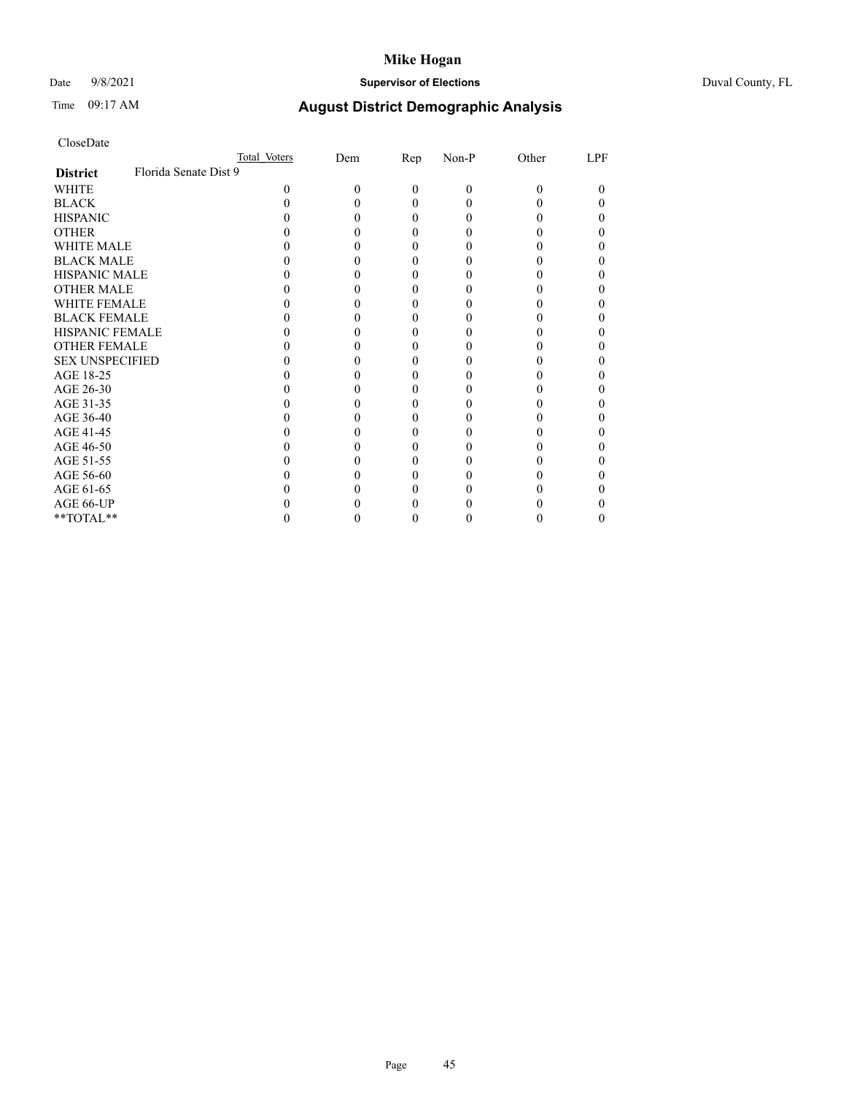## Date 9/8/2021 **Supervisor of Elections** Duval County, FL

# Time 09:17 AM **August District Demographic Analysis**

|                        | Total Voters          |   | Dem | <u>Rep</u> | Non-P | Other | LPF |
|------------------------|-----------------------|---|-----|------------|-------|-------|-----|
| <b>District</b>        | Florida Senate Dist 9 |   |     |            |       |       |     |
| WHITE                  |                       | 0 |     | $\Omega$   | 0     | 0     | 0   |
| <b>BLACK</b>           |                       |   |     |            |       |       |     |
| <b>HISPANIC</b>        |                       |   |     |            |       |       |     |
| <b>OTHER</b>           |                       |   |     |            |       |       |     |
| <b>WHITE MALE</b>      |                       |   |     |            |       |       |     |
| <b>BLACK MALE</b>      |                       |   |     |            |       |       |     |
| <b>HISPANIC MALE</b>   |                       |   |     |            |       |       |     |
| <b>OTHER MALE</b>      |                       |   |     |            |       |       |     |
| <b>WHITE FEMALE</b>    |                       |   |     |            |       |       |     |
| <b>BLACK FEMALE</b>    |                       |   |     |            |       |       |     |
| <b>HISPANIC FEMALE</b> |                       |   |     |            |       |       |     |
| <b>OTHER FEMALE</b>    |                       |   |     |            |       |       |     |
| <b>SEX UNSPECIFIED</b> |                       |   |     |            |       |       |     |
| AGE 18-25              |                       |   |     |            |       |       |     |
| AGE 26-30              |                       |   |     |            |       |       |     |
| AGE 31-35              |                       |   |     |            |       |       |     |
| AGE 36-40              |                       |   |     |            |       |       |     |
| AGE 41-45              |                       |   |     |            |       |       |     |
| AGE 46-50              |                       |   |     |            |       |       |     |
| AGE 51-55              |                       |   |     |            |       |       |     |
| AGE 56-60              |                       |   |     |            |       |       |     |
| AGE 61-65              |                       |   |     |            |       |       |     |
| AGE 66-UP              |                       |   |     |            |       |       |     |
| **TOTAL**              |                       |   |     |            |       |       | 0   |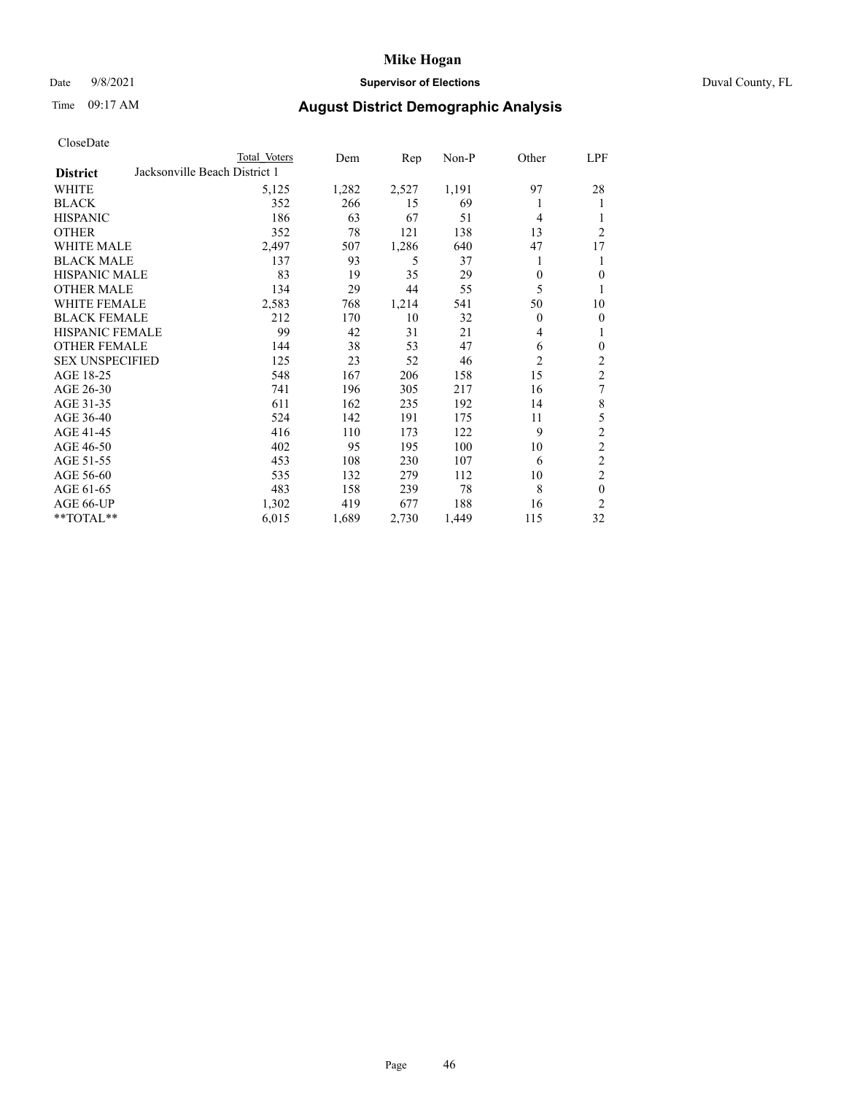## Date 9/8/2021 **Supervisor of Elections** Duval County, FL

# Time 09:17 AM **August District Demographic Analysis**

|                                                  | Total Voters | Dem   | Rep   | Non-P | Other          | LPF            |
|--------------------------------------------------|--------------|-------|-------|-------|----------------|----------------|
| Jacksonville Beach District 1<br><b>District</b> |              |       |       |       |                |                |
| WHITE                                            | 5,125        | 1,282 | 2,527 | 1,191 | 97             | 28             |
| <b>BLACK</b>                                     | 352          | 266   | 15    | 69    | 1              | 1              |
| <b>HISPANIC</b>                                  | 186          | 63    | 67    | 51    | 4              |                |
| <b>OTHER</b>                                     | 352          | 78    | 121   | 138   | 13             | $\overline{2}$ |
| WHITE MALE                                       | 2,497        | 507   | 1,286 | 640   | 47             | 17             |
| <b>BLACK MALE</b>                                | 137          | 93    | 5     | 37    | 1              | 1              |
| <b>HISPANIC MALE</b>                             | 83           | 19    | 35    | 29    | 0              | 0              |
| <b>OTHER MALE</b>                                | 134          | 29    | 44    | 55    | 5              | 1              |
| WHITE FEMALE                                     | 2,583        | 768   | 1,214 | 541   | 50             | 10             |
| <b>BLACK FEMALE</b>                              | 212          | 170   | 10    | 32    | $\theta$       | $\theta$       |
| <b>HISPANIC FEMALE</b>                           | 99           | 42    | 31    | 21    | 4              | 1              |
| <b>OTHER FEMALE</b>                              | 144          | 38    | 53    | 47    | 6              | $\theta$       |
| <b>SEX UNSPECIFIED</b>                           | 125          | 23    | 52    | 46    | $\overline{2}$ | 2              |
| AGE 18-25                                        | 548          | 167   | 206   | 158   | 15             | $\overline{2}$ |
| AGE 26-30                                        | 741          | 196   | 305   | 217   | 16             | 7              |
| AGE 31-35                                        | 611          | 162   | 235   | 192   | 14             | 8              |
| AGE 36-40                                        | 524          | 142   | 191   | 175   | 11             | 5              |
| AGE 41-45                                        | 416          | 110   | 173   | 122   | 9              | $\mathfrak{2}$ |
| AGE 46-50                                        | 402          | 95    | 195   | 100   | 10             | $\overline{c}$ |
| AGE 51-55                                        | 453          | 108   | 230   | 107   | 6              | $\overline{c}$ |
| AGE 56-60                                        | 535          | 132   | 279   | 112   | 10             | $\mathfrak{2}$ |
| AGE 61-65                                        | 483          | 158   | 239   | 78    | 8              | $\theta$       |
| AGE 66-UP                                        | 1,302        | 419   | 677   | 188   | 16             | $\overline{2}$ |
| **TOTAL**                                        | 6,015        | 1,689 | 2,730 | 1,449 | 115            | 32             |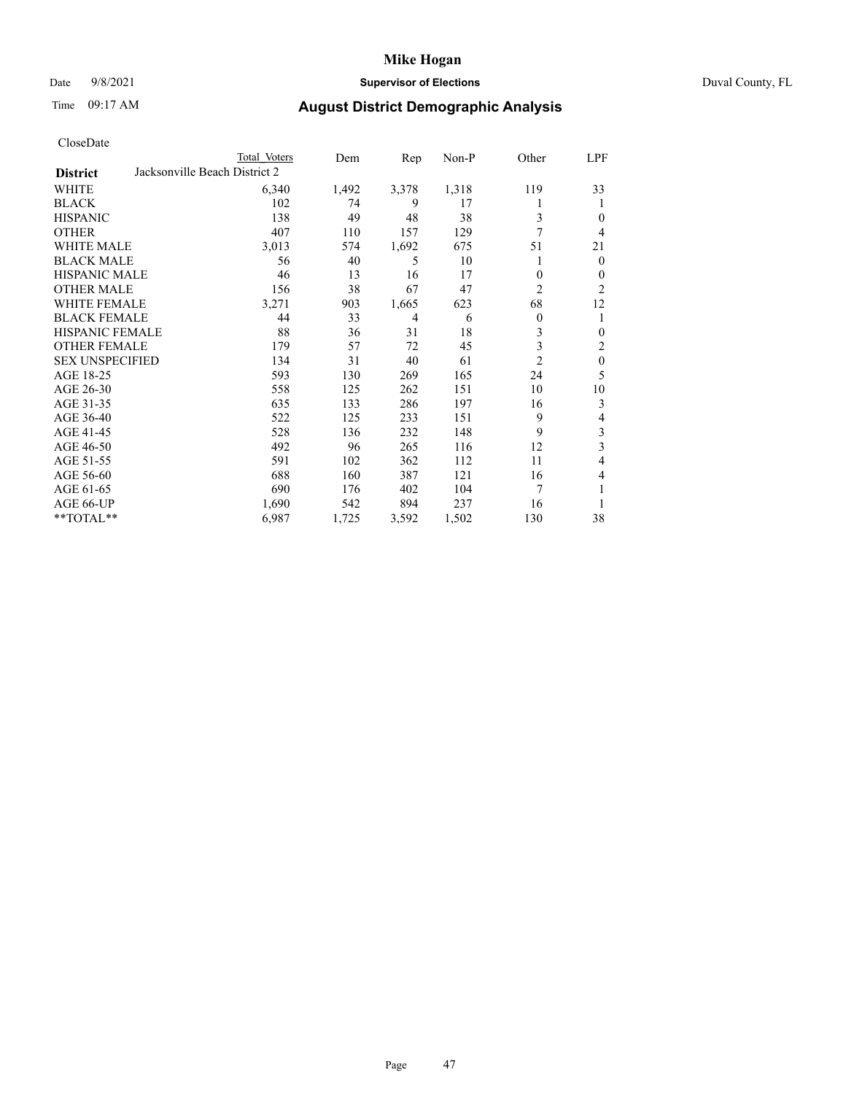## Date 9/8/2021 **Supervisor of Elections** Duval County, FL

# Time 09:17 AM **August District Demographic Analysis**

|                        |                               | Total Voters | Dem   | Rep   | Non-P | Other            | LPF          |
|------------------------|-------------------------------|--------------|-------|-------|-------|------------------|--------------|
| <b>District</b>        | Jacksonville Beach District 2 |              |       |       |       |                  |              |
| WHITE                  |                               | 6,340        | 1,492 | 3,378 | 1,318 | 119              | 33           |
| <b>BLACK</b>           |                               | 102          | 74    | 9     | 17    |                  | 1            |
| <b>HISPANIC</b>        |                               | 138          | 49    | 48    | 38    | 3                | $\theta$     |
| <b>OTHER</b>           |                               | 407          | 110   | 157   | 129   | 7                | 4            |
| WHITE MALE             |                               | 3,013        | 574   | 1,692 | 675   | 51               | 21           |
| <b>BLACK MALE</b>      |                               | 56           | 40    | 5     | 10    | 1                | $\mathbf{0}$ |
| <b>HISPANIC MALE</b>   |                               | 46           | 13    | 16    | 17    | 0                | $\mathbf{0}$ |
| <b>OTHER MALE</b>      |                               | 156          | 38    | 67    | 47    | $\overline{c}$   | 2            |
| WHITE FEMALE           |                               | 3,271        | 903   | 1,665 | 623   | 68               | 12           |
| <b>BLACK FEMALE</b>    |                               | 44           | 33    | 4     | 6     | $\boldsymbol{0}$ | 1            |
| <b>HISPANIC FEMALE</b> |                               | 88           | 36    | 31    | 18    | 3                | $\theta$     |
| <b>OTHER FEMALE</b>    |                               | 179          | 57    | 72    | 45    | 3                | 2            |
| <b>SEX UNSPECIFIED</b> |                               | 134          | 31    | 40    | 61    | $\overline{2}$   | $\mathbf{0}$ |
| AGE 18-25              |                               | 593          | 130   | 269   | 165   | 24               | 5            |
| AGE 26-30              |                               | 558          | 125   | 262   | 151   | 10               | 10           |
| AGE 31-35              |                               | 635          | 133   | 286   | 197   | 16               | 3            |
| AGE 36-40              |                               | 522          | 125   | 233   | 151   | 9                | 4            |
| AGE 41-45              |                               | 528          | 136   | 232   | 148   | 9                | 3            |
| AGE 46-50              |                               | 492          | 96    | 265   | 116   | 12               | 3            |
| AGE 51-55              |                               | 591          | 102   | 362   | 112   | 11               | 4            |
| AGE 56-60              |                               | 688          | 160   | 387   | 121   | 16               | 4            |
| AGE 61-65              |                               | 690          | 176   | 402   | 104   | 7                | 1            |
| AGE 66-UP              |                               | 1,690        | 542   | 894   | 237   | 16               | 1            |
| $*$ TOTAL $**$         |                               | 6,987        | 1,725 | 3,592 | 1,502 | 130              | 38           |